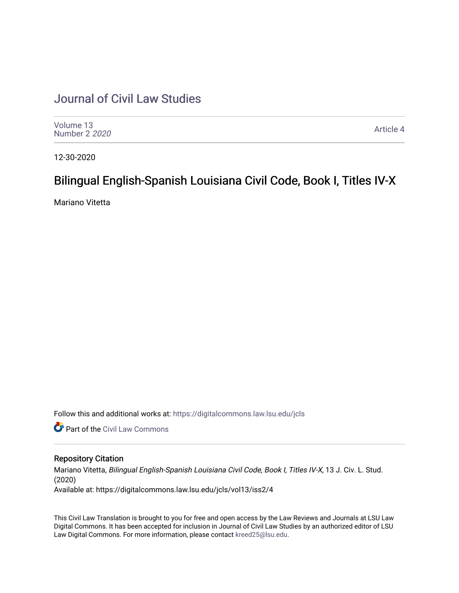# [Journal of Civil Law Studies](https://digitalcommons.law.lsu.edu/jcls)

| Volume 13<br>Number 2 2020 | Article 4 |
|----------------------------|-----------|
|----------------------------|-----------|

12-30-2020

## Bilingual English-Spanish Louisiana Civil Code, Book I, Titles IV-X

Mariano Vitetta

Follow this and additional works at: [https://digitalcommons.law.lsu.edu/jcls](https://digitalcommons.law.lsu.edu/jcls?utm_source=digitalcommons.law.lsu.edu%2Fjcls%2Fvol13%2Fiss2%2F4&utm_medium=PDF&utm_campaign=PDFCoverPages) 

**Part of the [Civil Law Commons](http://network.bepress.com/hgg/discipline/835?utm_source=digitalcommons.law.lsu.edu%2Fjcls%2Fvol13%2Fiss2%2F4&utm_medium=PDF&utm_campaign=PDFCoverPages)** 

#### Repository Citation

Mariano Vitetta, Bilingual English-Spanish Louisiana Civil Code, Book I, Titles IV-X, 13 J. Civ. L. Stud. (2020) Available at: https://digitalcommons.law.lsu.edu/jcls/vol13/iss2/4

This Civil Law Translation is brought to you for free and open access by the Law Reviews and Journals at LSU Law Digital Commons. It has been accepted for inclusion in Journal of Civil Law Studies by an authorized editor of LSU Law Digital Commons. For more information, please contact [kreed25@lsu.edu](mailto:kreed25@lsu.edu).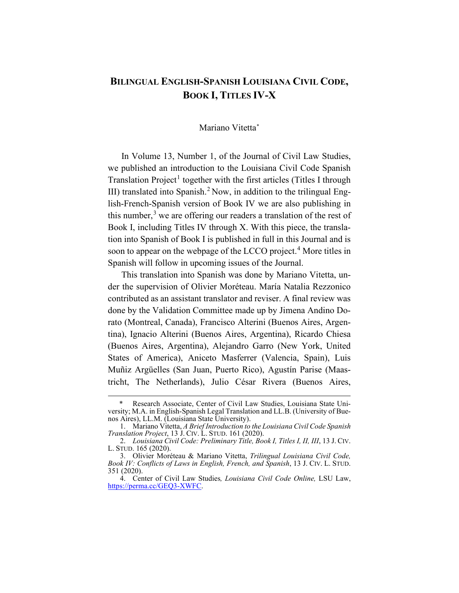### **BILINGUAL ENGLISH-SPANISH LOUISIANA CIVIL CODE, BOOK I, TITLES IV-X**

#### Mariano Vitett[a\\*](#page-1-0)

In Volume 13, Number 1, of the Journal of Civil Law Studies, we published an introduction to the Louisiana Civil Code Spanish Translation Project<sup>[1](#page-1-1)</sup> together with the first articles (Titles I through III) translated into Spanish.<sup>[2](#page-1-2)</sup> Now, in addition to the trilingual English-French-Spanish version of Book IV we are also publishing in this number, $3$  we are offering our readers a translation of the rest of Book I, including Titles IV through X. With this piece, the translation into Spanish of Book I is published in full in this Journal and is soon to appear on the webpage of the LCCO project.<sup>[4](#page-1-4)</sup> More titles in Spanish will follow in upcoming issues of the Journal.

This translation into Spanish was done by Mariano Vitetta, under the supervision of Olivier Moréteau. María Natalia Rezzonico contributed as an assistant translator and reviser. A final review was done by the Validation Committee made up by Jimena Andino Dorato (Montreal, Canada), Francisco Alterini (Buenos Aires, Argentina), Ignacio Alterini (Buenos Aires, Argentina), Ricardo Chiesa (Buenos Aires, Argentina), Alejandro Garro (New York, United States of America), Aniceto Masferrer (Valencia, Spain), Luis Muñiz Argüelles (San Juan, Puerto Rico), Agustín Parise (Maastricht, The Netherlands), Julio César Rivera (Buenos Aires,

<span id="page-1-0"></span>Research Associate, Center of Civil Law Studies, Louisiana State University; M.A. in English-Spanish Legal Translation and LL.B. (University of Buenos Aires), LL.M. (Louisiana State University).

<span id="page-1-1"></span><sup>1.</sup> Mariano Vitetta, *A Brief Introduction to the Louisiana Civil Code Spanish Translation Project*, 13 J. CIV. L. STUD. 161 (2020).

<span id="page-1-2"></span><sup>2.</sup> *Louisiana Civil Code: Preliminary Title, Book I, Titles I, II, III*, 13 J. CIV. L. STUD. 165 (2020).

<span id="page-1-3"></span><sup>3.</sup> Olivier Moréteau & Mariano Vitetta, *Trilingual Louisiana Civil Code, Book IV: Conflicts of Laws in English, French, and Spanish*, 13 J. CIV. L. STUD. 351 (2020).

<span id="page-1-4"></span><sup>4.</sup> Center of Civil Law Studies*, Louisiana Civil Code Online,* LSU Law, [https://perma.cc/GEQ3-XWFC.](https://perma.cc/GEQ3-XWFC)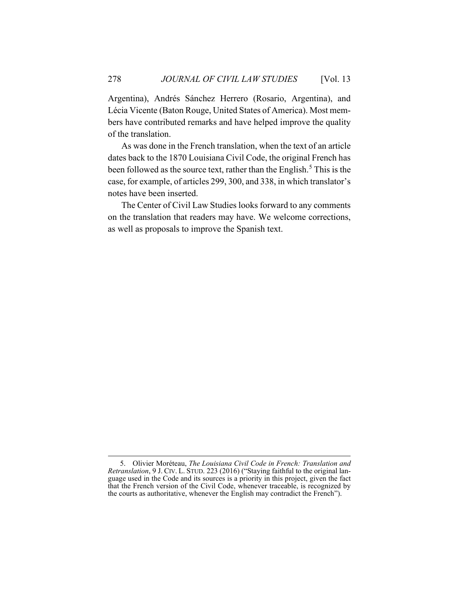Argentina), Andrés Sánchez Herrero (Rosario, Argentina), and Lécia Vicente (Baton Rouge, United States of America). Most members have contributed remarks and have helped improve the quality of the translation.

As was done in the French translation, when the text of an article dates back to the 1870 Louisiana Civil Code, the original French has been followed as the source text, rather than the English.<sup>[5](#page-2-0)</sup> This is the case, for example, of articles 299, 300, and 338, in which translator's notes have been inserted.

The Center of Civil Law Studies looks forward to any comments on the translation that readers may have. We welcome corrections, as well as proposals to improve the Spanish text.

<span id="page-2-0"></span><sup>5.</sup> Olivier Moréteau, *The Louisiana Civil Code in French: Translation and Retranslation*, 9 J. CIV. L. STUD. 223 (2016) ("Staying faithful to the original language used in the Code and its sources is a priority in this project, given the fact that the French version of the Civil Code, whenever traceable, is recognized by the courts as authoritative, whenever the English may contradict the French").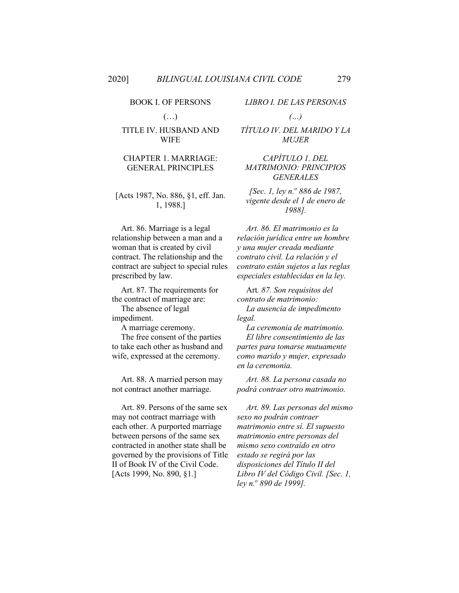#### BOOK I. OF PERSONS

 $(\ldots)$ 

#### TITLE IV. HUSBAND AND WIFE

#### CHAPTER 1. MARRIAGE: GENERAL PRINCIPLES

#### [Acts 1987, No. 886, §1, eff. Jan. 1, 1988.]

Art. 86. Marriage is a legal relationship between a man and a woman that is created by civil contract. The relationship and the contract are subject to special rules prescribed by law.

Art. 87. The requirements for the contract of marriage are:

The absence of legal impediment.

A marriage ceremony.

The free consent of the parties to take each other as husband and wife, expressed at the ceremony.

Art. 88. A married person may not contract another marriage.

Art. 89. Persons of the same sex may not contract marriage with each other. A purported marriage between persons of the same sex contracted in another state shall be governed by the provisions of Title II of Book IV of the Civil Code. [Acts 1999, No. 890, §1.]

#### *LIBRO I. DE LAS PERSONAS*

*(…)*

*TÍTULO IV. DEL MARIDO Y LA MUJER*

*CAPÍTULO 1. DEL MATRIMONIO: PRINCIPIOS GENERALES*

*[Sec. 1, ley n.o 886 de 1987, vigente desde el 1 de enero de 1988].*

*Art. 86. El matrimonio es la relación jurídica entre un hombre y una mujer creada mediante contrato civil. La relación y el contrato están sujetos a las reglas especiales establecidas en la ley.* 

Art*. 87. Son requisitos del contrato de matrimonio: La ausencia de impedimento legal.*

*La ceremonia de matrimonio. El libre consentimiento de las partes para tomarse mutuamente como marido y mujer, expresado en la ceremonia.*

*Art. 88. La persona casada no podrá contraer otro matrimonio.*

*Art. 89. Las personas del mismo sexo no podrán contraer matrimonio entre sí. El supuesto matrimonio entre personas del mismo sexo contraído en otro estado se regirá por las disposiciones del Título II del Libro IV del Código Civil. [Sec. 1, ley n.<sup>o</sup> 890 de 1999].*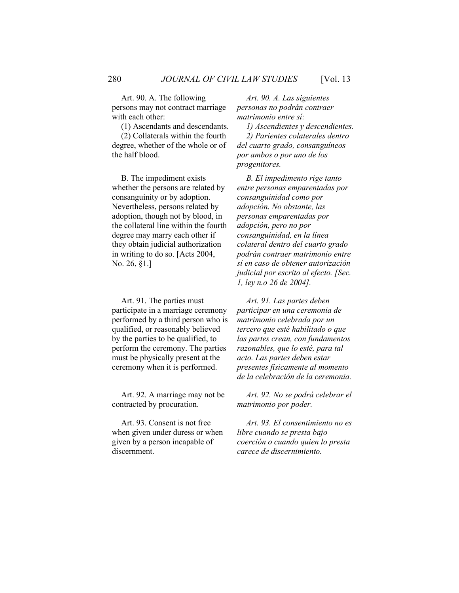Art. 90. A. The following persons may not contract marriage with each other:

(1) Ascendants and descendants.

(2) Collaterals within the fourth degree, whether of the whole or of the half blood.

B. The impediment exists whether the persons are related by consanguinity or by adoption. Nevertheless, persons related by adoption, though not by blood, in the collateral line within the fourth degree may marry each other if they obtain judicial authorization in writing to do so. [Acts 2004, No. 26, §1.]

Art. 91. The parties must participate in a marriage ceremony performed by a third person who is qualified, or reasonably believed by the parties to be qualified, to perform the ceremony. The parties must be physically present at the ceremony when it is performed.

Art. 92. A marriage may not be contracted by procuration.

Art. 93. Consent is not free when given under duress or when given by a person incapable of discernment.

*Art. 90. A. Las siguientes personas no podrán contraer matrimonio entre sí:*

*1) Ascendientes y descendientes. 2) Parientes colaterales dentro del cuarto grado, consanguíneos por ambos o por uno de los progenitores.*

*B. El impedimento rige tanto entre personas emparentadas por consanguinidad como por adopción. No obstante, las personas emparentadas por adopción, pero no por consanguinidad, en la línea colateral dentro del cuarto grado podrán contraer matrimonio entre sí en caso de obtener autorización judicial por escrito al efecto. [Sec. 1, ley n.o 26 de 2004].*

*Art. 91. Las partes deben participar en una ceremonia de matrimonio celebrada por un tercero que esté habilitado o que las partes crean, con fundamentos razonables, que lo esté, para tal acto. Las partes deben estar presentes físicamente al momento de la celebración de la ceremonia.* 

*Art. 92. No se podrá celebrar el matrimonio por poder.*

*Art. 93. El consentimiento no es libre cuando se presta bajo coerción o cuando quien lo presta carece de discernimiento.*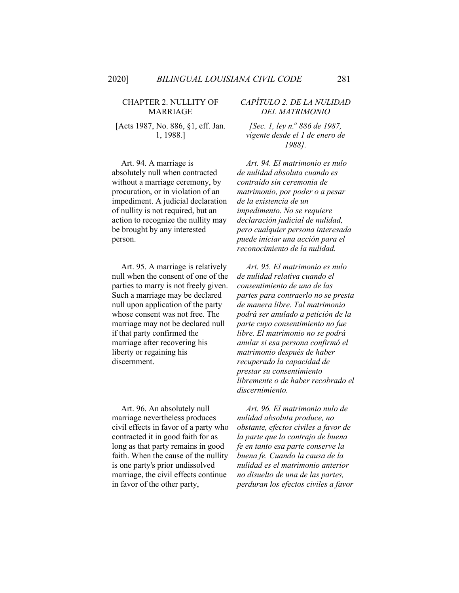#### CHAPTER 2. NULLITY OF MARRIAGE

[Acts 1987, No. 886, §1, eff. Jan. 1, 1988.]

Art. 94. A marriage is absolutely null when contracted without a marriage ceremony, by procuration, or in violation of an impediment. A judicial declaration of nullity is not required, but an action to recognize the nullity may be brought by any interested person.

Art. 95. A marriage is relatively null when the consent of one of the parties to marry is not freely given. Such a marriage may be declared null upon application of the party whose consent was not free. The marriage may not be declared null if that party confirmed the marriage after recovering his liberty or regaining his discernment.

Art. 96. An absolutely null marriage nevertheless produces civil effects in favor of a party who contracted it in good faith for as long as that party remains in good faith. When the cause of the nullity is one party's prior undissolved marriage, the civil effects continue in favor of the other party,

#### *CAPÍTULO 2. DE LA NULIDAD DEL MATRIMONIO*

*[Sec. 1, ley n.<sup>o</sup> 886 de 1987, vigente desde el 1 de enero de 1988].*

*Art. 94. El matrimonio es nulo de nulidad absoluta cuando es contraído sin ceremonia de matrimonio, por poder o a pesar de la existencia de un impedimento. No se requiere declaración judicial de nulidad, pero cualquier persona interesada puede iniciar una acción para el reconocimiento de la nulidad.*

*Art. 95. El matrimonio es nulo de nulidad relativa cuando el consentimiento de una de las partes para contraerlo no se presta de manera libre. Tal matrimonio podrá ser anulado a petición de la parte cuyo consentimiento no fue libre. El matrimonio no se podrá anular si esa persona confirmó el matrimonio después de haber recuperado la capacidad de prestar su consentimiento libremente o de haber recobrado el discernimiento.*

*Art. 96. El matrimonio nulo de nulidad absoluta produce, no obstante, efectos civiles a favor de la parte que lo contrajo de buena fe en tanto esa parte conserve la buena fe. Cuando la causa de la nulidad es el matrimonio anterior no disuelto de una de las partes, perduran los efectos civiles a favor*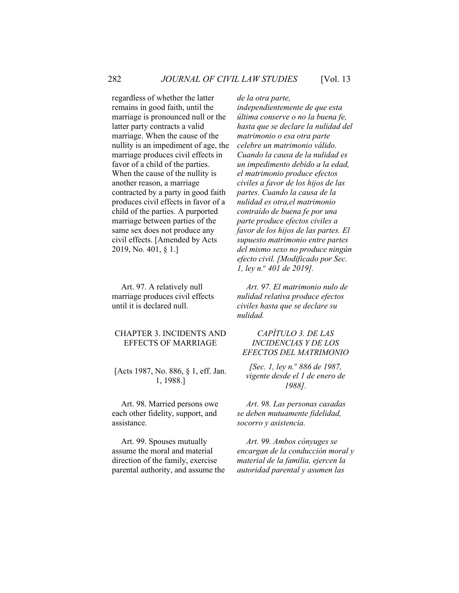regardless of whether the latter remains in good faith, until the marriage is pronounced null or the latter party contracts a valid marriage. When the cause of the nullity is an impediment of age, the marriage produces civil effects in favor of a child of the parties. When the cause of the nullity is another reason, a marriage contracted by a party in good faith produces civil effects in favor of a child of the parties. A purported marriage between parties of the same sex does not produce any civil effects. [Amended by Acts 2019, No. 401, § 1.]

Art. 97. A relatively null marriage produces civil effects until it is declared null.

#### CHAPTER 3. INCIDENTS AND EFFECTS OF MARRIAGE

#### [Acts 1987, No. 886, § 1, eff. Jan. 1, 1988.]

Art. 98. Married persons owe each other fidelity, support, and assistance.

Art. 99. Spouses mutually assume the moral and material direction of the family, exercise parental authority, and assume the *de la otra parte,* 

*independientemente de que esta última conserve o no la buena fe, hasta que se declare la nulidad del matrimonio o esa otra parte celebre un matrimonio válido. Cuando la causa de la nulidad es un impedimento debido a la edad, el matrimonio produce efectos civiles a favor de los hijos de las partes. Cuando la causa de la nulidad es otra,el matrimonio contraído de buena fe por una parte produce efectos civiles a favor de los hijos de las partes. El supuesto matrimonio entre partes del mismo sexo no produce ningún efecto civil. [Modificado por Sec. 1, ley n.o 401 de 2019].*

*Art. 97. El matrimonio nulo de nulidad relativa produce efectos civiles hasta que se declare su nulidad.*

#### *CAPÍTULO 3. DE LAS INCIDENCIAS Y DE LOS EFECTOS DEL MATRIMONIO*

*[Sec. 1, ley n.<sup>o</sup> 886 de 1987, vigente desde el 1 de enero de 1988].*

*Art. 98. Las personas casadas se deben mutuamente fidelidad, socorro y asistencia.* 

*Art. 99. Ambos cónyuges se encargan de la conducción moral y material de la familia, ejercen la autoridad parental y asumen las*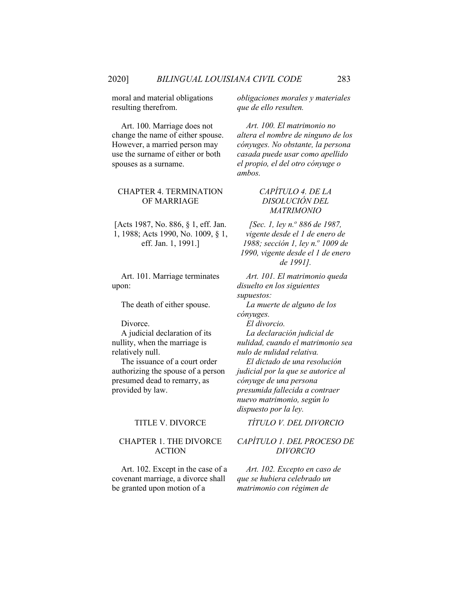moral and material obligations resulting therefrom.

Art. 100. Marriage does not change the name of either spouse. However, a married person may use the surname of either or both spouses as a surname.

#### CHAPTER 4. TERMINATION OF MARRIAGE

[Acts 1987, No. 886, § 1, eff. Jan. 1, 1988; Acts 1990, No. 1009, § 1, eff. Jan. 1, 1991.]

Art. 101. Marriage terminates upon:

A judicial declaration of its nullity, when the marriage is relatively null.

The issuance of a court order authorizing the spouse of a person presumed dead to remarry, as provided by law.

#### CHAPTER 1. THE DIVORCE ACTION

Art. 102. Except in the case of a covenant marriage, a divorce shall be granted upon motion of a

*obligaciones morales y materiales que de ello resulten.*

*Art. 100. El matrimonio no altera el nombre de ninguno de los cónyuges. No obstante, la persona casada puede usar como apellido el propio, el del otro cónyuge o ambos.*

#### *CAPÍTULO 4. DE LA DISOLUCIÓN DEL MATRIMONIO*

*[Sec. 1, ley n.o 886 de 1987, vigente desde el 1 de enero de 1988; sección 1, ley n.<sup>o</sup> 1009 de 1990, vigente desde el 1 de enero de 1991].*

*Art. 101. El matrimonio queda disuelto en los siguientes supuestos:* The death of either spouse. *La muerte de alguno de los cónyuges.* Divorce. *El divorcio. La declaración judicial de nulidad, cuando el matrimonio sea nulo de nulidad relativa. El dictado de una resolución judicial por la que se autorice al cónyuge de una persona presumida fallecida a contraer nuevo matrimonio, según lo dispuesto por la ley.*

### TITLE V. DIVORCE *TÍTULO V. DEL DIVORCIO*

#### *CAPÍTULO 1. DEL PROCESO DE DIVORCIO*

*Art. 102. Excepto en caso de que se hubiera celebrado un matrimonio con régimen de*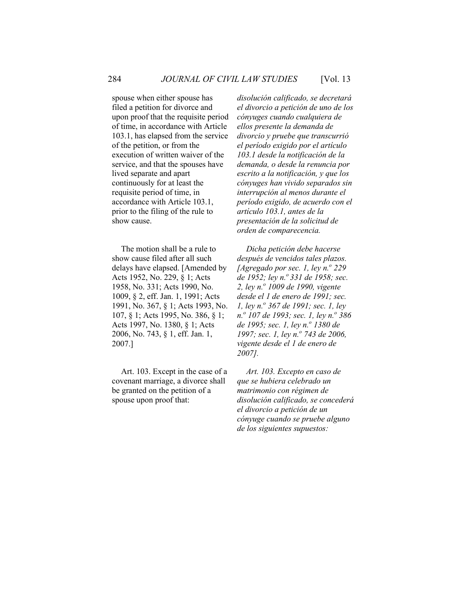spouse when either spouse has filed a petition for divorce and upon proof that the requisite period of time, in accordance with Article 103.1, has elapsed from the service of the petition, or from the execution of written waiver of the service, and that the spouses have lived separate and apart continuously for at least the requisite period of time, in accordance with Article 103.1, prior to the filing of the rule to show cause.

The motion shall be a rule to show cause filed after all such delays have elapsed. [Amended by Acts 1952, No. 229, § 1; Acts 1958, No. 331; Acts 1990, No. 1009, § 2, eff. Jan. 1, 1991; Acts 1991, No. 367, § 1; Acts 1993, No. 107, § 1; Acts 1995, No. 386, § 1; Acts 1997, No. 1380, § 1; Acts 2006, No. 743, § 1, eff. Jan. 1, 2007.]

Art. 103. Except in the case of a covenant marriage, a divorce shall be granted on the petition of a spouse upon proof that:

*disolución calificado, se decretará el divorcio a petición de uno de los cónyuges cuando cualquiera de ellos presente la demanda de divorcio y pruebe que transcurrió el período exigido por el artículo 103.1 desde la notificación de la demanda, o desde la renuncia por escrito a la notificación, y que los cónyuges han vivido separados sin interrupción al menos durante el período exigido, de acuerdo con el artículo 103.1, antes de la presentación de la solicitud de orden de comparecencia.*

*Dicha petición debe hacerse después de vencidos tales plazos. [Agregado por sec. 1, ley n.º 229 de 1952; ley n.<sup>o</sup> 331 de 1958; sec. 2, ley n.o 1009 de 1990, vigente desde el 1 de enero de 1991; sec. 1, ley n.o 367 de 1991; sec. 1, ley n.o 107 de 1993; sec. 1, ley n.o 386 de 1995; sec. 1, ley n.o 1380 de 1997; sec. 1, ley n.<sup>o</sup> 743 de 2006, vigente desde el 1 de enero de 2007].*

*Art. 103. Excepto en caso de que se hubiera celebrado un matrimonio con régimen de disolución calificado, se concederá el divorcio a petición de un cónyuge cuando se pruebe alguno de los siguientes supuestos:*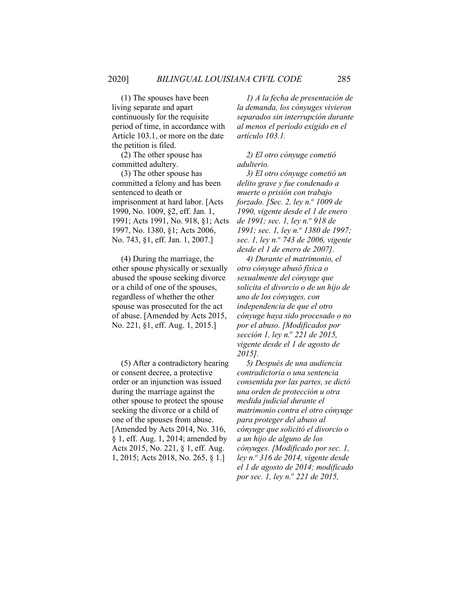(1) The spouses have been living separate and apart continuously for the requisite period of time, in accordance with Article 103.1, or more on the date the petition is filed.

(2) The other spouse has committed adultery.

(3) The other spouse has committed a felony and has been sentenced to death or imprisonment at hard labor. [Acts 1990, No. 1009, §2, eff. Jan. 1, 1991; Acts 1991, No. 918, §1; Acts 1997, No. 1380, §1; Acts 2006, No. 743, §1, eff. Jan. 1, 2007.]

(4) During the marriage, the other spouse physically or sexually abused the spouse seeking divorce or a child of one of the spouses, regardless of whether the other spouse was prosecuted for the act of abuse. [Amended by Acts 2015, No. 221, §1, eff. Aug. 1, 2015.]

(5) After a contradictory hearing or consent decree, a protective order or an injunction was issued during the marriage against the other spouse to protect the spouse seeking the divorce or a child of one of the spouses from abuse. [Amended by Acts 2014, No. 316, § 1, eff. Aug. 1, 2014; amended by Acts 2015, No. 221, § 1, eff. Aug. 1, 2015; Acts 2018, No. 265, § 1.]

*1) A la fecha de presentación de la demanda, los cónyuges vivieron separados sin interrupción durante al menos el período exigido en el artículo 103.1.*

*2) El otro cónyuge cometió adulterio.*

*3) El otro cónyuge cometió un delito grave y fue condenado a muerte o prisión con trabajo forzado. [Sec. 2, ley n.<sup>o</sup> 1009 de 1990, vigente desde el 1 de enero de 1991; sec. 1, ley n.o 918 de 1991; sec. 1, ley n.<sup>o</sup> 1380 de 1997; sec. 1, ley n.o 743 de 2006, vigente desde el 1 de enero de 2007].*

*4) Durante el matrimonio, el otro cónyuge abusó física o sexualmente del cónyuge que solicita el divorcio o de un hijo de uno de los cónyuges, con independencia de que el otro cónyuge haya sido procesado o no por el abuso. [Modificados por sección 1, ley n.o 221 de 2015, vigente desde el 1 de agosto de 2015].*

*5) Después de una audiencia contradictoria o una sentencia consentida por las partes, se dictó una orden de protección u otra medida judicial durante el matrimonio contra el otro cónyuge para proteger del abuso al cónyuge que solicitó el divorcio o a un hijo de alguno de los cónyuges. [Modificado por sec. 1, ley n.o 316 de 2014, vigente desde el 1 de agosto de 2014; modificado por sec. 1, ley n.<sup>o</sup> 221 de 2015,*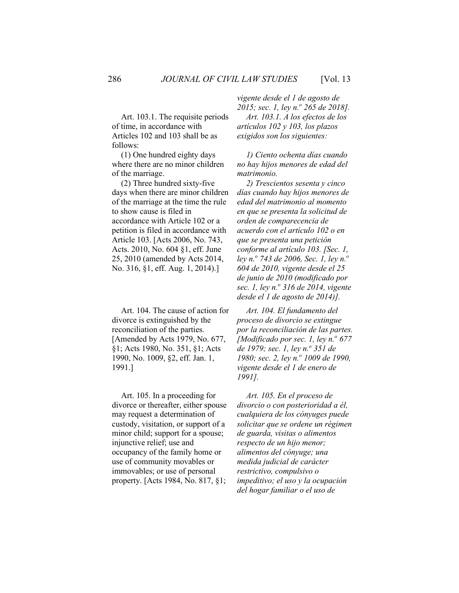Art. 103.1. The requisite periods of time, in accordance with Articles 102 and 103 shall be as follows:

(1) One hundred eighty days where there are no minor children of the marriage.

(2) Three hundred sixty-five days when there are minor children of the marriage at the time the rule to show cause is filed in accordance with Article 102 or a petition is filed in accordance with Article 103. [Acts 2006, No. 743, Acts. 2010, No. 604 §1, eff. June 25, 2010 (amended by Acts 2014, No. 316, §1, eff. Aug. 1, 2014).]

Art. 104. The cause of action for divorce is extinguished by the reconciliation of the parties. [Amended by Acts 1979, No. 677, §1; Acts 1980, No. 351, §1; Acts 1990, No. 1009, §2, eff. Jan. 1, 1991.]

Art. 105. In a proceeding for divorce or thereafter, either spouse may request a determination of custody, visitation, or support of a minor child; support for a spouse; injunctive relief; use and occupancy of the family home or use of community movables or immovables; or use of personal property. [Acts 1984, No. 817, §1;

*vigente desde el 1 de agosto de* 

*2015; sec. 1, ley n.o 265 de 2018]. Art. 103.1. A los efectos de los artículos 102 y 103, los plazos exigidos son los siguientes:*

*1) Ciento ochenta días cuando no hay hijos menores de edad del matrimonio.*

*2) Trescientos sesenta y cinco días cuando hay hijos menores de edad del matrimonio al momento en que se presenta la solicitud de orden de comparecencia de acuerdo con el artículo 102 o en que se presenta una petición conforme al artículo 103. [Sec. 1, ley n.o 743 de 2006, Sec. 1, ley n.<sup>o</sup> 604 de 2010, vigente desde el 25 de junio de 2010 (modificado por sec. 1, ley n.<sup>o</sup> 316 de 2014, vigente desde el 1 de agosto de 2014)].*

*Art. 104. El fundamento del proceso de divorcio se extingue por la reconciliación de las partes. [Modificado por sec. 1, ley n.<sup>o</sup> 677 de 1979; sec. 1, ley n.<sup>o</sup> 351 de 1980; sec. 2, ley n.<sup>o</sup> 1009 de 1990, vigente desde el 1 de enero de 1991].*

*Art. 105. En el proceso de divorcio o con posterioridad a él, cualquiera de los cónyuges puede solicitar que se ordene un régimen de guarda, visitas o alimentos respecto de un hijo menor; alimentos del cónyuge; una medida judicial de carácter restrictivo, compulsivo o impeditivo; el uso y la ocupación del hogar familiar o el uso de*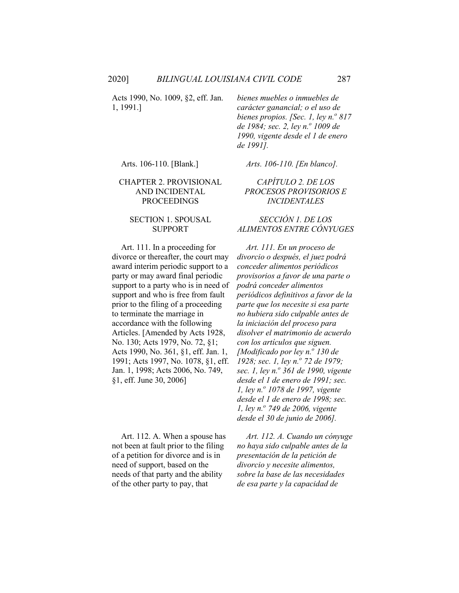Acts 1990, No. 1009, §2, eff. Jan. 1, 1991.]

*bienes muebles o inmuebles de carácter ganancial; o el uso de bienes propios. [Sec. 1, ley n.<sup>o</sup> 817 de 1984; sec. 2, ley n.o 1009 de 1990, vigente desde el 1 de enero de 1991].*

#### CHAPTER 2. PROVISIONAL AND INCIDENTAL PROCEEDINGS

#### SECTION 1. SPOUSAL SUPPORT

Art. 111. In a proceeding for divorce or thereafter, the court may award interim periodic support to a party or may award final periodic support to a party who is in need of support and who is free from fault prior to the filing of a proceeding to terminate the marriage in accordance with the following Articles. [Amended by Acts 1928, No. 130; Acts 1979, No. 72, §1; Acts 1990, No. 361, §1, eff. Jan. 1, 1991; Acts 1997, No. 1078, §1, eff. Jan. 1, 1998; Acts 2006, No. 749, §1, eff. June 30, 2006]

Art. 112. A. When a spouse has not been at fault prior to the filing of a petition for divorce and is in need of support, based on the needs of that party and the ability of the other party to pay, that

Arts. 106-110. [Blank.] *Arts. 106-110. [En blanco].*

### *CAPÍTULO 2. DE LOS PROCESOS PROVISORIOS E INCIDENTALES*

#### *SECCIÓN 1. DE LOS ALIMENTOS ENTRE CÓNYUGES*

*Art. 111. En un proceso de divorcio o después, el juez podrá conceder alimentos periódicos provisorios a favor de una parte o podrá conceder alimentos periódicos definitivos a favor de la parte que los necesite si esa parte no hubiera sido culpable antes de la iniciación del proceso para disolver el matrimonio de acuerdo con los artículos que siguen. [Modificado por ley n.<sup>o</sup> 130 de 1928; sec. 1, ley n.<sup>o</sup> 72 de 1979; sec. 1, ley n.o 361 de 1990, vigente desde el 1 de enero de 1991; sec. 1, ley n.o 1078 de 1997, vigente desde el 1 de enero de 1998; sec. 1, ley n.o 749 de 2006, vigente desde el 30 de junio de 2006].*

*Art. 112. A. Cuando un cónyuge no haya sido culpable antes de la presentación de la petición de divorcio y necesite alimentos, sobre la base de las necesidades de esa parte y la capacidad de*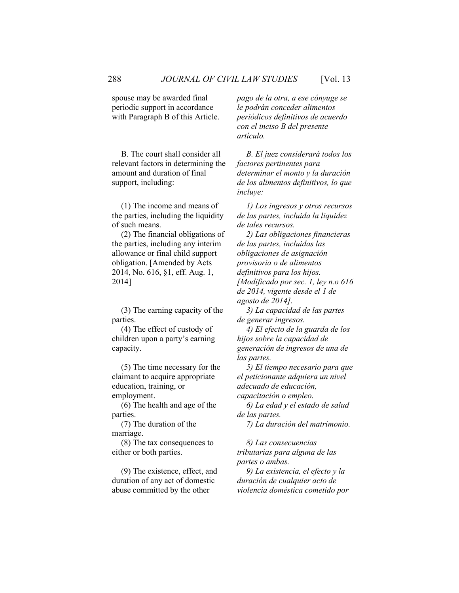spouse may be awarded final periodic support in accordance with Paragraph B of this Article.

B. The court shall consider all relevant factors in determining the amount and duration of final support, including:

(1) The income and means of the parties, including the liquidity of such means.

(2) The financial obligations of the parties, including any interim allowance or final child support obligation. [Amended by Acts 2014, No. 616, §1, eff. Aug. 1, 2014]

(3) The earning capacity of the parties.

(4) The effect of custody of children upon a party's earning capacity.

(5) The time necessary for the claimant to acquire appropriate education, training, or employment.

(6) The health and age of the parties.

(7) The duration of the marriage.

(8) The tax consequences to either or both parties.

(9) The existence, effect, and duration of any act of domestic abuse committed by the other

*pago de la otra, a ese cónyuge se le podrán conceder alimentos periódicos definitivos de acuerdo con el inciso B del presente artículo.*

*B. El juez considerará todos los factores pertinentes para determinar el monto y la duración de los alimentos definitivos, lo que incluye:*

*1) Los ingresos y otros recursos de las partes, incluida la liquidez de tales recursos.*

*2) Las obligaciones financieras de las partes, incluidas las obligaciones de asignación provisoria o de alimentos definitivos para los hijos. [Modificado por sec. 1, ley n.o 616 de 2014, vigente desde el 1 de agosto de 2014].*

*3) La capacidad de las partes de generar ingresos.*

*4) El efecto de la guarda de los hijos sobre la capacidad de generación de ingresos de una de las partes.*

*5) El tiempo necesario para que el peticionante adquiera un nivel adecuado de educación, capacitación o empleo.*

*6) La edad y el estado de salud de las partes.*

*7) La duración del matrimonio.*

*8) Las consecuencias tributarias para alguna de las partes o ambas.*

*9) La existencia, el efecto y la duración de cualquier acto de violencia doméstica cometido por*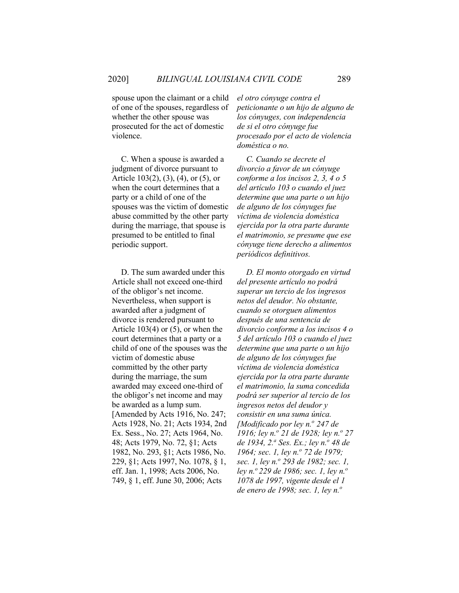spouse upon the claimant or a child of one of the spouses, regardless of whether the other spouse was prosecuted for the act of domestic violence.

C. When a spouse is awarded a judgment of divorce pursuant to Article 103(2), (3), (4), or (5), or when the court determines that a party or a child of one of the spouses was the victim of domestic abuse committed by the other party during the marriage, that spouse is presumed to be entitled to final periodic support.

D. The sum awarded under this Article shall not exceed one-third of the obligor's net income. Nevertheless, when support is awarded after a judgment of divorce is rendered pursuant to Article 103(4) or (5), or when the court determines that a party or a child of one of the spouses was the victim of domestic abuse committed by the other party during the marriage, the sum awarded may exceed one-third of the obligor's net income and may be awarded as a lump sum. [Amended by Acts 1916, No. 247; Acts 1928, No. 21; Acts 1934, 2nd Ex. Sess., No. 27; Acts 1964, No. 48; Acts 1979, No. 72, §1; Acts 1982, No. 293, §1; Acts 1986, No. 229, §1; Acts 1997, No. 1078, § 1, eff. Jan. 1, 1998; Acts 2006, No. 749, § 1, eff. June 30, 2006; Acts

*el otro cónyuge contra el peticionante o un hijo de alguno de los cónyuges, con independencia de si el otro cónyuge fue procesado por el acto de violencia doméstica o no.*

*C. Cuando se decrete el divorcio a favor de un cónyuge conforme a los incisos 2, 3, 4 o 5 del artículo 103 o cuando el juez determine que una parte o un hijo de alguno de los cónyuges fue víctima de violencia doméstica ejercida por la otra parte durante el matrimonio, se presume que ese cónyuge tiene derecho a alimentos periódicos definitivos.*

*D. El monto otorgado en virtud del presente artículo no podrá superar un tercio de los ingresos netos del deudor. No obstante, cuando se otorguen alimentos después de una sentencia de divorcio conforme a los incisos 4 o 5 del artículo 103 o cuando el juez determine que una parte o un hijo de alguno de los cónyuges fue víctima de violencia doméstica ejercida por la otra parte durante el matrimonio, la suma concedida podrá ser superior al tercio de los ingresos netos del deudor y consistir en una suma única. [Modificado por ley n.<sup>o</sup> 247 de 1916; ley n.<sup>o</sup> 21 de 1928; ley n.<sup>o</sup> 27 de 1934, 2.<sup><i>a*</sup> *Ses. Ex.; ley n.*<sup>*o*</sup> 48 *de 1964; sec. 1, ley n.<sup>o</sup> 72 de 1979; sec. 1, ley n.o 293 de 1982; sec. 1, ley n.o 229 de 1986; sec. 1, ley n.<sup>o</sup> 1078 de 1997, vigente desde el 1 de enero de 1998; sec. 1, ley n.o*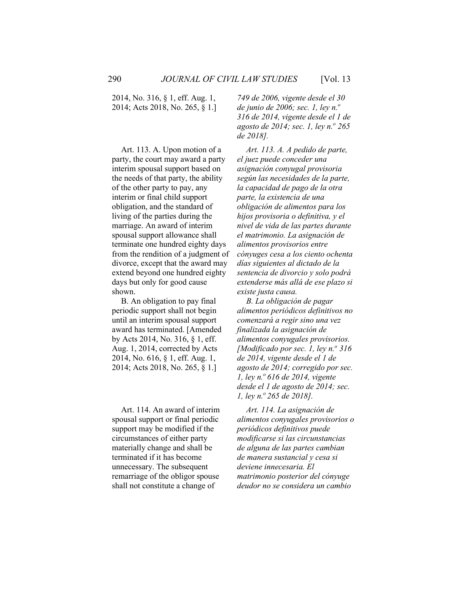2014, No. 316, § 1, eff. Aug. 1, 2014; Acts 2018, No. 265, § 1.]

Art. 113. A. Upon motion of a party, the court may award a party interim spousal support based on the needs of that party, the ability of the other party to pay, any interim or final child support obligation, and the standard of living of the parties during the marriage. An award of interim spousal support allowance shall terminate one hundred eighty days from the rendition of a judgment of divorce, except that the award may extend beyond one hundred eighty days but only for good cause shown.

B. An obligation to pay final periodic support shall not begin until an interim spousal support award has terminated. [Amended by Acts 2014, No. 316, § 1, eff. Aug. 1, 2014, corrected by Acts 2014, No. 616, § 1, eff. Aug. 1, 2014; Acts 2018, No. 265, § 1.]

Art. 114. An award of interim spousal support or final periodic support may be modified if the circumstances of either party materially change and shall be terminated if it has become unnecessary. The subsequent remarriage of the obligor spouse shall not constitute a change of

*749 de 2006, vigente desde el 30 de junio de 2006; sec. 1, ley n.o 316 de 2014, vigente desde el 1 de agosto de 2014; sec. 1, ley n.o 265 de 2018].*

*Art. 113. A. A pedido de parte, el juez puede conceder una asignación conyugal provisoria según las necesidades de la parte, la capacidad de pago de la otra parte, la existencia de una obligación de alimentos para los hijos provisoria o definitiva, y el nivel de vida de las partes durante el matrimonio. La asignación de alimentos provisorios entre cónyuges cesa a los ciento ochenta días siguientes al dictado de la sentencia de divorcio y solo podrá extenderse más allá de ese plazo si existe justa causa.*

*B. La obligación de pagar alimentos periódicos definitivos no comenzará a regir sino una vez finalizada la asignación de alimentos conyugales provisorios. [Modificado por sec. 1, ley n.º 316 de 2014, vigente desde el 1 de agosto de 2014; corregido por sec. 1, ley n.<sup>o</sup> 616 de 2014, vigente desde el 1 de agosto de 2014; sec. 1, ley n.<sup>o</sup> 265 de 2018].*

*Art. 114. La asignación de alimentos conyugales provisorios o periódicos definitivos puede modificarse si las circunstancias de alguna de las partes cambian de manera sustancial y cesa si deviene innecesaria. El matrimonio posterior del cónyuge deudor no se considera un cambio*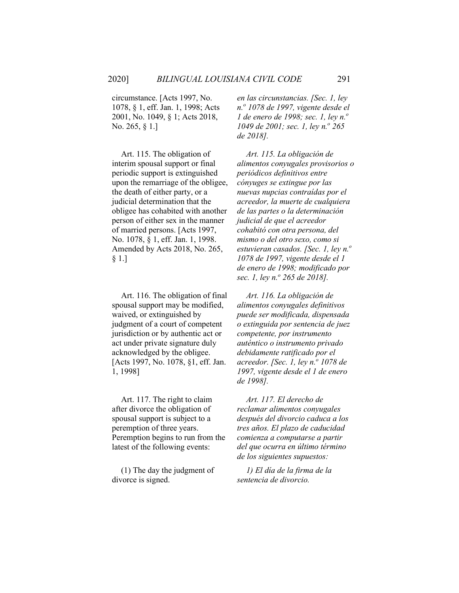circumstance. [Acts 1997, No. 1078, § 1, eff. Jan. 1, 1998; Acts 2001, No. 1049, § 1; Acts 2018, No. 265, § 1.]

Art. 115. The obligation of interim spousal support or final periodic support is extinguished upon the remarriage of the obligee, the death of either party, or a judicial determination that the obligee has cohabited with another person of either sex in the manner of married persons. [Acts 1997, No. 1078, § 1, eff. Jan. 1, 1998. Amended by Acts 2018, No. 265, § 1.]

Art. 116. The obligation of final spousal support may be modified, waived, or extinguished by judgment of a court of competent jurisdiction or by authentic act or act under private signature duly acknowledged by the obligee. [Acts 1997, No. 1078, §1, eff. Jan. 1, 1998]

Art. 117. The right to claim after divorce the obligation of spousal support is subject to a peremption of three years. Peremption begins to run from the latest of the following events:

(1) The day the judgment of divorce is signed.

*en las circunstancias. [Sec. 1, ley n.<sup>o</sup> 1078 de 1997, vigente desde el 1 de enero de 1998; sec. 1, ley n.*<sup>*o*</sup> *1049 de 2001; sec. 1, ley n.º 265 de 2018].*

*Art. 115. La obligación de alimentos conyugales provisorios o periódicos definitivos entre cónyuges se extingue por las nuevas nupcias contraídas por el acreedor, la muerte de cualquiera de las partes o la determinación judicial de que el acreedor cohabitó con otra persona, del mismo o del otro sexo, como si estuvieran casados. [Sec. 1, ley n.<sup>o</sup> 1078 de 1997, vigente desde el 1 de enero de 1998; modificado por sec. 1, ley n.o 265 de 2018].*

*Art. 116. La obligación de alimentos conyugales definitivos puede ser modificada, dispensada o extinguida por sentencia de juez competente, por instrumento auténtico o instrumento privado debidamente ratificado por el acreedor. [Sec. 1, ley n.<sup>o</sup> 1078 de 1997, vigente desde el 1 de enero de 1998].*

*Art. 117. El derecho de reclamar alimentos conyugales después del divorcio caduca a los tres años. El plazo de caducidad comienza a computarse a partir del que ocurra en último término de los siguientes supuestos:*

*1) El día de la firma de la sentencia de divorcio.*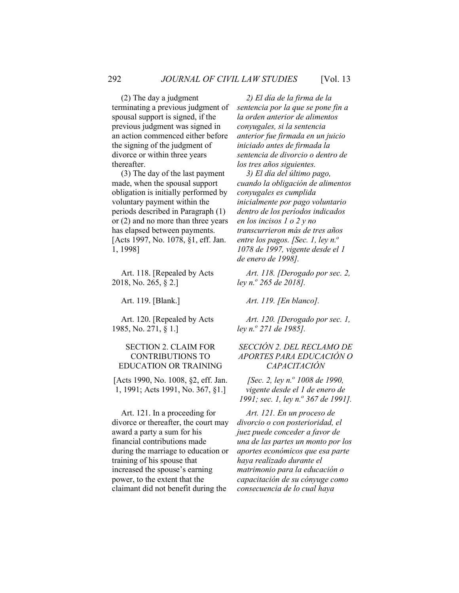(2) The day a judgment terminating a previous judgment of spousal support is signed, if the previous judgment was signed in an action commenced either before the signing of the judgment of divorce or within three years thereafter.

(3) The day of the last payment made, when the spousal support obligation is initially performed by voluntary payment within the periods described in Paragraph (1) or (2) and no more than three years has elapsed between payments. [Acts 1997, No. 1078, §1, eff. Jan. 1, 1998]

Art. 118. [Repealed by Acts 2018, No. 265, § 2.]

Art. 120. [Repealed by Acts 1985, No. 271, § 1.]

#### SECTION 2. CLAIM FOR CONTRIBUTIONS TO EDUCATION OR TRAINING

[Acts 1990, No. 1008, §2, eff. Jan. 1, 1991; Acts 1991, No. 367, §1.]

Art. 121. In a proceeding for divorce or thereafter, the court may award a party a sum for his financial contributions made during the marriage to education or training of his spouse that increased the spouse's earning power, to the extent that the claimant did not benefit during the

*2) El día de la firma de la sentencia por la que se pone fin a la orden anterior de alimentos conyugales, si la sentencia anterior fue firmada en un juicio iniciado antes de firmada la sentencia de divorcio o dentro de los tres años siguientes.*

*3) El día del último pago, cuando la obligación de alimentos conyugales es cumplida inicialmente por pago voluntario dentro de los períodos indicados en los incisos 1 o 2 y no transcurrieron más de tres años entre los pagos. [Sec. 1, ley n.<sup>o</sup> 1078 de 1997, vigente desde el 1 de enero de 1998].*

*Art. 118. [Derogado por sec. 2, ley n.o 265 de 2018].*

Art. 119. [Blank.] *Art. 119. [En blanco].*

*Art. 120. [Derogado por sec. 1, ley n.o 271 de 1985].*

#### *SECCIÓN 2. DEL RECLAMO DE APORTES PARA EDUCACIÓN O CAPACITACIÓN*

*[Sec. 2, ley n.o 1008 de 1990, vigente desde el 1 de enero de 1991; sec. 1, ley n.º 367 de 1991].* 

*Art. 121. En un proceso de divorcio o con posterioridad, el juez puede conceder a favor de una de las partes un monto por los aportes económicos que esa parte haya realizado durante el matrimonio para la educación o capacitación de su cónyuge como consecuencia de lo cual haya*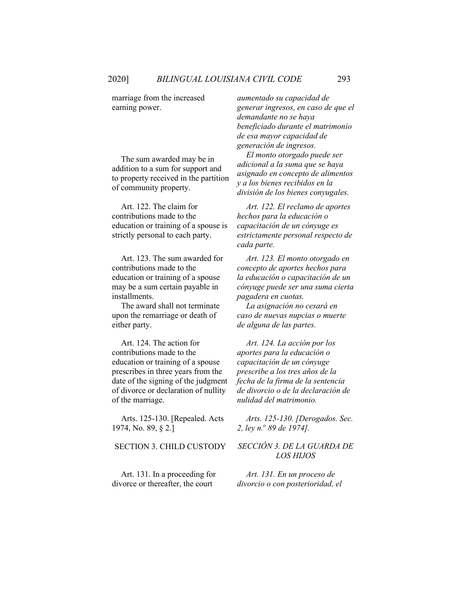marriage from the increased earning power.

The sum awarded may be in addition to a sum for support and to property received in the partition of community property.

Art. 122. The claim for contributions made to the education or training of a spouse is strictly personal to each party.

Art. 123. The sum awarded for contributions made to the education or training of a spouse may be a sum certain payable in installments.

The award shall not terminate upon the remarriage or death of either party.

Art. 124. The action for contributions made to the education or training of a spouse prescribes in three years from the date of the signing of the judgment of divorce or declaration of nullity of the marriage.

Arts. 125-130. [Repealed. Acts 1974, No. 89, § 2.]

Art. 131. In a proceeding for divorce or thereafter, the court

*aumentado su capacidad de generar ingresos, en caso de que el demandante no se haya beneficiado durante el matrimonio de esa mayor capacidad de generación de ingresos.*

*El monto otorgado puede ser adicional a la suma que se haya asignado en concepto de alimentos y a los bienes recibidos en la división de los bienes conyugales.*

*Art. 122. El reclamo de aportes hechos para la educación o capacitación de un cónyuge es estrictamente personal respecto de cada parte.*

*Art. 123. El monto otorgado en concepto de aportes hechos para la educación o capacitación de un cónyuge puede ser una suma cierta pagadera en cuotas.*

*La asignación no cesará en caso de nuevas nupcias o muerte de alguna de las partes.*

*Art. 124. La acción por los aportes para la educación o capacitación de un cónyuge prescribe a los tres años de la fecha de la firma de la sentencia de divorcio o de la declaración de nulidad del matrimonio.*

*Arts. 125-130. [Derogados. Sec. 2, ley n.<sup>o</sup> 89 de 1974].*

#### SECTION 3. CHILD CUSTODY *SECCIÓN 3. DE LA GUARDA DE LOS HIJOS*

*Art. 131. En un proceso de divorcio o con posterioridad, el*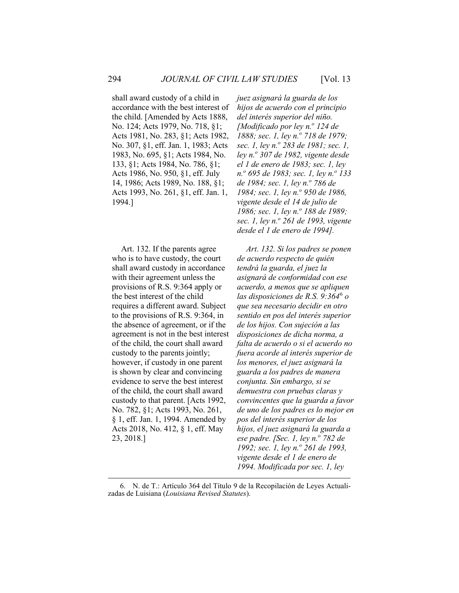shall award custody of a child in accordance with the best interest of the child. [Amended by Acts 1888, No. 124; Acts 1979, No. 718, §1; Acts 1981, No. 283, §1; Acts 1982, No. 307, §1, eff. Jan. 1, 1983; Acts 1983, No. 695, §1; Acts 1984, No. 133, §1; Acts 1984, No. 786, §1; Acts 1986, No. 950, §1, eff. July 14, 1986; Acts 1989, No. 188, §1; Acts 1993, No. 261, §1, eff. Jan. 1, 1994.]

Art. 132. If the parents agree who is to have custody, the court shall award custody in accordance with their agreement unless the provisions of R.S. 9:364 apply or the best interest of the child requires a different award. Subject to the provisions of R.S. 9:364, in the absence of agreement, or if the agreement is not in the best interest of the child, the court shall award custody to the parents jointly; however, if custody in one parent is shown by clear and convincing evidence to serve the best interest of the child, the court shall award custody to that parent. [Acts 1992, No. 782, §1; Acts 1993, No. 261, § 1, eff. Jan. 1, 1994. Amended by Acts 2018, No. 412, § 1, eff. May 23, 2018.]

*juez asignará la guarda de los hijos de acuerdo con el principio del interés superior del niño. [Modificado por ley n.<sup>o</sup> 124 de 1888; sec. 1, ley n.<sup>o</sup> 718 de 1979; sec. 1, ley n.o 283 de 1981; sec. 1, ley n.o 307 de 1982, vigente desde el 1 de enero de 1983; sec. 1, ley n.o 695 de 1983; sec. 1, ley n.o 133 de 1984; sec. 1, ley n.o 786 de 1984; sec. 1, ley n.<sup>o</sup> 950 de 1986, vigente desde el 14 de julio de 1986; sec. 1, lev n.º 188 de 1989; sec. 1, ley n.o 261 de 1993, vigente desde el 1 de enero de 1994].*

*Art. 132. Si los padres se ponen de acuerdo respecto de quién tendrá la guarda, el juez la asignará de conformidad con ese acuerdo, a menos que se apliquen las disposiciones de R.S. 9:364*[6](#page-18-0) *o que sea necesario decidir en otro sentido en pos del interés superior de los hijos. Con sujeción a las disposiciones de dicha norma, a falta de acuerdo o si el acuerdo no fuera acorde al interés superior de los menores, el juez asignará la guarda a los padres de manera conjunta. Sin embargo, si se demuestra con pruebas claras y convincentes que la guarda a favor de uno de los padres es lo mejor en pos del interés superior de los hijos, el juez asignará la guarda a ese padre. [Sec. 1, ley n.º 782 de 1992; sec. 1, ley n.<sup>o</sup> 261 de 1993, vigente desde el 1 de enero de 1994. Modificada por sec. 1, ley* 

<span id="page-18-0"></span><sup>6.</sup> N. de T.: Artículo 364 del Título 9 de la Recopilación de Leyes Actualizadas de Luisiana (*Louisiana Revised Statutes*).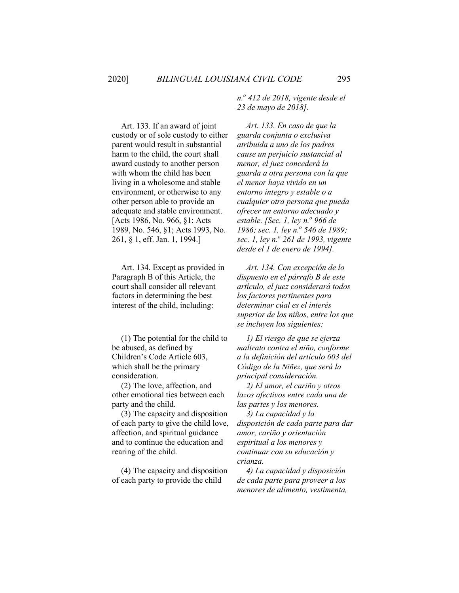Art. 133. If an award of joint custody or of sole custody to either parent would result in substantial harm to the child, the court shall award custody to another person with whom the child has been living in a wholesome and stable environment, or otherwise to any other person able to provide an adequate and stable environment. [Acts 1986, No. 966, §1; Acts 1989, No. 546, §1; Acts 1993, No. 261, § 1, eff. Jan. 1, 1994.]

Art. 134. Except as provided in Paragraph B of this Article, the court shall consider all relevant factors in determining the best interest of the child, including:

(1) The potential for the child to be abused, as defined by Children's Code Article 603, which shall be the primary consideration.

(2) The love, affection, and other emotional ties between each party and the child.

(3) The capacity and disposition of each party to give the child love, affection, and spiritual guidance and to continue the education and rearing of the child.

(4) The capacity and disposition of each party to provide the child

*n.<sup>o</sup> 412 de 2018, vigente desde el 23 de mayo de 2018].*

*Art. 133. En caso de que la guarda conjunta o exclusiva atribuida a uno de los padres cause un perjuicio sustancial al menor, el juez concederá la guarda a otra persona con la que el menor haya vivido en un entorno íntegro y estable o a cualquier otra persona que pueda ofrecer un entorno adecuado y estable. [Sec. 1, ley n.º 966 de 1986; sec. 1, ley n.º 546 de 1989; sec. 1, ley n.o 261 de 1993, vigente desde el 1 de enero de 1994].*

*Art. 134. Con excepción de lo dispuesto en el párrafo B de este artículo, el juez considerará todos los factores pertinentes para determinar cúal es el interés superior de los niños, entre los que se incluyen los siguientes:*

*1) El riesgo de que se ejerza maltrato contra el niño, conforme a la definición del artículo 603 del Código de la Niñez, que será la principal consideración.*

*2) El amor, el cariño y otros lazos afectivos entre cada una de las partes y los menores.*

*3) La capacidad y la disposición de cada parte para dar amor, cariño y orientación espiritual a los menores y continuar con su educación y crianza.*

*4) La capacidad y disposición de cada parte para proveer a los menores de alimento, vestimenta,*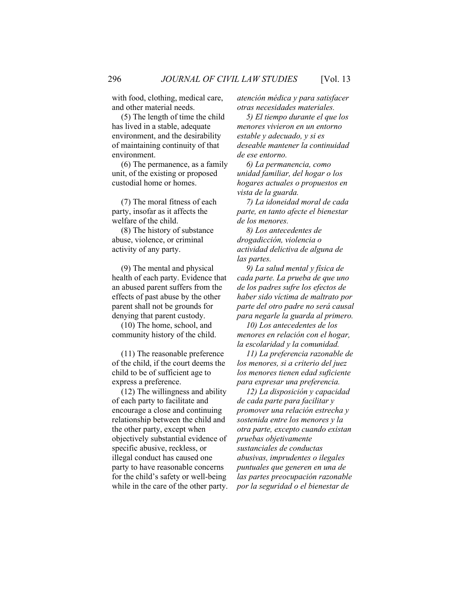with food, clothing, medical care, and other material needs.

(5) The length of time the child has lived in a stable, adequate environment, and the desirability of maintaining continuity of that environment.

(6) The permanence, as a family unit, of the existing or proposed custodial home or homes.

(7) The moral fitness of each party, insofar as it affects the welfare of the child.

(8) The history of substance abuse, violence, or criminal activity of any party.

(9) The mental and physical health of each party. Evidence that an abused parent suffers from the effects of past abuse by the other parent shall not be grounds for denying that parent custody.

(10) The home, school, and community history of the child.

(11) The reasonable preference of the child, if the court deems the child to be of sufficient age to express a preference.

(12) The willingness and ability of each party to facilitate and encourage a close and continuing relationship between the child and the other party, except when objectively substantial evidence of specific abusive, reckless, or illegal conduct has caused one party to have reasonable concerns for the child's safety or well-being while in the care of the other party. *atención médica y para satisfacer otras necesidades materiales.*

*5) El tiempo durante el que los menores vivieron en un entorno estable y adecuado, y si es deseable mantener la continuidad de ese entorno.*

*6) La permanencia, como unidad familiar, del hogar o los hogares actuales o propuestos en vista de la guarda.*

*7) La idoneidad moral de cada parte, en tanto afecte el bienestar de los menores.*

*8) Los antecedentes de drogadicción, violencia o actividad delictiva de alguna de las partes.*

*9) La salud mental y física de cada parte. La prueba de que uno de los padres sufre los efectos de haber sido víctima de maltrato por parte del otro padre no será causal para negarle la guarda al primero.*

*10) Los antecedentes de los menores en relación con el hogar, la escolaridad y la comunidad.*

*11) La preferencia razonable de los menores, si a criterio del juez los menores tienen edad suficiente para expresar una preferencia.*

*12) La disposición y capacidad de cada parte para facilitar y promover una relación estrecha y sostenida entre los menores y la otra parte, excepto cuando existan pruebas objetivamente sustanciales de conductas abusivas, imprudentes o ilegales puntuales que generen en una de las partes preocupación razonable por la seguridad o el bienestar de*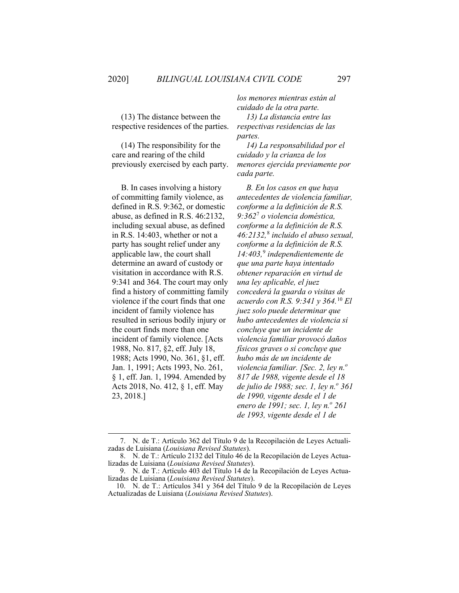(13) The distance between the respective residences of the parties.

(14) The responsibility for the care and rearing of the child previously exercised by each party.

B. In cases involving a history of committing family violence, as defined in R.S. 9:362, or domestic abuse, as defined in R.S. 46:2132, including sexual abuse, as defined in R.S. 14:403, whether or not a party has sought relief under any applicable law, the court shall determine an award of custody or visitation in accordance with R.S. 9:341 and 364. The court may only find a history of committing family violence if the court finds that one incident of family violence has resulted in serious bodily injury or the court finds more than one incident of family violence. [Acts 1988, No. 817, §2, eff. July 18, 1988; Acts 1990, No. 361, §1, eff. Jan. 1, 1991; Acts 1993, No. 261, § 1, eff. Jan. 1, 1994. Amended by Acts 2018, No. 412, § 1, eff. May 23, 2018.]

*los menores mientras están al cuidado de la otra parte.*

*13) La distancia entre las respectivas residencias de las partes.*

*14) La responsabilidad por el cuidado y la crianza de los menores ejercida previamente por cada parte.*

*B. En los casos en que haya antecedentes de violencia familiar, conforme a la definición de R.S. 9:362*[7](#page-21-0) *o violencia doméstica, conforme a la definición de R.S. 46:2132,*[8](#page-21-1) *incluido el abuso sexual, conforme a la definición de R.S. 14:403,*[9](#page-21-2) *independientemente de que una parte haya intentado obtener reparación en virtud de una ley aplicable, el juez concederá la guarda o visitas de acuerdo con R.S. 9:341 y 364.*[10](#page-21-3) *El juez solo puede determinar que hubo antecedentes de violencia si concluye que un incidente de violencia familiar provocó daños físicos graves o si concluye que hubo más de un incidente de violencia familiar. [Sec. 2, ley n.<sup>o</sup> 817 de 1988, vigente desde el 18 de julio de 1988; sec. 1, ley n.<sup>o</sup> 361 de 1990, vigente desde el 1 de enero de 1991; sec. 1, ley n.<sup>o</sup> 261 de 1993, vigente desde el 1 de* 

<span id="page-21-0"></span><sup>7.</sup> N. de T.: Artículo 362 del Título 9 de la Recopilación de Leyes Actualizadas de Luisiana (*Louisiana Revised Statutes*).

<span id="page-21-1"></span><sup>8.</sup> N. de T.: Artículo 2132 del Título 46 de la Recopilación de Leyes Actualizadas de Luisiana (*Louisiana Revised Statutes*).

<span id="page-21-2"></span><sup>9.</sup> N. de T.: Artículo 403 del Título 14 de la Recopilación de Leyes Actualizadas de Luisiana (*Louisiana Revised Statutes*).

<span id="page-21-3"></span><sup>10.</sup> N. de T.: Artículos 341 y 364 del Título 9 de la Recopilación de Leyes Actualizadas de Luisiana (*Louisiana Revised Statutes*).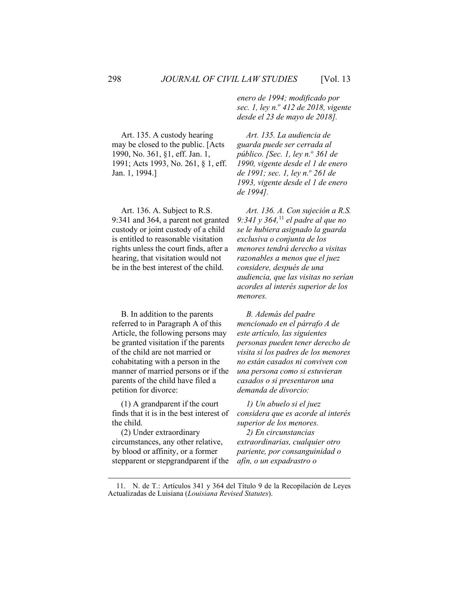Art. 135. A custody hearing may be closed to the public. [Acts 1990, No. 361, §1, eff. Jan. 1, 1991; Acts 1993, No. 261, § 1, eff. Jan. 1, 1994.]

Art. 136. A. Subject to R.S. 9:341 and 364, a parent not granted custody or joint custody of a child is entitled to reasonable visitation rights unless the court finds, after a hearing, that visitation would not be in the best interest of the child.

B. In addition to the parents referred to in Paragraph A of this Article, the following persons may be granted visitation if the parents of the child are not married or cohabitating with a person in the manner of married persons or if the parents of the child have filed a petition for divorce:

(1) A grandparent if the court finds that it is in the best interest of the child.

(2) Under extraordinary circumstances, any other relative, by blood or affinity, or a former stepparent or stepgrandparent if the *enero de 1994; modificado por sec. 1, ley n.o 412 de 2018, vigente desde el 23 de mayo de 2018].*

*Art. 135. La audiencia de guarda puede ser cerrada al público. [Sec. 1, ley n.<sup>o</sup> 361 de 1990, vigente desde el 1 de enero de 1991; sec. 1, ley n.o 261 de 1993, vigente desde el 1 de enero de 1994].*

*Art. 136. A. Con sujeción a R.S. 9:341 y 364,*[11](#page-22-0) *el padre al que no se le hubiera asignado la guarda exclusiva o conjunta de los menores tendrá derecho a visitas razonables a menos que el juez considere, después de una audiencia, que las visitas no serían acordes al interés superior de los menores.*

*B. Además del padre mencionado en el párrafo A de este artículo, las siguientes personas pueden tener derecho de visita si los padres de los menores no están casados ni conviven con una persona como si estuvieran casados o si presentaron una demanda de divorcio:*

*1) Un abuelo si el juez considera que es acorde al interés superior de los menores.*

*2) En circunstancias extraordinarias, cualquier otro pariente, por consanguinidad o afín, o un expadrastro o* 

<span id="page-22-0"></span><sup>11.</sup> N. de T.: Artículos 341 y 364 del Título 9 de la Recopilación de Leyes Actualizadas de Luisiana (*Louisiana Revised Statutes*).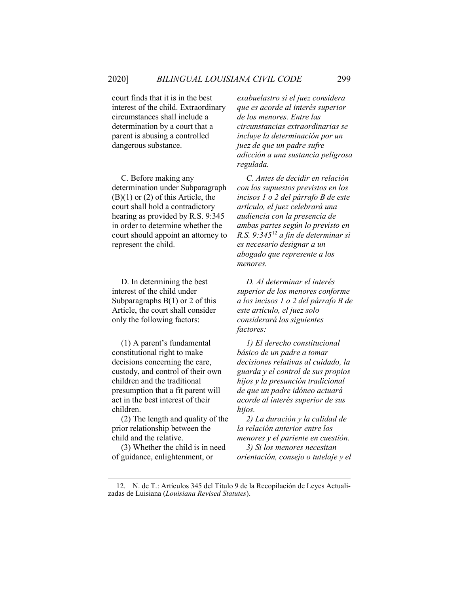court finds that it is in the best interest of the child. Extraordinary circumstances shall include a determination by a court that a parent is abusing a controlled dangerous substance.

C. Before making any determination under Subparagraph  $(B)(1)$  or  $(2)$  of this Article, the court shall hold a contradictory hearing as provided by R.S. 9:345 in order to determine whether the court should appoint an attorney to represent the child.

D. In determining the best interest of the child under Subparagraphs  $B(1)$  or 2 of this Article, the court shall consider only the following factors:

(1) A parent's fundamental constitutional right to make decisions concerning the care, custody, and control of their own children and the traditional presumption that a fit parent will act in the best interest of their children.

(2) The length and quality of the prior relationship between the child and the relative.

(3) Whether the child is in need of guidance, enlightenment, or

*exabuelastro si el juez considera que es acorde al interés superior de los menores. Entre las circunstancias extraordinarias se incluye la determinación por un juez de que un padre sufre adicción a una sustancia peligrosa regulada.*

*C. Antes de decidir en relación con los supuestos previstos en los incisos 1 o 2 del párrafo B de este artículo, el juez celebrará una audiencia con la presencia de ambas partes según lo previsto en R.S. 9:345*[12](#page-23-0) *a fin de determinar si es necesario designar a un abogado que represente a los menores.*

*D. Al determinar el interés superior de los menores conforme a los incisos 1 o 2 del párrafo B de este artículo, el juez solo considerará los siguientes factores:*

*1) El derecho constitucional básico de un padre a tomar decisiones relativas al cuidado, la guarda y el control de sus propios hijos y la presunción tradicional de que un padre idóneo actuará acorde al interés superior de sus hijos.*

*2) La duración y la calidad de la relación anterior entre los menores y el pariente en cuestión.*

*3) Si los menores necesitan orientación, consejo o tutelaje y el* 

<span id="page-23-0"></span><sup>12.</sup> N. de T.: Artículos 345 del Título 9 de la Recopilación de Leyes Actualizadas de Luisiana (*Louisiana Revised Statutes*).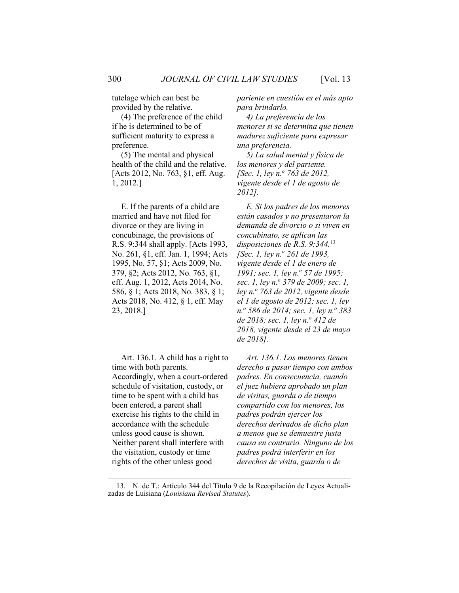tutelage which can best be provided by the relative.

(4) The preference of the child if he is determined to be of sufficient maturity to express a preference.

(5) The mental and physical health of the child and the relative. [Acts 2012, No. 763, §1, eff. Aug. 1, 2012.]

E. If the parents of a child are married and have not filed for divorce or they are living in concubinage, the provisions of R.S. 9:344 shall apply. [Acts 1993, No. 261, §1, eff. Jan. 1, 1994; Acts 1995, No. 57, §1; Acts 2009, No. 379, §2; Acts 2012, No. 763, §1, eff. Aug. 1, 2012, Acts 2014, No. 586, § 1; Acts 2018, No. 383, § 1; Acts 2018, No. 412, § 1, eff. May 23, 2018.]

Art. 136.1. A child has a right to time with both parents. Accordingly, when a court-ordered schedule of visitation, custody, or time to be spent with a child has been entered, a parent shall exercise his rights to the child in accordance with the schedule unless good cause is shown. Neither parent shall interfere with the visitation, custody or time rights of the other unless good

*pariente en cuestión es el más apto para brindarlo.*

*4) La preferencia de los menores si se determina que tienen madurez suficiente para expresar una preferencia.*

*5) La salud mental y física de los menores y del pariente. [Sec. 1, ley n.o 763 de 2012, vigente desde el 1 de agosto de 2012].*

*E. Si los padres de los menores están casados y no presentaron la demanda de divorcio o si viven en concubinato, se aplican las disposiciones de R.S. 9:344.*[13](#page-24-0) *[Sec. 1, ley n.o 261 de 1993, vigente desde el 1 de enero de 1991; sec. 1, ley n.º 57 de 1995; sec. 1, ley n.o 379 de 2009; sec. 1, ley n.o 763 de 2012, vigente desde el 1 de agosto de 2012; sec. 1, ley n.o 586 de 2014; sec. 1, ley n.<sup>o</sup> 383 de 2018; sec. 1, ley n.<sup>o</sup> 412 de 2018, vigente desde el 23 de mayo de 2018].*

*Art. 136.1. Los menores tienen derecho a pasar tiempo con ambos padres. En consecuencia, cuando el juez hubiera aprobado un plan de visitas, guarda o de tiempo compartido con los menores, los padres podrán ejercer los derechos derivados de dicho plan a menos que se demuestre justa causa en contrario. Ninguno de los padres podrá interferir en los derechos de visita, guarda o de* 

<span id="page-24-0"></span><sup>13.</sup> N. de T.: Artículo 344 del Título 9 de la Recopilación de Leyes Actualizadas de Luisiana (*Louisiana Revised Statutes*).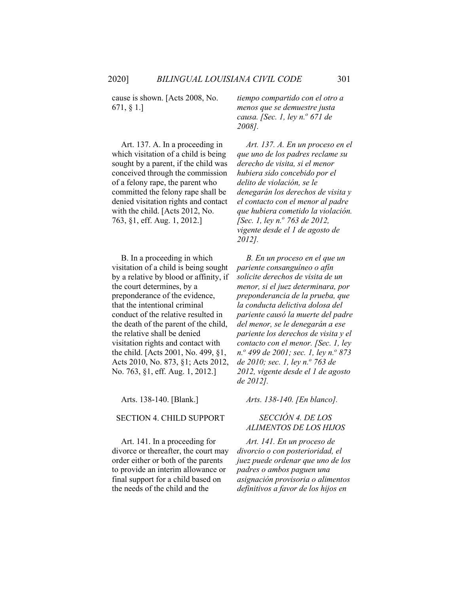cause is shown. [Acts 2008, No. 671, § 1.]

Art. 137. A. In a proceeding in which visitation of a child is being sought by a parent, if the child was conceived through the commission of a felony rape, the parent who committed the felony rape shall be denied visitation rights and contact with the child. [Acts 2012, No. 763, §1, eff. Aug. 1, 2012.]

B. In a proceeding in which visitation of a child is being sought by a relative by blood or affinity, if the court determines, by a preponderance of the evidence, that the intentional criminal conduct of the relative resulted in the death of the parent of the child, the relative shall be denied visitation rights and contact with the child. [Acts 2001, No. 499, §1, Acts 2010, No. 873, §1; Acts 2012, No. 763, §1, eff. Aug. 1, 2012.]

#### SECTION 4. CHILD SUPPORT *SECCIÓN 4. DE LOS*

Art. 141. In a proceeding for divorce or thereafter, the court may order either or both of the parents to provide an interim allowance or final support for a child based on the needs of the child and the

*tiempo compartido con el otro a menos que se demuestre justa causa. [Sec. 1, ley n.*<sup>*o*</sup> 671 de *2008].*

*Art. 137. A. En un proceso en el que uno de los padres reclame su derecho de visita, si el menor hubiera sido concebido por el delito de violación, se le denegarán los derechos de visita y el contacto con el menor al padre que hubiera cometido la violación. [Sec. 1, ley n.<sup>o</sup> 763 de 2012, vigente desde el 1 de agosto de 2012].*

*B. En un proceso en el que un pariente consanguíneo o afín solicite derechos de visita de un menor, si el juez determinara, por preponderancia de la prueba, que la conducta delictiva dolosa del pariente causó la muerte del padre del menor, se le denegarán a ese pariente los derechos de visita y el contacto con el menor. [Sec. 1, ley n.<sup>o</sup> 499 de 2001; sec. 1, ley n.o 873 de 2010; sec. 1, ley n.o 763 de 2012, vigente desde el 1 de agosto de 2012].*

Arts. 138-140. [Blank.] *Arts. 138-140. [En blanco].*

# *ALIMENTOS DE LOS HIJOS*

*Art. 141. En un proceso de divorcio o con posterioridad, el juez puede ordenar que uno de los padres o ambos paguen una asignación provisoria o alimentos definitivos a favor de los hijos en*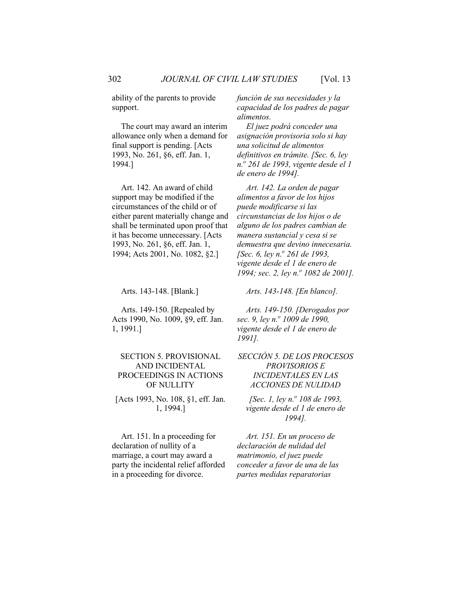ability of the parents to provide support.

The court may award an interim allowance only when a demand for final support is pending. [Acts 1993, No. 261, §6, eff. Jan. 1, 1994.]

Art. 142. An award of child support may be modified if the circumstances of the child or of either parent materially change and shall be terminated upon proof that it has become unnecessary. [Acts 1993, No. 261, §6, eff. Jan. 1, 1994; Acts 2001, No. 1082, §2.]

Arts. 149-150. [Repealed by Acts 1990, No. 1009, §9, eff. Jan. 1, 1991.]

#### SECTION 5. PROVISIONAL AND INCIDENTAL PROCEEDINGS IN ACTIONS OF NULLITY

[Acts 1993, No. 108, §1, eff. Jan. 1, 1994.]

Art. 151. In a proceeding for declaration of nullity of a marriage, a court may award a party the incidental relief afforded in a proceeding for divorce.

*función de sus necesidades y la capacidad de los padres de pagar alimentos.*

*El juez podrá conceder una asignación provisoria solo si hay una solicitud de alimentos definitivos en trámite. [Sec. 6, ley n.<sup>o</sup> 261 de 1993, vigente desde el 1 de enero de 1994].*

*Art. 142. La orden de pagar alimentos a favor de los hijos puede modificarse si las circunstancias de los hijos o de alguno de los padres cambian de manera sustancial y cesa si se demuestra que devino innecesaria. [Sec. 6, ley n.o 261 de 1993, vigente desde el 1 de enero de 1994; sec. 2, ley n.º 1082 de 2001].* 

Arts. 143-148. [Blank.] *Arts. 143-148. [En blanco].*

*Arts. 149-150. [Derogados por sec. 9, ley n.<sup>o</sup> 1009 de 1990, vigente desde el 1 de enero de 1991].*

#### *SECCIÓN 5. DE LOS PROCESOS PROVISORIOS E INCIDENTALES EN LAS ACCIONES DE NULIDAD*

*[Sec. 1, ley n.<sup>o</sup> 108 de 1993, vigente desde el 1 de enero de 1994].*

*Art. 151. En un proceso de declaración de nulidad del matrimonio, el juez puede conceder a favor de una de las partes medidas reparatorias*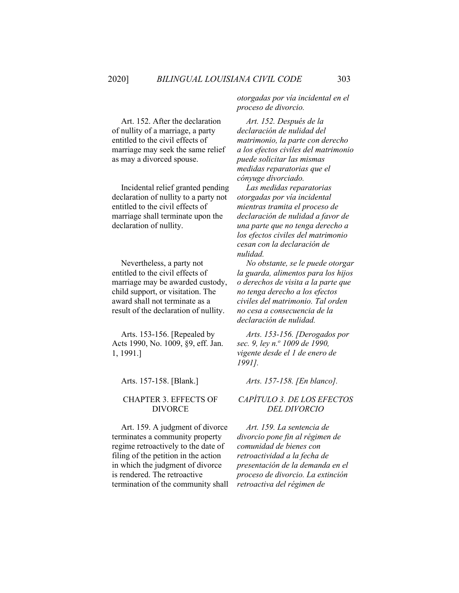Art. 152. After the declaration of nullity of a marriage, a party entitled to the civil effects of marriage may seek the same relief as may a divorced spouse.

Incidental relief granted pending declaration of nullity to a party not entitled to the civil effects of marriage shall terminate upon the declaration of nullity.

Nevertheless, a party not entitled to the civil effects of marriage may be awarded custody, child support, or visitation. The award shall not terminate as a result of the declaration of nullity.

Arts. 153-156. [Repealed by Acts 1990, No. 1009, §9, eff. Jan. 1, 1991.]

#### CHAPTER 3. EFFECTS OF DIVORCE

Art. 159. A judgment of divorce terminates a community property regime retroactively to the date of filing of the petition in the action in which the judgment of divorce is rendered. The retroactive termination of the community shall *otorgadas por vía incidental en el proceso de divorcio.* 

*Art. 152. Después de la declaración de nulidad del matrimonio, la parte con derecho a los efectos civiles del matrimonio puede solicitar las mismas medidas reparatorias que el cónyuge divorciado.*

*Las medidas reparatorias otorgadas por vía incidental mientras tramita el proceso de declaración de nulidad a favor de una parte que no tenga derecho a los efectos civiles del matrimonio cesan con la declaración de nulidad.*

*No obstante, se le puede otorgar la guarda, alimentos para los hijos o derechos de visita a la parte que no tenga derecho a los efectos civiles del matrimonio. Tal orden no cesa a consecuencia de la declaración de nulidad.*

*Arts. 153-156. [Derogados por sec. 9, ley n.<sup>o</sup> 1009 de 1990, vigente desde el 1 de enero de 1991].*

#### Arts. 157-158. [Blank.] *Arts. 157-158. [En blanco].*

#### *CAPÍTULO 3. DE LOS EFECTOS DEL DIVORCIO*

*Art. 159. La sentencia de divorcio pone fin al régimen de comunidad de bienes con retroactividad a la fecha de presentación de la demanda en el proceso de divorcio. La extinción retroactiva del régimen de*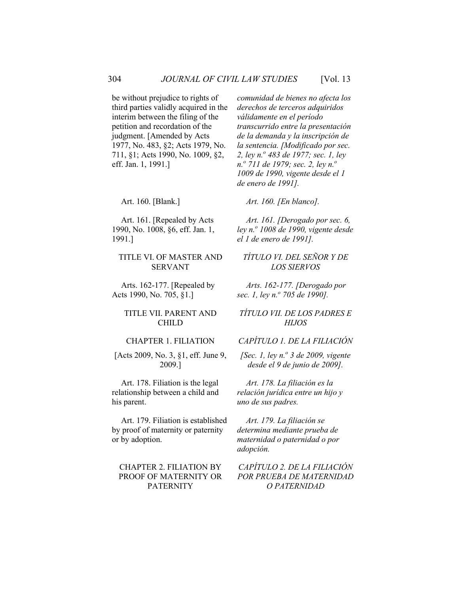be without prejudice to rights of third parties validly acquired in the interim between the filing of the petition and recordation of the judgment. [Amended by Acts 1977, No. 483, §2; Acts 1979, No. 711, §1; Acts 1990, No. 1009, §2, eff. Jan. 1, 1991.]

Art. 161. [Repealed by Acts 1990, No. 1008, §6, eff. Jan. 1, 1991.]

#### TITLE VI. OF MASTER AND SERVANT

Arts. 162-177. [Repealed by Acts 1990, No. 705, §1.]

#### TITLE VII. PARENT AND CHILD

#### CHAPTER 1. FILIATION

[Acts 2009, No. 3, §1, eff. June 9, 2009.]

Art. 178. Filiation is the legal relationship between a child and his parent.

Art. 179. Filiation is established by proof of maternity or paternity or by adoption.

#### CHAPTER 2. FILIATION BY PROOF OF MATERNITY OR PATERNITY

*comunidad de bienes no afecta los derechos de terceros adquiridos válidamente en el período transcurrido entre la presentación de la demanda y la inscripción de la sentencia. [Modificado por sec. 2, ley n.<sup>o</sup> 483 de 1977; sec. 1, ley n.o 711 de 1979; sec. 2, ley n.o 1009 de 1990, vigente desde el 1 de enero de 1991].*

Art. 160. [Blank.] *Art. 160. [En blanco].*

*Art. 161. [Derogado por sec. 6, ley n.o 1008 de 1990, vigente desde el 1 de enero de 1991].*

#### *TÍTULO VI. DEL SEÑOR Y DE LOS SIERVOS*

*Arts. 162-177. [Derogado por sec. 1, ley n.<sup>o</sup> 705 de 1990].*

#### *TÍTULO VII. DE LOS PADRES E HIJOS*

#### *CAPÍTULO 1. DE LA FILIACIÓN*

*[Sec. 1, ley n.<sup>o</sup> 3 de 2009, vigente desde el 9 de junio de 2009].*

*Art. 178. La filiación es la relación jurídica entre un hijo y uno de sus padres.*

*Art. 179. La filiación se determina mediante prueba de maternidad o paternidad o por adopción.*

#### *CAPÍTULO 2. DE LA FILIACIÓN POR PRUEBA DE MATERNIDAD O PATERNIDAD*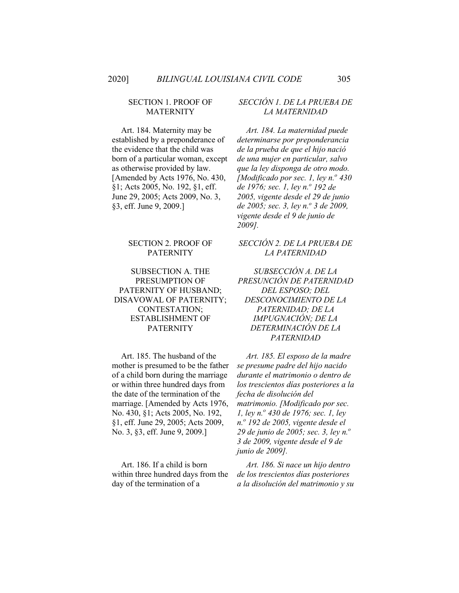#### SECTION 1. PROOF OF MATERNITY

Art. 184. Maternity may be established by a preponderance of the evidence that the child was born of a particular woman, except as otherwise provided by law. [Amended by Acts 1976, No. 430, §1; Acts 2005, No. 192, §1, eff. June 29, 2005; Acts 2009, No. 3, §3, eff. June 9, 2009.]

#### SECTION 2. PROOF OF PATERNITY

#### SUBSECTION A. THE PRESUMPTION OF PATERNITY OF HUSBAND; DISAVOWAL OF PATERNITY; CONTESTATION; ESTABLISHMENT OF PATERNITY

Art. 185. The husband of the mother is presumed to be the father of a child born during the marriage or within three hundred days from the date of the termination of the marriage. [Amended by Acts 1976, No. 430, §1; Acts 2005, No. 192, §1, eff. June 29, 2005; Acts 2009, No. 3, §3, eff. June 9, 2009.]

Art. 186. If a child is born within three hundred days from the day of the termination of a

#### *SECCIÓN 1. DE LA PRUEBA DE LA MATERNIDAD*

*Art. 184. La maternidad puede determinarse por preponderancia de la prueba de que el hijo nació de una mujer en particular, salvo que la ley disponga de otro modo. [Modificado por sec. 1, ley n.<sup>o</sup> 430 de 1976; sec. 1, ley n.<sup>o</sup> 192 de 2005, vigente desde el 29 de junio de 2005; sec. 3, ley n.<sup>o</sup> 3 de 2009, vigente desde el 9 de junio de 2009].*

#### *SECCIÓN 2. DE LA PRUEBA DE LA PATERNIDAD*

*SUBSECCIÓN A. DE LA PRESUNCIÓN DE PATERNIDAD DEL ESPOSO; DEL DESCONOCIMIENTO DE LA PATERNIDAD; DE LA IMPUGNACIÓN; DE LA DETERMINACIÓN DE LA PATERNIDAD*

*Art. 185. El esposo de la madre se presume padre del hijo nacido durante el matrimonio o dentro de los trescientos días posteriores a la fecha de disolución del matrimonio. [Modificado por sec. 1, ley n.<sup>o</sup> 430 de 1976; sec. 1, ley n.o 192 de 2005, vigente desde el 29 de junio de 2005; sec. 3, ley n.o 3 de 2009, vigente desde el 9 de junio de 2009].*

*Art. 186. Si nace un hijo dentro de los trescientos días posteriores a la disolución del matrimonio y su*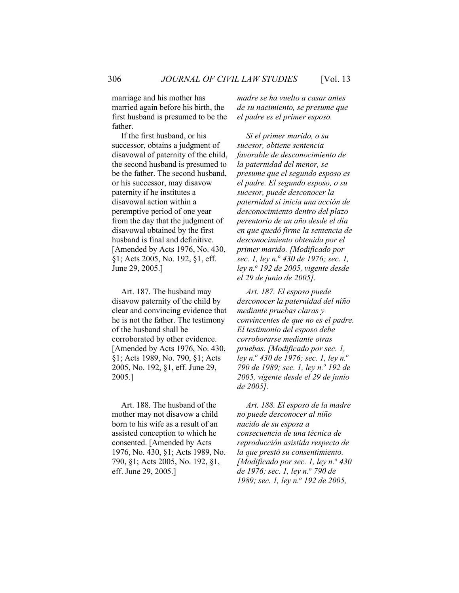marriage and his mother has married again before his birth, the first husband is presumed to be the father.

If the first husband, or his successor, obtains a judgment of disavowal of paternity of the child, the second husband is presumed to be the father. The second husband, or his successor, may disavow paternity if he institutes a disavowal action within a peremptive period of one year from the day that the judgment of disavowal obtained by the first husband is final and definitive. [Amended by Acts 1976, No. 430, §1; Acts 2005, No. 192, §1, eff. June 29, 2005.]

Art. 187. The husband may disavow paternity of the child by clear and convincing evidence that he is not the father. The testimony of the husband shall be corroborated by other evidence. [Amended by Acts 1976, No. 430, §1; Acts 1989, No. 790, §1; Acts 2005, No. 192, §1, eff. June 29, 2005.]

Art. 188. The husband of the mother may not disavow a child born to his wife as a result of an assisted conception to which he consented. [Amended by Acts 1976, No. 430, §1; Acts 1989, No. 790, §1; Acts 2005, No. 192, §1, eff. June 29, 2005.]

*madre se ha vuelto a casar antes de su nacimiento, se presume que el padre es el primer esposo.*

*Si el primer marido, o su sucesor, obtiene sentencia favorable de desconocimiento de la paternidad del menor, se presume que el segundo esposo es el padre. El segundo esposo, o su sucesor, puede desconocer la paternidad si inicia una acción de desconocimiento dentro del plazo perentorio de un año desde el día en que quedó firme la sentencia de desconocimiento obtenida por el primer marido. [Modificado por sec. 1, ley n.o 430 de 1976; sec. 1, ley n.o 192 de 2005, vigente desde el 29 de junio de 2005].*

*Art. 187. El esposo puede desconocer la paternidad del niño mediante pruebas claras y convincentes de que no es el padre. El testimonio del esposo debe corroborarse mediante otras pruebas. [Modificado por sec. 1, ley n.<sup>o</sup> 430 de 1976; sec. 1, ley n.<sup>o</sup> 790 de 1989; sec. 1, ley n.o 192 de 2005, vigente desde el 29 de junio de 2005].*

*Art. 188. El esposo de la madre no puede desconocer al niño nacido de su esposa a consecuencia de una técnica de reproducción asistida respecto de la que prestó su consentimiento. [Modificado por sec. 1, ley n.<sup>o</sup> 430 de 1976; sec. 1, ley n.<sup>o</sup> 790 de 1989; sec. 1, ley n.*<sup>*o*</sup> *192 de 2005,*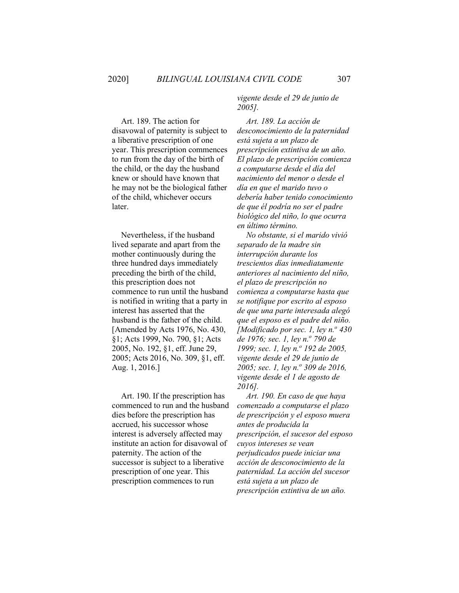Art. 189. The action for disavowal of paternity is subject to a liberative prescription of one year. This prescription commences to run from the day of the birth of the child, or the day the husband knew or should have known that he may not be the biological father of the child, whichever occurs later.

Nevertheless, if the husband lived separate and apart from the mother continuously during the three hundred days immediately preceding the birth of the child, this prescription does not commence to run until the husband is notified in writing that a party in interest has asserted that the husband is the father of the child. [Amended by Acts 1976, No. 430, §1; Acts 1999, No. 790, §1; Acts 2005, No. 192, §1, eff. June 29, 2005; Acts 2016, No. 309, §1, eff. Aug. 1, 2016.]

Art. 190. If the prescription has commenced to run and the husband dies before the prescription has accrued, his successor whose interest is adversely affected may institute an action for disavowal of paternity. The action of the successor is subject to a liberative prescription of one year. This prescription commences to run

*vigente desde el 29 de junio de 2005].*

*Art. 189. La acción de desconocimiento de la paternidad está sujeta a un plazo de prescripción extintiva de un año. El plazo de prescripción comienza a computarse desde el día del nacimiento del menor o desde el día en que el marido tuvo o debería haber tenido conocimiento de que él podría no ser el padre biológico del niño, lo que ocurra en último término.*

*No obstante, si el marido vivió separado de la madre sin interrupción durante los trescientos días inmediatamente anteriores al nacimiento del niño, el plazo de prescripción no comienza a computarse hasta que se notifique por escrito al esposo de que una parte interesada alegó que el esposo es el padre del niño. [Modificado por sec. 1, ley n.º 430] de 1976; sec. 1, ley n.<sup>o</sup> 790 de 1999; sec. 1, ley n.<sup>o</sup> 192 de 2005, vigente desde el 29 de junio de 2005; sec. 1, ley n.o 309 de 2016, vigente desde el 1 de agosto de 2016].*

*Art. 190. En caso de que haya comenzado a computarse el plazo de prescripción y el esposo muera antes de producida la prescripción, el sucesor del esposo cuyos intereses se vean perjudicados puede iniciar una acción de desconocimiento de la paternidad. La acción del sucesor está sujeta a un plazo de prescripción extintiva de un año.*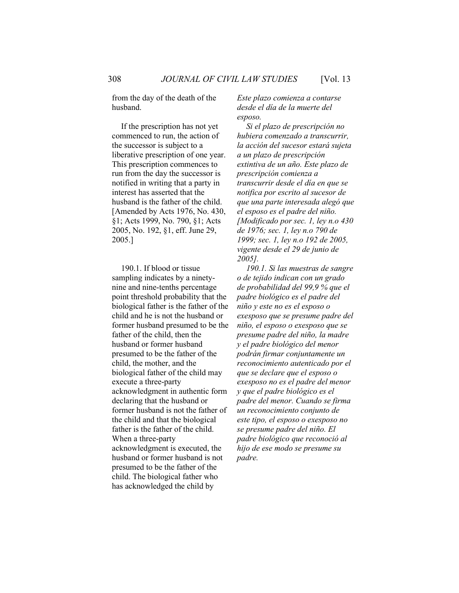from the day of the death of the husband.

If the prescription has not yet commenced to run, the action of the successor is subject to a liberative prescription of one year. This prescription commences to run from the day the successor is notified in writing that a party in interest has asserted that the husband is the father of the child. [Amended by Acts 1976, No. 430, §1; Acts 1999, No. 790, §1; Acts 2005, No. 192, §1, eff. June 29, 2005.]

190.1. If blood or tissue sampling indicates by a ninetynine and nine-tenths percentage point threshold probability that the biological father is the father of the child and he is not the husband or former husband presumed to be the father of the child, then the husband or former husband presumed to be the father of the child, the mother, and the biological father of the child may execute a three-party acknowledgment in authentic form declaring that the husband or former husband is not the father of the child and that the biological father is the father of the child. When a three-party acknowledgment is executed, the husband or former husband is not presumed to be the father of the child. The biological father who has acknowledged the child by

*Este plazo comienza a contarse desde el día de la muerte del esposo.*

*Si el plazo de prescripción no hubiera comenzado a transcurrir, la acción del sucesor estará sujeta a un plazo de prescripción extintiva de un año. Este plazo de prescripción comienza a transcurrir desde el día en que se notifica por escrito al sucesor de que una parte interesada alegó que el esposo es el padre del niño. [Modificado por sec. 1, ley n.o 430 de 1976; sec. 1, ley n.o 790 de 1999; sec. 1, ley n.o 192 de 2005, vigente desde el 29 de junio de 2005].*

*190.1. Si las muestras de sangre o de tejido indican con un grado de probabilidad del 99,9 % que el padre biológico es el padre del niño y este no es el esposo o exesposo que se presume padre del niño, el esposo o exesposo que se presume padre del niño, la madre y el padre biológico del menor podrán firmar conjuntamente un reconocimiento autenticado por el que se declare que el esposo o exesposo no es el padre del menor y que el padre biológico es el padre del menor. Cuando se firma un reconocimiento conjunto de este tipo, el esposo o exesposo no se presume padre del niño. El padre biológico que reconoció al hijo de ese modo se presume su padre.*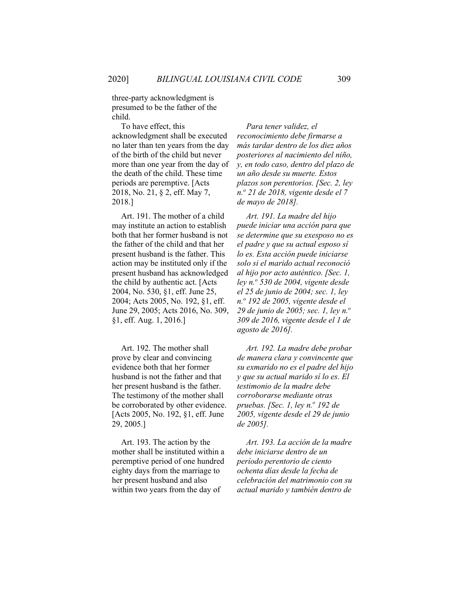three-party acknowledgment is presumed to be the father of the child.

To have effect, this acknowledgment shall be executed no later than ten years from the day of the birth of the child but never more than one year from the day of the death of the child. These time periods are peremptive. [Acts 2018, No. 21, § 2, eff. May 7, 2018.]

Art. 191. The mother of a child may institute an action to establish both that her former husband is not the father of the child and that her present husband is the father. This action may be instituted only if the present husband has acknowledged the child by authentic act. [Acts 2004, No. 530, §1, eff. June 25, 2004; Acts 2005, No. 192, §1, eff. June 29, 2005; Acts 2016, No. 309, §1, eff. Aug. 1, 2016.]

Art. 192. The mother shall prove by clear and convincing evidence both that her former husband is not the father and that her present husband is the father. The testimony of the mother shall be corroborated by other evidence. [Acts 2005, No. 192, §1, eff. June 29, 2005.]

Art. 193. The action by the mother shall be instituted within a peremptive period of one hundred eighty days from the marriage to her present husband and also within two years from the day of

*Para tener validez, el reconocimiento debe firmarse a más tardar dentro de los diez años posteriores al nacimiento del niño, y, en todo caso, dentro del plazo de un año desde su muerte. Estos plazos son perentorios. [Sec. 2, ley n.<sup>o</sup> 21 de 2018, vigente desde el 7 de mayo de 2018].*

*Art. 191. La madre del hijo puede iniciar una acción para que se determine que su exesposo no es el padre y que su actual esposo sí lo es. Esta acción puede iniciarse solo si el marido actual reconoció al hijo por acto auténtico. [Sec. 1, ley n.<sup>o</sup> 530 de 2004, vigente desde el 25 de junio de 2004; sec. 1, ley n.o 192 de 2005, vigente desde el 29 de junio de 2005; sec. 1, ley n.o 309 de 2016, vigente desde el 1 de agosto de 2016].*

*Art. 192. La madre debe probar de manera clara y convincente que su exmarido no es el padre del hijo y que su actual marido sí lo es. El testimonio de la madre debe corroborarse mediante otras pruebas. [Sec. 1, ley n.<sup>o</sup> 192 de 2005, vigente desde el 29 de junio de 2005].*

*Art. 193. La acción de la madre debe iniciarse dentro de un período perentorio de ciento ochenta días desde la fecha de celebración del matrimonio con su actual marido y también dentro de*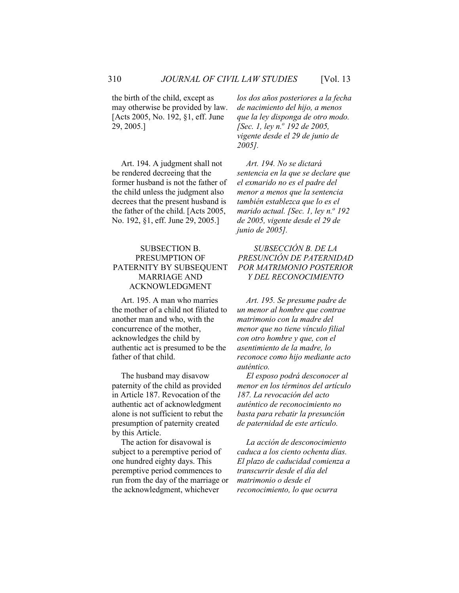the birth of the child, except as may otherwise be provided by law. [Acts 2005, No. 192, §1, eff. June 29, 2005.]

Art. 194. A judgment shall not be rendered decreeing that the former husband is not the father of the child unless the judgment also decrees that the present husband is the father of the child. [Acts 2005, No. 192, §1, eff. June 29, 2005.]

#### SUBSECTION B. PRESUMPTION OF PATERNITY BY SUBSEQUENT MARRIAGE AND ACKNOWLEDGMENT

Art. 195. A man who marries the mother of a child not filiated to another man and who, with the concurrence of the mother, acknowledges the child by authentic act is presumed to be the father of that child.

The husband may disavow paternity of the child as provided in Article 187. Revocation of the authentic act of acknowledgment alone is not sufficient to rebut the presumption of paternity created by this Article.

The action for disavowal is subject to a peremptive period of one hundred eighty days. This peremptive period commences to run from the day of the marriage or the acknowledgment, whichever

*los dos años posteriores a la fecha de nacimiento del hijo, a menos que la ley disponga de otro modo. [Sec. 1, ley n.o 192 de 2005, vigente desde el 29 de junio de 2005].*

*Art. 194. No se dictará sentencia en la que se declare que el exmarido no es el padre del menor a menos que la sentencia también establezca que lo es el marido actual. [Sec. 1, ley n.º 192 de 2005, vigente desde el 29 de junio de 2005].*

#### *SUBSECCIÓN B. DE LA PRESUNCIÓN DE PATERNIDAD POR MATRIMONIO POSTERIOR Y DEL RECONOCIMIENTO*

*Art. 195. Se presume padre de un menor al hombre que contrae matrimonio con la madre del menor que no tiene vínculo filial con otro hombre y que, con el asentimiento de la madre, lo reconoce como hijo mediante acto auténtico.*

*El esposo podrá desconocer al menor en los términos del artículo 187. La revocación del acto auténtico de reconocimiento no basta para rebatir la presunción de paternidad de este artículo.*

*La acción de desconocimiento caduca a los ciento ochenta días. El plazo de caducidad comienza a transcurrir desde el día del matrimonio o desde el reconocimiento, lo que ocurra*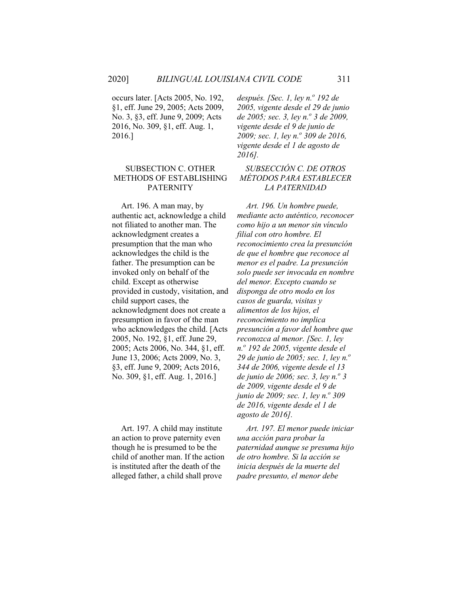occurs later. [Acts 2005, No. 192, §1, eff. June 29, 2005; Acts 2009, No. 3, §3, eff. June 9, 2009; Acts 2016, No. 309, §1, eff. Aug. 1, 2016.]

#### SUBSECTION C. OTHER METHODS OF ESTABLISHING PATERNITY

Art. 196. A man may, by authentic act, acknowledge a child not filiated to another man. The acknowledgment creates a presumption that the man who acknowledges the child is the father. The presumption can be invoked only on behalf of the child. Except as otherwise provided in custody, visitation, and child support cases, the acknowledgment does not create a presumption in favor of the man who acknowledges the child. [Acts 2005, No. 192, §1, eff. June 29, 2005; Acts 2006, No. 344, §1, eff. June 13, 2006; Acts 2009, No. 3, §3, eff. June 9, 2009; Acts 2016, No. 309, §1, eff. Aug. 1, 2016.]

Art. 197. A child may institute an action to prove paternity even though he is presumed to be the child of another man. If the action is instituted after the death of the alleged father, a child shall prove

*después. [Sec. 1, ley n.º 192 de 2005, vigente desde el 29 de junio de 2005; sec. 3, ley n.<sup>o</sup> 3 de 2009, vigente desde el 9 de junio de 2009; sec. 1, ley n.<sup>o</sup> 309 de 2016, vigente desde el 1 de agosto de 2016].*

#### *SUBSECCIÓN C. DE OTROS MÉTODOS PARA ESTABLECER LA PATERNIDAD*

*Art. 196. Un hombre puede, mediante acto auténtico, reconocer como hijo a un menor sin vínculo filial con otro hombre. El reconocimiento crea la presunción de que el hombre que reconoce al menor es el padre. La presunción solo puede ser invocada en nombre del menor. Excepto cuando se disponga de otro modo en los casos de guarda, visitas y alimentos de los hijos, el reconocimiento no implica presunción a favor del hombre que reconozca al menor. [Sec. 1, ley n.o 192 de 2005, vigente desde el 29 de junio de 2005; sec. 1, ley n.o 344 de 2006, vigente desde el 13 de junio de 2006; sec. 3, ley n.o 3 de 2009, vigente desde el 9 de junio de 2009; sec. 1, ley n.º 309 de 2016, vigente desde el 1 de agosto de 2016].*

*Art. 197. El menor puede iniciar una acción para probar la paternidad aunque se presuma hijo de otro hombre. Si la acción se inicia después de la muerte del padre presunto, el menor debe*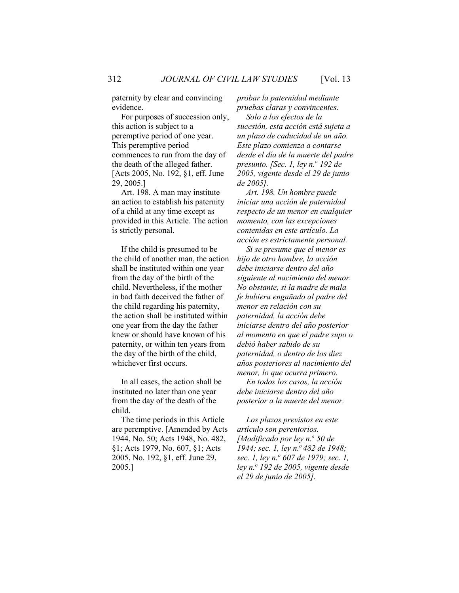paternity by clear and convincing evidence.

For purposes of succession only, this action is subject to a peremptive period of one year. This peremptive period commences to run from the day of the death of the alleged father. [Acts 2005, No. 192, §1, eff. June 29, 2005.]

Art. 198. A man may institute an action to establish his paternity of a child at any time except as provided in this Article. The action is strictly personal.

If the child is presumed to be the child of another man, the action shall be instituted within one year from the day of the birth of the child. Nevertheless, if the mother in bad faith deceived the father of the child regarding his paternity, the action shall be instituted within one year from the day the father knew or should have known of his paternity, or within ten years from the day of the birth of the child, whichever first occurs.

In all cases, the action shall be instituted no later than one year from the day of the death of the child.

The time periods in this Article are peremptive. [Amended by Acts 1944, No. 50; Acts 1948, No. 482, §1; Acts 1979, No. 607, §1; Acts 2005, No. 192, §1, eff. June 29, 2005.]

*probar la paternidad mediante pruebas claras y convincentes.*

*Solo a los efectos de la sucesión, esta acción está sujeta a un plazo de caducidad de un año. Este plazo comienza a contarse desde el día de la muerte del padre presunto. [Sec. 1, ley n.<sup>o</sup> 192 de 2005, vigente desde el 29 de junio de 2005].*

*Art. 198. Un hombre puede iniciar una acción de paternidad respecto de un menor en cualquier momento, con las excepciones contenidas en este artículo. La acción es estrictamente personal.*

*Si se presume que el menor es hijo de otro hombre, la acción debe iniciarse dentro del año siguiente al nacimiento del menor. No obstante, si la madre de mala fe hubiera engañado al padre del menor en relación con su paternidad, la acción debe iniciarse dentro del año posterior al momento en que el padre supo o debió haber sabido de su paternidad, o dentro de los diez años posteriores al nacimiento del menor, lo que ocurra primero.*

*En todos los casos, la acción debe iniciarse dentro del año posterior a la muerte del menor.*

*Los plazos previstos en este artículo son perentorios. [Modificado por ley n.<sup>o</sup> 50 de 1944; sec. 1, ley n.<sup>o</sup> 482 de 1948; sec. 1, ley n.o 607 de 1979; sec. 1, ley n.o 192 de 2005, vigente desde el 29 de junio de 2005].*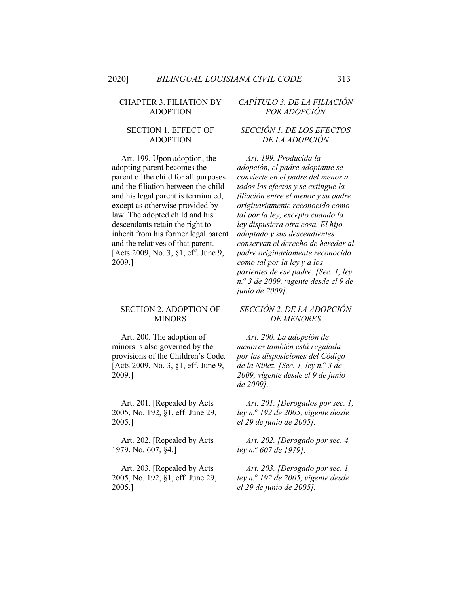#### CHAPTER 3. FILIATION BY ADOPTION

#### SECTION 1. EFFECT OF ADOPTION

Art. 199. Upon adoption, the adopting parent becomes the parent of the child for all purposes and the filiation between the child and his legal parent is terminated, except as otherwise provided by law. The adopted child and his descendants retain the right to inherit from his former legal parent and the relatives of that parent. [Acts 2009, No. 3, §1, eff. June 9, 2009.]

#### SECTION 2. ADOPTION OF **MINORS**

Art. 200. The adoption of minors is also governed by the provisions of the Children's Code. [Acts 2009, No. 3, §1, eff. June 9, 2009.]

Art. 201. [Repealed by Acts 2005, No. 192, §1, eff. June 29, 2005.]

Art. 202. [Repealed by Acts 1979, No. 607, §4.]

Art. 203. [Repealed by Acts 2005, No. 192, §1, eff. June 29, 2005.]

# *CAPÍTULO 3. DE LA FILIACIÓN POR ADOPCIÓN*

#### *SECCIÓN 1. DE LOS EFECTOS DE LA ADOPCIÓN*

*Art. 199. Producida la adopción, el padre adoptante se convierte en el padre del menor a todos los efectos y se extingue la filiación entre el menor y su padre originariamente reconocido como tal por la ley, excepto cuando la ley dispusiera otra cosa. El hijo adoptado y sus descendientes conservan el derecho de heredar al padre originariamente reconocido como tal por la ley y a los parientes de ese padre. [Sec. 1, ley n.<sup>o</sup> 3 de 2009, vigente desde el 9 de junio de 2009].*

#### *SECCIÓN 2. DE LA ADOPCIÓN DE MENORES*

*Art. 200. La adopción de menores también está regulada por las disposiciones del Código de la Niñez. [Sec. 1, ley n.<sup>o</sup> 3 de 2009, vigente desde el 9 de junio de 2009].*

*Art. 201. [Derogados por sec. 1, ley n.<sup>o</sup> 192 de 2005, vigente desde el 29 de junio de 2005].*

*Art. 202. [Derogado por sec. 4, ley n.o 607 de 1979].*

*Art. 203. [Derogado por sec. 1, ley n.<sup>o</sup> 192 de 2005, vigente desde el 29 de junio de 2005].*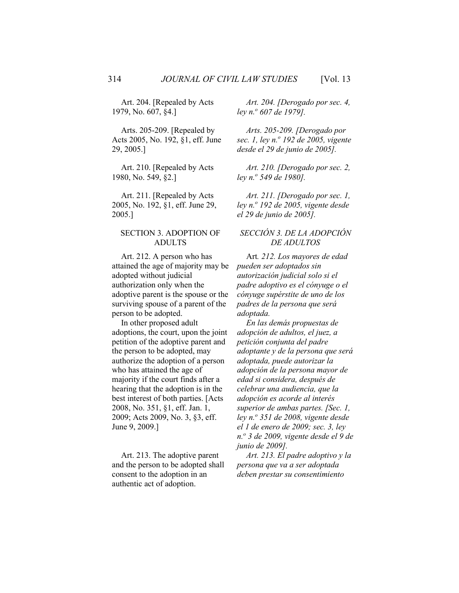Art. 204. [Repealed by Acts 1979, No. 607, §4.]

Arts. 205-209. [Repealed by Acts 2005, No. 192, §1, eff. June 29, 2005.]

Art. 210. [Repealed by Acts 1980, No. 549, §2.]

Art. 211. [Repealed by Acts 2005, No. 192, §1, eff. June 29, 2005.]

#### SECTION 3. ADOPTION OF ADULTS

Art. 212. A person who has attained the age of majority may be adopted without judicial authorization only when the adoptive parent is the spouse or the surviving spouse of a parent of the person to be adopted.

In other proposed adult adoptions, the court, upon the joint petition of the adoptive parent and the person to be adopted, may authorize the adoption of a person who has attained the age of majority if the court finds after a hearing that the adoption is in the best interest of both parties. [Acts 2008, No. 351, §1, eff. Jan. 1, 2009; Acts 2009, No. 3, §3, eff. June 9, 2009.]

Art. 213. The adoptive parent and the person to be adopted shall consent to the adoption in an authentic act of adoption.

*Art. 204. [Derogado por sec. 4, ley n.o 607 de 1979].*

*Arts. 205-209. [Derogado por sec. 1, ley n.<sup>o</sup> 192 de 2005, vigente desde el 29 de junio de 2005].*

*Art. 210. [Derogado por sec. 2, ley n.o 549 de 1980].*

*Art. 211. [Derogado por sec. 1, ley n.o 192 de 2005, vigente desde el 29 de junio de 2005].*

#### *SECCIÓN 3. DE LA ADOPCIÓN DE ADULTOS*

Art*. 212. Los mayores de edad pueden ser adoptados sin autorización judicial solo si el padre adoptivo es el cónyuge o el cónyuge supérstite de uno de los padres de la persona que será adoptada.*

*En las demás propuestas de adopción de adultos, el juez, a petición conjunta del padre adoptante y de la persona que será adoptada, puede autorizar la adopción de la persona mayor de edad si considera, después de celebrar una audiencia, que la adopción es acorde al interés superior de ambas partes. [Sec. 1, ley n.o 351 de 2008, vigente desde el 1 de enero de 2009; sec. 3, ley n.o 3 de 2009, vigente desde el 9 de junio de 2009].*

*Art. 213. El padre adoptivo y la persona que va a ser adoptada deben prestar su consentimiento*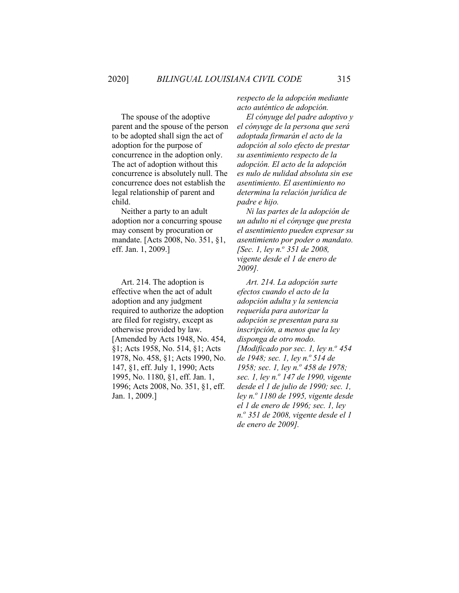The spouse of the adoptive parent and the spouse of the person to be adopted shall sign the act of adoption for the purpose of concurrence in the adoption only. The act of adoption without this concurrence is absolutely null. The concurrence does not establish the legal relationship of parent and child.

Neither a party to an adult adoption nor a concurring spouse may consent by procuration or mandate. [Acts 2008, No. 351, §1, eff. Jan. 1, 2009.]

Art. 214. The adoption is effective when the act of adult adoption and any judgment required to authorize the adoption are filed for registry, except as otherwise provided by law. [Amended by Acts 1948, No. 454, §1; Acts 1958, No. 514, §1; Acts 1978, No. 458, §1; Acts 1990, No. 147, §1, eff. July 1, 1990; Acts 1995, No. 1180, §1, eff. Jan. 1, 1996; Acts 2008, No. 351, §1, eff. Jan. 1, 2009.]

*respecto de la adopción mediante acto auténtico de adopción.*

*El cónyuge del padre adoptivo y el cónyuge de la persona que será adoptada firmarán el acto de la adopción al solo efecto de prestar su asentimiento respecto de la adopción. El acto de la adopción es nulo de nulidad absoluta sin ese asentimiento. El asentimiento no determina la relación jurídica de padre e hijo.*

*Ni las partes de la adopción de un adulto ni el cónyuge que presta el asentimiento pueden expresar su asentimiento por poder o mandato. [Sec. 1, ley n.o 351 de 2008, vigente desde el 1 de enero de 2009].*

*Art. 214. La adopción surte efectos cuando el acto de la adopción adulta y la sentencia requerida para autorizar la adopción se presentan para su inscripción, a menos que la ley disponga de otro modo. [Modificado por sec. 1, ley n.<sup>o</sup> 454 de 1948; sec. 1, ley n.<sup>o</sup> 514 de 1958; sec. 1, ley n.<sup>o</sup> 458 de 1978; sec. 1, ley n.o 147 de 1990, vigente desde el 1 de julio de 1990; sec. 1, ley n.o 1180 de 1995, vigente desde el 1 de enero de 1996; sec. 1, ley n.o 351 de 2008, vigente desde el 1 de enero de 2009].*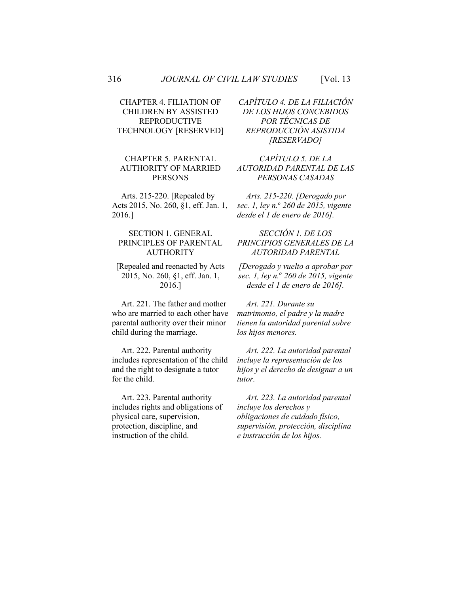# CHAPTER 4. FILIATION OF CHILDREN BY ASSISTED REPRODUCTIVE TECHNOLOGY [RESERVED]

## CHAPTER 5. PARENTAL AUTHORITY OF MARRIED PERSONS

Arts. 215-220. [Repealed by Acts 2015, No. 260, §1, eff. Jan. 1, 2016.]

#### SECTION 1. GENERAL PRINCIPLES OF PARENTAL AUTHORITY

[Repealed and reenacted by Acts 2015, No. 260, §1, eff. Jan. 1, 2016.]

Art. 221. The father and mother who are married to each other have parental authority over their minor child during the marriage.

Art. 222. Parental authority includes representation of the child and the right to designate a tutor for the child.

Art. 223. Parental authority includes rights and obligations of physical care, supervision, protection, discipline, and instruction of the child.

*CAPÍTULO 4. DE LA FILIACIÓN DE LOS HIJOS CONCEBIDOS POR TÉCNICAS DE REPRODUCCIÓN ASISTIDA [RESERVADO]*

# *CAPÍTULO 5. DE LA AUTORIDAD PARENTAL DE LAS PERSONAS CASADAS*

*Arts. 215-220. [Derogado por sec. 1, ley n.o 260 de 2015, vigente desde el 1 de enero de 2016].*

## *SECCIÓN 1. DE LOS PRINCIPIOS GENERALES DE LA AUTORIDAD PARENTAL*

*[Derogado y vuelto a aprobar por sec. 1, ley n.<sup>o</sup> 260 de 2015, vigente desde el 1 de enero de 2016].*

*Art. 221. Durante su matrimonio, el padre y la madre tienen la autoridad parental sobre los hijos menores.* 

*Art. 222. La autoridad parental incluye la representación de los hijos y el derecho de designar a un tutor.*

*Art. 223. La autoridad parental incluye los derechos y obligaciones de cuidado físico, supervisión, protección, disciplina e instrucción de los hijos.*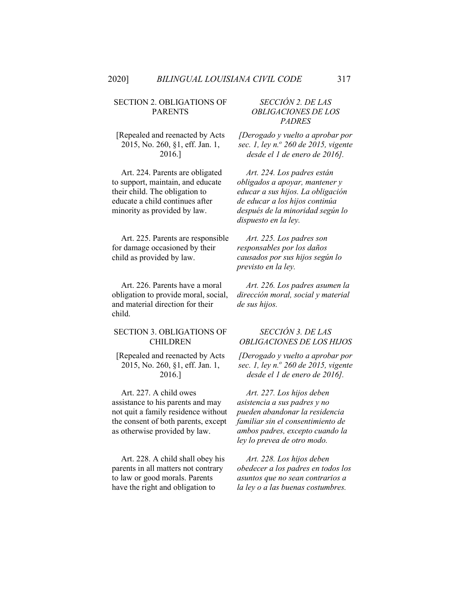#### SECTION 2. OBLIGATIONS OF PARENTS

[Repealed and reenacted by Acts 2015, No. 260, §1, eff. Jan. 1, 2016.]

Art. 224. Parents are obligated to support, maintain, and educate their child. The obligation to educate a child continues after minority as provided by law.

Art. 225. Parents are responsible for damage occasioned by their child as provided by law.

Art. 226. Parents have a moral obligation to provide moral, social, and material direction for their child.

#### SECTION 3. OBLIGATIONS OF CHILDREN

[Repealed and reenacted by Acts 2015, No. 260, §1, eff. Jan. 1, 2016.]

Art. 227. A child owes assistance to his parents and may not quit a family residence without the consent of both parents, except as otherwise provided by law.

Art. 228. A child shall obey his parents in all matters not contrary to law or good morals. Parents have the right and obligation to

## *SECCIÓN 2. DE LAS OBLIGACIONES DE LOS PADRES*

*[Derogado y vuelto a aprobar por sec. 1, ley n.o 260 de 2015, vigente desde el 1 de enero de 2016].*

*Art. 224. Los padres están obligados a apoyar, mantener y educar a sus hijos. La obligación de educar a los hijos continúa después de la minoridad según lo dispuesto en la ley.* 

*Art. 225. Los padres son responsables por los daños causados por sus hijos según lo previsto en la ley.*

*Art. 226. Los padres asumen la dirección moral, social y material de sus hijos.*

## *SECCIÓN 3. DE LAS OBLIGACIONES DE LOS HIJOS*

*[Derogado y vuelto a aprobar por sec. 1, ley n.<sup>o</sup> 260 de 2015, vigente desde el 1 de enero de 2016].*

*Art. 227. Los hijos deben asistencia a sus padres y no pueden abandonar la residencia familiar sin el consentimiento de ambos padres, excepto cuando la ley lo prevea de otro modo.* 

*Art. 228. Los hijos deben obedecer a los padres en todos los asuntos que no sean contrarios a la ley o a las buenas costumbres.*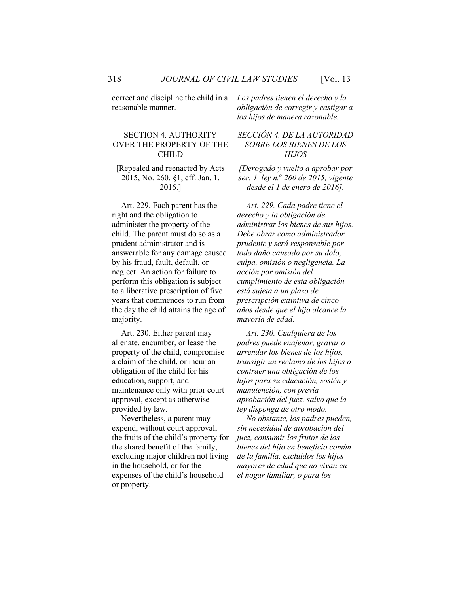correct and discipline the child in a reasonable manner.

# SECTION 4. AUTHORITY OVER THE PROPERTY OF THE CHILD

#### [Repealed and reenacted by Acts 2015, No. 260, §1, eff. Jan. 1, 2016.]

Art. 229. Each parent has the right and the obligation to administer the property of the child. The parent must do so as a prudent administrator and is answerable for any damage caused by his fraud, fault, default, or neglect. An action for failure to perform this obligation is subject to a liberative prescription of five years that commences to run from the day the child attains the age of majority.

Art. 230. Either parent may alienate, encumber, or lease the property of the child, compromise a claim of the child, or incur an obligation of the child for his education, support, and maintenance only with prior court approval, except as otherwise provided by law.

Nevertheless, a parent may expend, without court approval, the fruits of the child's property for the shared benefit of the family, excluding major children not living in the household, or for the expenses of the child's household or property.

*Los padres tienen el derecho y la obligación de corregir y castigar a los hijos de manera razonable.*

## *SECCIÓN 4. DE LA AUTORIDAD SOBRE LOS BIENES DE LOS HIJOS*

*[Derogado y vuelto a aprobar por sec. 1, ley n.o 260 de 2015, vigente desde el 1 de enero de 2016].*

*Art. 229. Cada padre tiene el derecho y la obligación de administrar los bienes de sus hijos. Debe obrar como administrador prudente y será responsable por todo daño causado por su dolo, culpa, omisión o negligencia. La acción por omisión del cumplimiento de esta obligación está sujeta a un plazo de prescripción extintiva de cinco años desde que el hijo alcance la mayoría de edad.*

*Art. 230. Cualquiera de los padres puede enajenar, gravar o arrendar los bienes de los hijos, transigir un reclamo de los hijos o contraer una obligación de los hijos para su educación, sostén y manutención, con previa aprobación del juez, salvo que la ley disponga de otro modo.*

*No obstante, los padres pueden, sin necesidad de aprobación del juez, consumir los frutos de los bienes del hijo en beneficio común de la familia, excluidos los hijos mayores de edad que no vivan en el hogar familiar, o para los*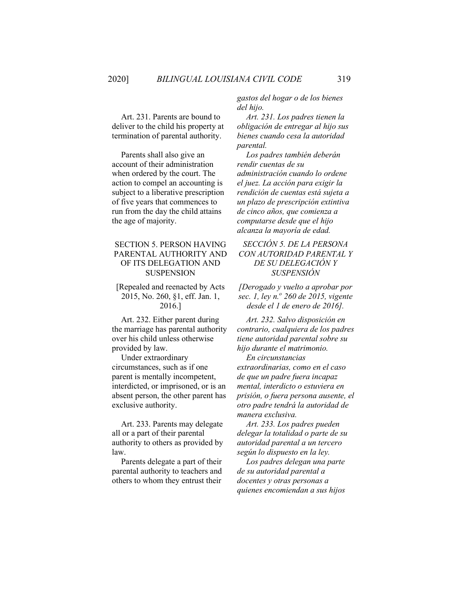Art. 231. Parents are bound to deliver to the child his property at termination of parental authority.

Parents shall also give an account of their administration when ordered by the court. The action to compel an accounting is subject to a liberative prescription of five years that commences to run from the day the child attains the age of majority.

## SECTION 5. PERSON HAVING PARENTAL AUTHORITY AND OF ITS DELEGATION AND SUSPENSION

[Repealed and reenacted by Acts 2015, No. 260, §1, eff. Jan. 1, 2016.]

Art. 232. Either parent during the marriage has parental authority over his child unless otherwise provided by law.

Under extraordinary circumstances, such as if one parent is mentally incompetent, interdicted, or imprisoned, or is an absent person, the other parent has exclusive authority.

Art. 233. Parents may delegate all or a part of their parental authority to others as provided by law.

Parents delegate a part of their parental authority to teachers and others to whom they entrust their

*gastos del hogar o de los bienes del hijo.*

*Art. 231. Los padres tienen la obligación de entregar al hijo sus bienes cuando cesa la autoridad parental.*

*Los padres también deberán rendir cuentas de su administración cuando lo ordene el juez. La acción para exigir la rendición de cuentas está sujeta a un plazo de prescripción extintiva de cinco años, que comienza a computarse desde que el hijo alcanza la mayoría de edad.*

## *SECCIÓN 5. DE LA PERSONA CON AUTORIDAD PARENTAL Y DE SU DELEGACIÓN Y SUSPENSIÓN*

*[Derogado y vuelto a aprobar por sec. 1, ley n.o 260 de 2015, vigente desde el 1 de enero de 2016].*

*Art. 232. Salvo disposición en contrario, cualquiera de los padres tiene autoridad parental sobre su hijo durante el matrimonio.*

*En circunstancias extraordinarias, como en el caso de que un padre fuera incapaz mental, interdicto o estuviera en prisión, o fuera persona ausente, el otro padre tendrá la autoridad de manera exclusiva.*

*Art. 233. Los padres pueden delegar la totalidad o parte de su autoridad parental a un tercero según lo dispuesto en la ley.*

*Los padres delegan una parte de su autoridad parental a docentes y otras personas a quienes encomiendan a sus hijos*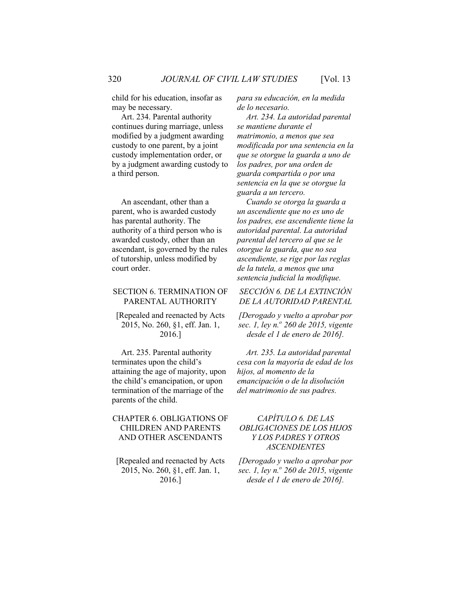child for his education, insofar as may be necessary.

Art. 234. Parental authority continues during marriage, unless modified by a judgment awarding custody to one parent, by a joint custody implementation order, or by a judgment awarding custody to a third person.

An ascendant, other than a parent, who is awarded custody has parental authority. The authority of a third person who is awarded custody, other than an ascendant, is governed by the rules of tutorship, unless modified by court order.

#### SECTION 6. TERMINATION OF PARENTAL AUTHORITY

[Repealed and reenacted by Acts 2015, No. 260, §1, eff. Jan. 1, 2016.]

Art. 235. Parental authority terminates upon the child's attaining the age of majority, upon the child's emancipation, or upon termination of the marriage of the parents of the child.

## CHAPTER 6. OBLIGATIONS OF CHILDREN AND PARENTS AND OTHER ASCENDANTS

[Repealed and reenacted by Acts 2015, No. 260, §1, eff. Jan. 1, 2016.]

*para su educación, en la medida de lo necesario.*

*Art. 234. La autoridad parental se mantiene durante el matrimonio, a menos que sea modificada por una sentencia en la que se otorgue la guarda a uno de los padres, por una orden de guarda compartida o por una sentencia en la que se otorgue la guarda a un tercero.*

*Cuando se otorga la guarda a un ascendiente que no es uno de los padres, ese ascendiente tiene la autoridad parental. La autoridad parental del tercero al que se le otorgue la guarda, que no sea ascendiente, se rige por las reglas de la tutela, a menos que una sentencia judicial la modifique.*

## *SECCIÓN 6. DE LA EXTINCIÓN DE LA AUTORIDAD PARENTAL*

*[Derogado y vuelto a aprobar por sec. 1, ley n.o 260 de 2015, vigente desde el 1 de enero de 2016].*

*Art. 235. La autoridad parental cesa con la mayoría de edad de los hijos, al momento de la emancipación o de la disolución del matrimonio de sus padres.* 

# *CAPÍTULO 6. DE LAS OBLIGACIONES DE LOS HIJOS Y LOS PADRES Y OTROS ASCENDIENTES*

*[Derogado y vuelto a aprobar por sec. 1, ley n.o 260 de 2015, vigente desde el 1 de enero de 2016].*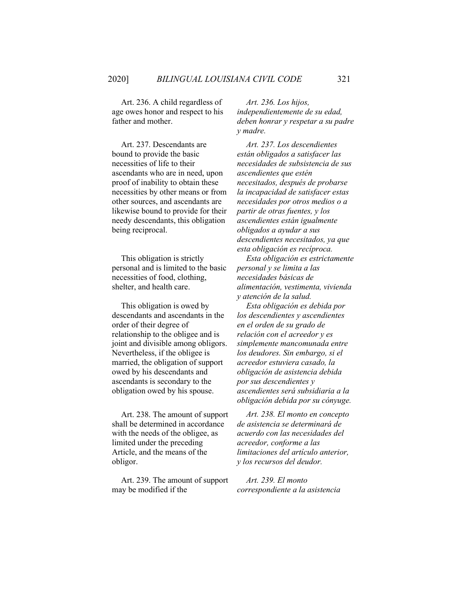Art. 236. A child regardless of age owes honor and respect to his father and mother.

Art. 237. Descendants are bound to provide the basic necessities of life to their ascendants who are in need, upon proof of inability to obtain these necessities by other means or from other sources, and ascendants are likewise bound to provide for their needy descendants, this obligation being reciprocal.

This obligation is strictly personal and is limited to the basic necessities of food, clothing, shelter, and health care.

This obligation is owed by descendants and ascendants in the order of their degree of relationship to the obligee and is joint and divisible among obligors. Nevertheless, if the obligee is married, the obligation of support owed by his descendants and ascendants is secondary to the obligation owed by his spouse.

Art. 238. The amount of support shall be determined in accordance with the needs of the obligee, as limited under the preceding Article, and the means of the obligor.

Art. 239. The amount of support may be modified if the

*Art. 236. Los hijos, independientemente de su edad, deben honrar y respetar a su padre y madre.* 

*Art. 237. Los descendientes están obligados a satisfacer las necesidades de subsistencia de sus ascendientes que estén necesitados, después de probarse la incapacidad de satisfacer estas necesidades por otros medios o a partir de otras fuentes, y los ascendientes están igualmente obligados a ayudar a sus descendientes necesitados, ya que esta obligación es recíproca.*

*Esta obligación es estrictamente personal y se limita a las necesidades básicas de alimentación, vestimenta, vivienda y atención de la salud.*

*Esta obligación es debida por los descendientes y ascendientes en el orden de su grado de relación con el acreedor y es simplemente mancomunada entre los deudores. Sin embargo, si el acreedor estuviera casado, la obligación de asistencia debida por sus descendientes y ascendientes será subsidiaria a la obligación debida por su cónyuge.*

*Art. 238. El monto en concepto de asistencia se determinará de acuerdo con las necesidades del acreedor, conforme a las limitaciones del artículo anterior, y los recursos del deudor.*

*Art. 239. El monto correspondiente a la asistencia*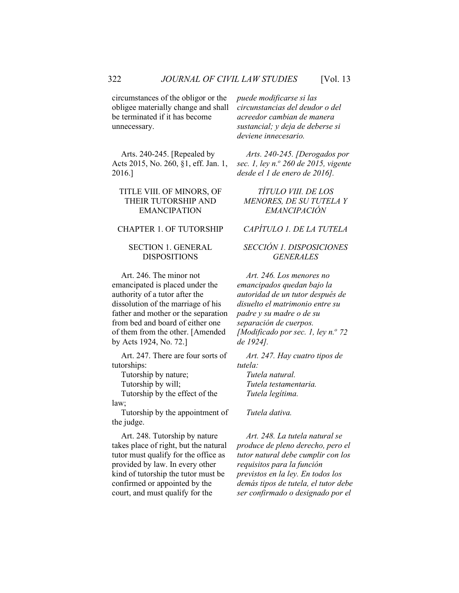circumstances of the obligor or the obligee materially change and shall be terminated if it has become unnecessary.

Arts. 240-245. [Repealed by Acts 2015, No. 260, §1, eff. Jan. 1, 2016.]

## TITLE VIII. OF MINORS, OF THEIR TUTORSHIP AND EMANCIPATION

#### SECTION 1. GENERAL DISPOSITIONS

Art. 246. The minor not emancipated is placed under the authority of a tutor after the dissolution of the marriage of his father and mother or the separation from bed and board of either one of them from the other. [Amended by Acts 1924, No. 72.]

Art. 247. There are four sorts of tutorships:

Tutorship by the effect of the law;

Tutorship by the appointment of the judge.

Art. 248. Tutorship by nature takes place of right, but the natural tutor must qualify for the office as provided by law. In every other kind of tutorship the tutor must be confirmed or appointed by the court, and must qualify for the

*puede modificarse si las circunstancias del deudor o del acreedor cambian de manera sustancial; y deja de deberse si deviene innecesario.*

*Arts. 240-245. [Derogados por sec. 1, ley n.<sup>o</sup> 260 de 2015, vigente desde el 1 de enero de 2016].*

*TÍTULO VIII. DE LOS MENORES, DE SU TUTELA Y EMANCIPACIÓN*

CHAPTER 1. OF TUTORSHIP *CAPÍTULO 1. DE LA TUTELA*

# *SECCIÓN 1. DISPOSICIONES GENERALES*

*Art. 246. Los menores no emancipados quedan bajo la autoridad de un tutor después de disuelto el matrimonio entre su padre y su madre o de su separación de cuerpos. [Modificado por sec. 1, ley n.º 72 de 1924].*

*Art. 247. Hay cuatro tipos de tutela:* Tutorship by nature; *Tutela natural.* Tutorship by will; *Tutela testamentaria. Tutela legítima.*

*Tutela dativa.*

*Art. 248. La tutela natural se produce de pleno derecho, pero el tutor natural debe cumplir con los requisitos para la función previstos en la ley. En todos los demás tipos de tutela, el tutor debe ser confirmado o designado por el*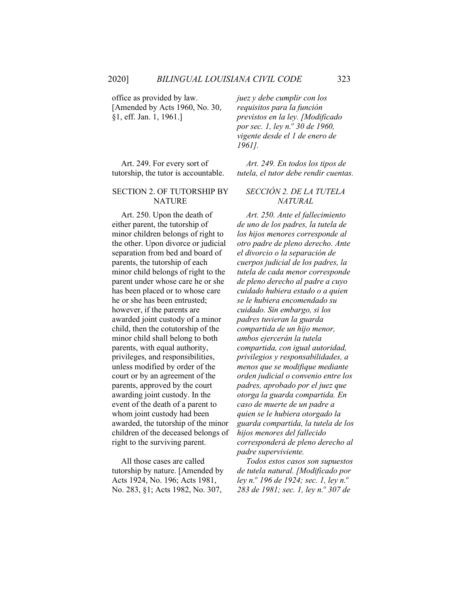office as provided by law. [Amended by Acts 1960, No. 30, §1, eff. Jan. 1, 1961.]

Art. 249. For every sort of tutorship, the tutor is accountable.

#### SECTION 2. OF TUTORSHIP BY NATURE

Art. 250. Upon the death of either parent, the tutorship of minor children belongs of right to the other. Upon divorce or judicial separation from bed and board of parents, the tutorship of each minor child belongs of right to the parent under whose care he or she has been placed or to whose care he or she has been entrusted; however, if the parents are awarded joint custody of a minor child, then the cotutorship of the minor child shall belong to both parents, with equal authority, privileges, and responsibilities, unless modified by order of the court or by an agreement of the parents, approved by the court awarding joint custody. In the event of the death of a parent to whom joint custody had been awarded, the tutorship of the minor children of the deceased belongs of right to the surviving parent.

All those cases are called tutorship by nature. [Amended by Acts 1924, No. 196; Acts 1981, No. 283, §1; Acts 1982, No. 307,

*juez y debe cumplir con los requisitos para la función previstos en la ley. [Modificado por sec. 1, ley n.<sup>o</sup> 30 de 1960, vigente desde el 1 de enero de 1961].*

*Art. 249. En todos los tipos de tutela, el tutor debe rendir cuentas.*

## *SECCIÓN 2. DE LA TUTELA NATURAL*

*Art. 250. Ante el fallecimiento de uno de los padres, la tutela de los hijos menores corresponde al otro padre de pleno derecho. Ante el divorcio o la separación de cuerpos judicial de los padres, la tutela de cada menor corresponde de pleno derecho al padre a cuyo cuidado hubiera estado o a quien se le hubiera encomendado su cuidado. Sin embargo, si los padres tuvieran la guarda compartida de un hijo menor, ambos ejercerán la tutela compartida, con igual autoridad, privilegios y responsabilidades, a menos que se modifique mediante orden judicial o convenio entre los padres, aprobado por el juez que otorga la guarda compartida. En caso de muerte de un padre a quien se le hubiera otorgado la guarda compartida, la tutela de los hijos menores del fallecido corresponderá de pleno derecho al padre superviviente.*

*Todos estos casos son supuestos de tutela natural. [Modificado por ley n.o 196 de 1924; sec. 1, ley n.<sup>o</sup> 283 de 1981; sec. 1, ley n.<sup>o</sup> 307 de*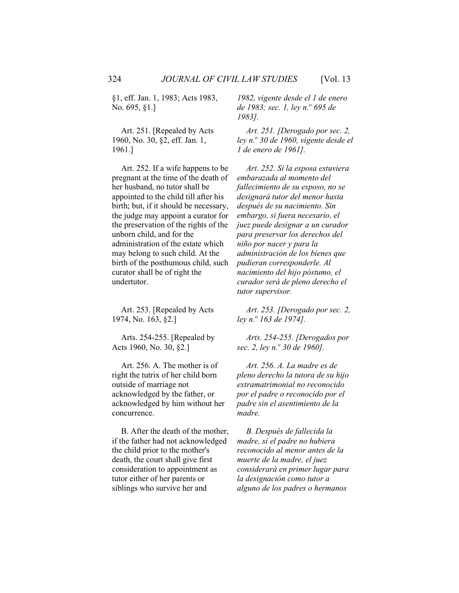§1, eff. Jan. 1, 1983; Acts 1983, No. 695, §1.]

Art. 251. [Repealed by Acts 1960, No. 30, §2, eff. Jan. 1, 1961.]

Art. 252. If a wife happens to be pregnant at the time of the death of her husband, no tutor shall be appointed to the child till after his birth; but, if it should be necessary, the judge may appoint a curator for the preservation of the rights of the unborn child, and for the administration of the estate which may belong to such child. At the birth of the posthumous child, such curator shall be of right the undertutor.

Art. 253. [Repealed by Acts 1974, No. 163, §2.]

Arts. 254-255. [Repealed by Acts 1960, No. 30, §2.]

Art. 256. A. The mother is of right the tutrix of her child born outside of marriage not acknowledged by the father, or acknowledged by him without her concurrence.

B. After the death of the mother, if the father had not acknowledged the child prior to the mother's death, the court shall give first consideration to appointment as tutor either of her parents or siblings who survive her and

*1982, vigente desde el 1 de enero de 1983; sec. 1, ley n.<sup>o</sup> 695 de 1983].*

*Art. 251. [Derogado por sec. 2, ley n.<sup>o</sup> 30 de 1960, vigente desde el 1 de enero de 1961].*

*Art. 252. Si la esposa estuviera embarazada al momento del fallecimiento de su esposo, no se designará tutor del menor hasta después de su nacimiento. Sin embargo, si fuera necesario, el juez puede designar a un curador para preservar los derechos del niño por nacer y para la administración de los bienes que pudieran corresponderle. Al nacimiento del hijo póstumo, el curador será de pleno derecho el tutor supervisor.*

*Art. 253. [Derogado por sec. 2, ley n.o 163 de 1974].*

*Arts. 254-255. [Derogados por sec. 2, ley n.o 30 de 1960].*

*Art. 256. A. La madre es de pleno derecho la tutora de su hijo extramatrimonial no reconocido por el padre o reconocido por el padre sin el asentimiento de la madre.*

*B. Después de fallecida la madre, si el padre no hubiera reconocido al menor antes de la muerte de la madre, el juez considerará en primer lugar para la designación como tutor a alguno de los padres o hermanos*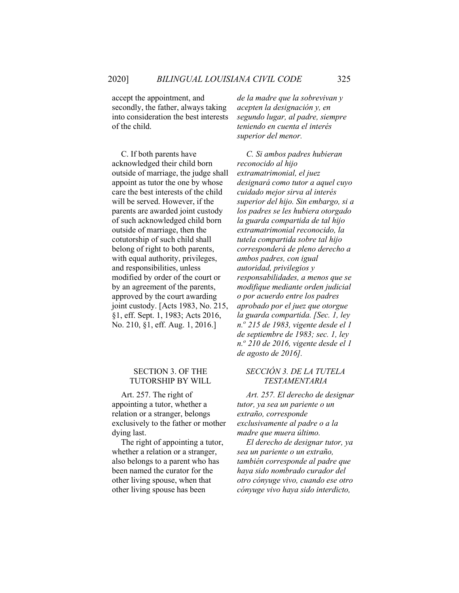accept the appointment, and secondly, the father, always taking into consideration the best interests of the child.

C. If both parents have acknowledged their child born outside of marriage, the judge shall appoint as tutor the one by whose care the best interests of the child will be served. However, if the parents are awarded joint custody of such acknowledged child born outside of marriage, then the cotutorship of such child shall belong of right to both parents, with equal authority, privileges, and responsibilities, unless modified by order of the court or by an agreement of the parents, approved by the court awarding joint custody. [Acts 1983, No. 215, §1, eff. Sept. 1, 1983; Acts 2016, No. 210, §1, eff. Aug. 1, 2016.]

# SECTION 3. OF THE TUTORSHIP BY WILL

Art. 257. The right of appointing a tutor, whether a relation or a stranger, belongs exclusively to the father or mother dying last.

The right of appointing a tutor, whether a relation or a stranger, also belongs to a parent who has been named the curator for the other living spouse, when that other living spouse has been

*de la madre que la sobrevivan y acepten la designación y, en segundo lugar, al padre, siempre teniendo en cuenta el interés superior del menor.*

*C. Si ambos padres hubieran reconocido al hijo extramatrimonial, el juez designará como tutor a aquel cuyo cuidado mejor sirva al interés superior del hijo. Sin embargo, si a los padres se les hubiera otorgado la guarda compartida de tal hijo extramatrimonial reconocido, la tutela compartida sobre tal hijo corresponderá de pleno derecho a ambos padres, con igual autoridad, privilegios y responsabilidades, a menos que se modifique mediante orden judicial o por acuerdo entre los padres aprobado por el juez que otorgue la guarda compartida. [Sec. 1, ley n.<sup>o</sup> 215 de 1983, vigente desde el 1 de septiembre de 1983; sec. 1, ley n.o 210 de 2016, vigente desde el 1 de agosto de 2016].*

## *SECCIÓN 3. DE LA TUTELA TESTAMENTARIA*

*Art. 257. El derecho de designar tutor, ya sea un pariente o un extraño, corresponde exclusivamente al padre o a la madre que muera último.*

*El derecho de designar tutor, ya sea un pariente o un extraño, también corresponde al padre que haya sido nombrado curador del otro cónyuge vivo, cuando ese otro cónyuge vivo haya sido interdicto,*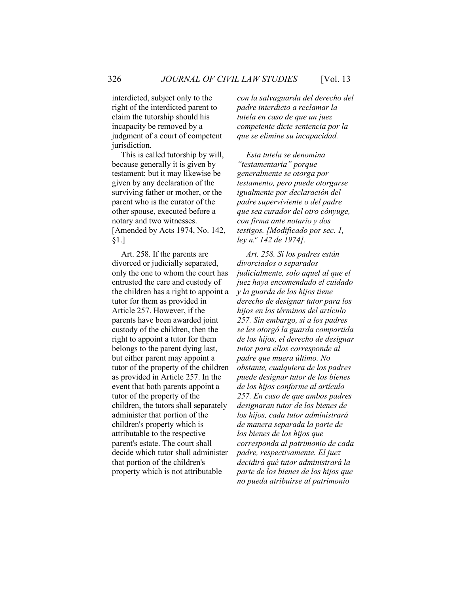interdicted, subject only to the right of the interdicted parent to claim the tutorship should his incapacity be removed by a judgment of a court of competent jurisdiction.

This is called tutorship by will, because generally it is given by testament; but it may likewise be given by any declaration of the surviving father or mother, or the parent who is the curator of the other spouse, executed before a notary and two witnesses. [Amended by Acts 1974, No. 142, §1.]

Art. 258. If the parents are divorced or judicially separated, only the one to whom the court has entrusted the care and custody of the children has a right to appoint a tutor for them as provided in Article 257. However, if the parents have been awarded joint custody of the children, then the right to appoint a tutor for them belongs to the parent dying last, but either parent may appoint a tutor of the property of the children as provided in Article 257. In the event that both parents appoint a tutor of the property of the children, the tutors shall separately administer that portion of the children's property which is attributable to the respective parent's estate. The court shall decide which tutor shall administer that portion of the children's property which is not attributable

*con la salvaguarda del derecho del padre interdicto a reclamar la tutela en caso de que un juez competente dicte sentencia por la que se elimine su incapacidad.*

*Esta tutela se denomina "testamentaria" porque generalmente se otorga por testamento, pero puede otorgarse igualmente por declaración del padre superviviente o del padre que sea curador del otro cónyuge, con firma ante notario y dos testigos. [Modificado por sec. 1, ley n.o 142 de 1974].*

*Art. 258. Si los padres están divorciados o separados judicialmente, solo aquel al que el juez haya encomendado el cuidado y la guarda de los hijos tiene derecho de designar tutor para los hijos en los términos del artículo 257. Sin embargo, si a los padres se les otorgó la guarda compartida de los hijos, el derecho de designar tutor para ellos corresponde al padre que muera último. No obstante, cualquiera de los padres puede designar tutor de los bienes de los hijos conforme al artículo 257. En caso de que ambos padres designaran tutor de los bienes de los hijos, cada tutor administrará de manera separada la parte de los bienes de los hijos que corresponda al patrimonio de cada padre, respectivamente. El juez decidirá qué tutor administrará la parte de los bienes de los hijos que no pueda atribuirse al patrimonio*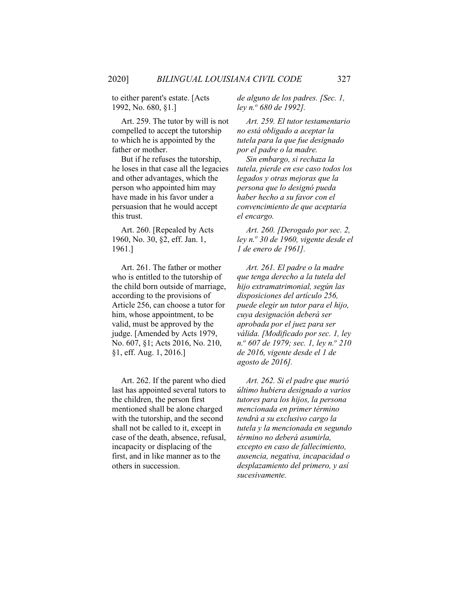to either parent's estate. [Acts 1992, No. 680, §1.]

Art. 259. The tutor by will is not compelled to accept the tutorship to which he is appointed by the father or mother.

But if he refuses the tutorship, he loses in that case all the legacies and other advantages, which the person who appointed him may have made in his favor under a persuasion that he would accept this trust.

Art. 260. [Repealed by Acts 1960, No. 30, §2, eff. Jan. 1, 1961.]

Art. 261. The father or mother who is entitled to the tutorship of the child born outside of marriage, according to the provisions of Article 256, can choose a tutor for him, whose appointment, to be valid, must be approved by the judge. [Amended by Acts 1979, No. 607, §1; Acts 2016, No. 210, §1, eff. Aug. 1, 2016.]

Art. 262. If the parent who died last has appointed several tutors to the children, the person first mentioned shall be alone charged with the tutorship, and the second shall not be called to it, except in case of the death, absence, refusal, incapacity or displacing of the first, and in like manner as to the others in succession.

*de alguno de los padres. [Sec. 1, ley n.o 680 de 1992].*

*Art. 259. El tutor testamentario no está obligado a aceptar la tutela para la que fue designado por el padre o la madre.*

*Sin embargo, si rechaza la tutela, pierde en ese caso todos los legados y otras mejoras que la persona que lo designó pueda haber hecho a su favor con el convencimiento de que aceptaría el encargo.*

*Art. 260. [Derogado por sec. 2, ley n.<sup>o</sup> 30 de 1960, vigente desde el 1 de enero de 1961].*

*Art. 261. El padre o la madre que tenga derecho a la tutela del hijo extramatrimonial, según las disposiciones del artículo 256, puede elegir un tutor para el hijo, cuya designación deberá ser aprobada por el juez para ser válida. [Modificado por sec. 1, ley n.<sup>o</sup> 607 de 1979; sec. 1, ley n.o 210 de 2016, vigente desde el 1 de agosto de 2016].*

*Art. 262. Si el padre que murió último hubiera designado a varios tutores para los hijos, la persona mencionada en primer término tendrá a su exclusivo cargo la tutela y la mencionada en segundo término no deberá asumirla, excepto en caso de fallecimiento, ausencia, negativa, incapacidad o desplazamiento del primero, y así sucesivamente.*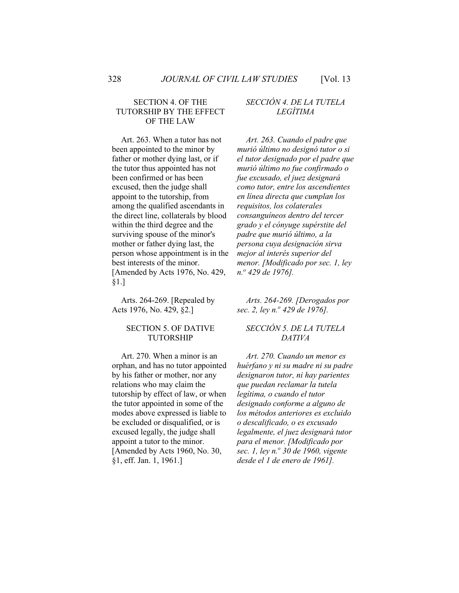## SECTION 4. OF THE TUTORSHIP BY THE EFFECT OF THE LAW

Art. 263. When a tutor has not been appointed to the minor by father or mother dying last, or if the tutor thus appointed has not been confirmed or has been excused, then the judge shall appoint to the tutorship, from among the qualified ascendants in the direct line, collaterals by blood within the third degree and the surviving spouse of the minor's mother or father dying last, the person whose appointment is in the best interests of the minor. [Amended by Acts 1976, No. 429, §1.]

Arts. 264-269. [Repealed by Acts 1976, No. 429, §2.]

#### SECTION 5. OF DATIVE TUTORSHIP

Art. 270. When a minor is an orphan, and has no tutor appointed by his father or mother, nor any relations who may claim the tutorship by effect of law, or when the tutor appointed in some of the modes above expressed is liable to be excluded or disqualified, or is excused legally, the judge shall appoint a tutor to the minor. [Amended by Acts 1960, No. 30, §1, eff. Jan. 1, 1961.]

# *SECCIÓN 4. DE LA TUTELA LEGÍTIMA*

*Art. 263. Cuando el padre que murió último no designó tutor o si el tutor designado por el padre que murió último no fue confirmado o fue excusado, el juez designará como tutor, entre los ascendientes en línea directa que cumplan los requisitos, los colaterales consanguíneos dentro del tercer grado y el cónyuge supérstite del padre que murió último, a la persona cuya designación sirva mejor al interés superior del menor. [Modificado por sec. 1, ley n.<sup>o</sup> 429 de 1976].*

*Arts. 264-269. [Derogados por sec. 2, ley n.<sup>o</sup> 429 de 1976].*

## *SECCIÓN 5. DE LA TUTELA DATIVA*

*Art. 270. Cuando un menor es huérfano y ni su madre ni su padre designaron tutor, ni hay parientes que puedan reclamar la tutela legítima, o cuando el tutor designado conforme a alguno de los métodos anteriores es excluido o descalificado, o es excusado legalmente, el juez designará tutor para el menor. [Modificado por sec. 1, ley n.<sup>o</sup> 30 de 1960, vigente desde el 1 de enero de 1961].*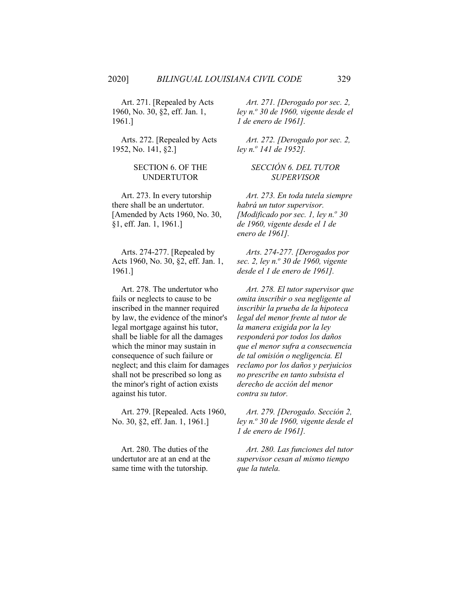Art. 271. [Repealed by Acts 1960, No. 30, §2, eff. Jan. 1, 1961.]

Arts. 272. [Repealed by Acts 1952, No. 141, §2.]

## SECTION 6. OF THE UNDERTUTOR

Art. 273. In every tutorship there shall be an undertutor. [Amended by Acts 1960, No. 30, §1, eff. Jan. 1, 1961.]

Arts. 274-277. [Repealed by Acts 1960, No. 30, §2, eff. Jan. 1, 1961.]

Art. 278. The undertutor who fails or neglects to cause to be inscribed in the manner required by law, the evidence of the minor's legal mortgage against his tutor, shall be liable for all the damages which the minor may sustain in consequence of such failure or neglect; and this claim for damages shall not be prescribed so long as the minor's right of action exists against his tutor.

Art. 279. [Repealed. Acts 1960, No. 30, §2, eff. Jan. 1, 1961.]

Art. 280. The duties of the undertutor are at an end at the same time with the tutorship.

*Art. 271. [Derogado por sec. 2, ley n.<sup>o</sup> 30 de 1960, vigente desde el 1 de enero de 1961].*

*Art. 272. [Derogado por sec. 2, ley n.o 141 de 1952].*

## *SECCIÓN 6. DEL TUTOR SUPERVISOR*

*Art. 273. En toda tutela siempre habrá un tutor supervisor. [Modificado por sec. 1, ley n.<sup>o</sup> 30 de 1960, vigente desde el 1 de enero de 1961].*

*Arts. 274-277. [Derogados por sec. 2, ley n.<sup>o</sup> 30 de 1960, vigente desde el 1 de enero de 1961].*

*Art. 278. El tutor supervisor que omita inscribir o sea negligente al inscribir la prueba de la hipoteca legal del menor frente al tutor de la manera exigida por la ley responderá por todos los daños que el menor sufra a consecuencia de tal omisión o negligencia. El reclamo por los daños y perjuicios no prescribe en tanto subsista el derecho de acción del menor contra su tutor.*

*Art. 279. [Derogado. Sección 2, ley n.o 30 de 1960, vigente desde el 1 de enero de 1961].*

*Art. 280. Las funciones del tutor supervisor cesan al mismo tiempo que la tutela.*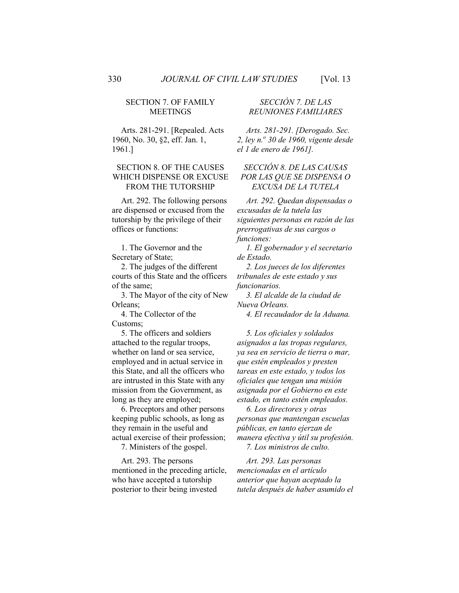#### SECTION 7. OF FAMILY MEETINGS

Arts. 281-291. [Repealed. Acts 1960, No. 30, §2, eff. Jan. 1, 1961.]

#### SECTION 8. OF THE CAUSES WHICH DISPENSE OR EXCUSE FROM THE TUTORSHIP

Art. 292. The following persons are dispensed or excused from the tutorship by the privilege of their offices or functions:

1. The Governor and the Secretary of State;

2. The judges of the different courts of this State and the officers of the same;

3. The Mayor of the city of New Orleans;

4. The Collector of the Customs;

5. The officers and soldiers attached to the regular troops, whether on land or sea service, employed and in actual service in this State, and all the officers who are intrusted in this State with any mission from the Government, as long as they are employed;

6. Preceptors and other persons keeping public schools, as long as they remain in the useful and actual exercise of their profession;

7. Ministers of the gospel.

Art. 293. The persons mentioned in the preceding article, who have accepted a tutorship posterior to their being invested

# *SECCIÓN 7. DE LAS REUNIONES FAMILIARES*

*Arts. 281-291. [Derogado. Sec. 2, ley n.<sup>o</sup> 30 de 1960, vigente desde el 1 de enero de 1961].*

# *SECCIÓN 8. DE LAS CAUSAS POR LAS QUE SE DISPENSA O EXCUSA DE LA TUTELA*

*Art. 292. Quedan dispensadas o excusadas de la tutela las siguientes personas en razón de las prerrogativas de sus cargos o funciones:*

*1. El gobernador y el secretario de Estado.*

*2. Los jueces de los diferentes tribunales de este estado y sus funcionarios.*

*3. El alcalde de la ciudad de Nueva Orleans.*

*4. El recaudador de la Aduana.*

*5. Los oficiales y soldados asignados a las tropas regulares, ya sea en servicio de tierra o mar, que estén empleados y presten tareas en este estado, y todos los oficiales que tengan una misión asignada por el Gobierno en este estado, en tanto estén empleados.*

*6. Los directores y otras personas que mantengan escuelas públicas, en tanto ejerzan de manera efectiva y útil su profesión.*

*Art. 293. Las personas mencionadas en el artículo anterior que hayan aceptado la tutela después de haber asumido el*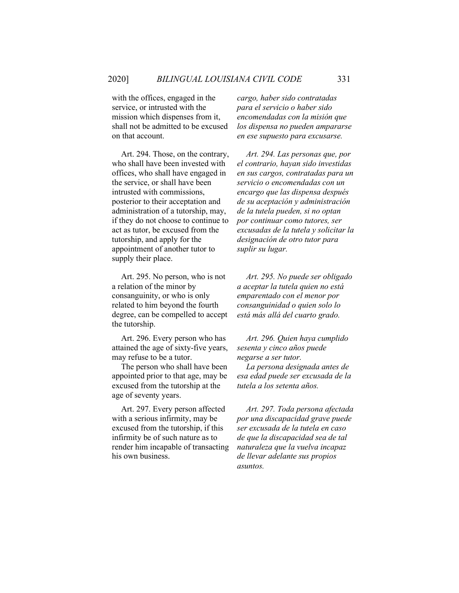with the offices, engaged in the service, or intrusted with the mission which dispenses from it, shall not be admitted to be excused on that account.

Art. 294. Those, on the contrary, who shall have been invested with offices, who shall have engaged in the service, or shall have been intrusted with commissions, posterior to their acceptation and administration of a tutorship, may, if they do not choose to continue to act as tutor, be excused from the tutorship, and apply for the appointment of another tutor to supply their place.

Art. 295. No person, who is not a relation of the minor by consanguinity, or who is only related to him beyond the fourth degree, can be compelled to accept the tutorship.

Art. 296. Every person who has attained the age of sixty-five years, may refuse to be a tutor.

The person who shall have been appointed prior to that age, may be excused from the tutorship at the age of seventy years.

Art. 297. Every person affected with a serious infirmity, may be excused from the tutorship, if this infirmity be of such nature as to render him incapable of transacting his own business.

*cargo, haber sido contratadas para el servicio o haber sido encomendadas con la misión que los dispensa no pueden ampararse en ese supuesto para excusarse.*

*Art. 294. Las personas que, por el contrario, hayan sido investidas en sus cargos, contratadas para un servicio o encomendadas con un encargo que las dispensa después de su aceptación y administración de la tutela pueden, si no optan por continuar como tutores, ser excusadas de la tutela y solicitar la designación de otro tutor para suplir su lugar.*

*Art. 295. No puede ser obligado a aceptar la tutela quien no está emparentado con el menor por consanguinidad o quien solo lo está más allá del cuarto grado.*

*Art. 296. Quien haya cumplido sesenta y cinco años puede negarse a ser tutor.*

*La persona designada antes de esa edad puede ser excusada de la tutela a los setenta años.*

*Art. 297. Toda persona afectada por una discapacidad grave puede ser excusada de la tutela en caso de que la discapacidad sea de tal naturaleza que la vuelva incapaz de llevar adelante sus propios asuntos.*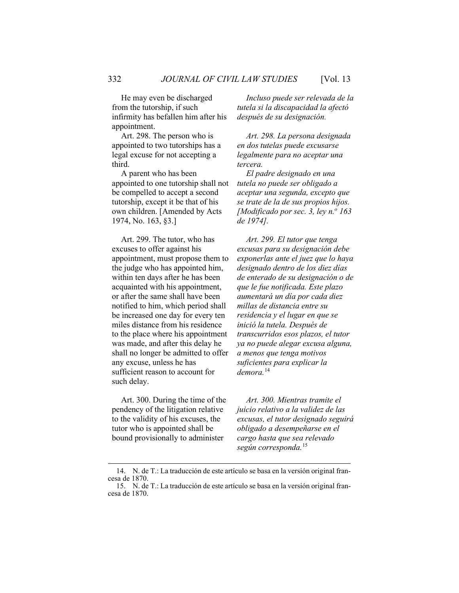He may even be discharged from the tutorship, if such infirmity has befallen him after his appointment.

Art. 298. The person who is appointed to two tutorships has a legal excuse for not accepting a third.

A parent who has been appointed to one tutorship shall not be compelled to accept a second tutorship, except it be that of his own children. [Amended by Acts 1974, No. 163, §3.]

Art. 299. The tutor, who has excuses to offer against his appointment, must propose them to the judge who has appointed him, within ten days after he has been acquainted with his appointment, or after the same shall have been notified to him, which period shall be increased one day for every ten miles distance from his residence to the place where his appointment was made, and after this delay he shall no longer be admitted to offer any excuse, unless he has sufficient reason to account for such delay.

Art. 300. During the time of the pendency of the litigation relative to the validity of his excuses, the tutor who is appointed shall be bound provisionally to administer

*Incluso puede ser relevada de la tutela si la discapacidad la afectó después de su designación.*

*Art. 298. La persona designada en dos tutelas puede excusarse legalmente para no aceptar una tercera.*

*El padre designado en una tutela no puede ser obligado a aceptar una segunda, excepto que se trate de la de sus propios hijos. [Modificado por sec. 3, ley n.º 163 de 1974].*

*Art. 299. El tutor que tenga excusas para su designación debe exponerlas ante el juez que lo haya designado dentro de los diez días de enterado de su designación o de que le fue notificada. Este plazo aumentará un día por cada diez millas de distancia entre su residencia y el lugar en que se inició la tutela. Después de transcurridos esos plazos, el tutor ya no puede alegar excusa alguna, a menos que tenga motivos suficientes para explicar la demora.*[14](#page-56-0)

*Art. 300. Mientras tramite el juicio relativo a la validez de las excusas, el tutor designado seguirá obligado a desempeñarse en el cargo hasta que sea relevado según corresponda.*[15](#page-56-1)

<span id="page-56-0"></span><sup>14.</sup> N. de T.: La traducción de este artículo se basa en la versión original francesa de 1870.

<span id="page-56-1"></span><sup>15.</sup> N. de T.: La traducción de este artículo se basa en la versión original francesa de 1870.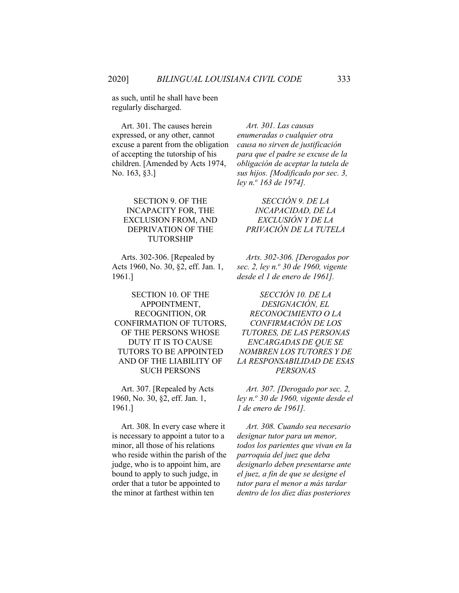as such, until he shall have been regularly discharged.

Art. 301. The causes herein expressed, or any other, cannot excuse a parent from the obligation of accepting the tutorship of his children. [Amended by Acts 1974, No. 163, §3.]

## SECTION 9. OF THE INCAPACITY FOR, THE EXCLUSION FROM, AND DEPRIVATION OF THE TUTORSHIP

Arts. 302-306. [Repealed by Acts 1960, No. 30, §2, eff. Jan. 1, 1961.]

SECTION 10. OF THE APPOINTMENT, RECOGNITION, OR CONFIRMATION OF TUTORS, OF THE PERSONS WHOSE DUTY IT IS TO CAUSE TUTORS TO BE APPOINTED AND OF THE LIABILITY OF SUCH PERSONS

Art. 307. [Repealed by Acts 1960, No. 30, §2, eff. Jan. 1, 1961.]

Art. 308. In every case where it is necessary to appoint a tutor to a minor, all those of his relations who reside within the parish of the judge, who is to appoint him, are bound to apply to such judge, in order that a tutor be appointed to the minor at farthest within ten

*Art. 301. Las causas enumeradas o cualquier otra causa no sirven de justificación para que el padre se excuse de la obligación de aceptar la tutela de sus hijos. [Modificado por sec. 3, ley n.o 163 de 1974].*

*SECCIÓN 9. DE LA INCAPACIDAD, DE LA EXCLUSIÓN Y DE LA PRIVACIÓN DE LA TUTELA*

*Arts. 302-306. [Derogados por sec. 2, ley n.<sup>o</sup> 30 de 1960, vigente desde el 1 de enero de 1961].*

*SECCIÓN 10. DE LA DESIGNACIÓN, EL RECONOCIMIENTO O LA CONFIRMACIÓN DE LOS TUTORES, DE LAS PERSONAS ENCARGADAS DE QUE SE NOMBREN LOS TUTORES Y DE LA RESPONSABILIDAD DE ESAS PERSONAS*

*Art. 307. [Derogado por sec. 2, ley n.o 30 de 1960, vigente desde el 1 de enero de 1961].*

*Art. 308. Cuando sea necesario designar tutor para un menor, todos los parientes que vivan en la parroquia del juez que deba designarlo deben presentarse ante el juez, a fin de que se designe el tutor para el menor a más tardar dentro de los diez días posteriores*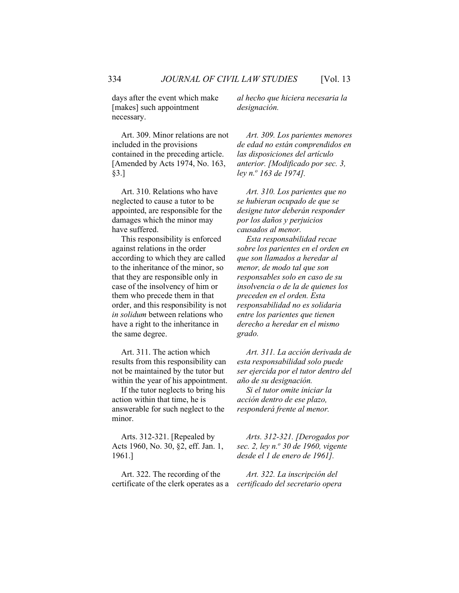days after the event which make [makes] such appointment necessary.

Art. 309. Minor relations are not included in the provisions contained in the preceding article. [Amended by Acts 1974, No. 163, §3.]

Art. 310. Relations who have neglected to cause a tutor to be appointed, are responsible for the damages which the minor may have suffered.

This responsibility is enforced against relations in the order according to which they are called to the inheritance of the minor, so that they are responsible only in case of the insolvency of him or them who precede them in that order, and this responsibility is not *in solidum* between relations who have a right to the inheritance in the same degree.

Art. 311. The action which results from this responsibility can not be maintained by the tutor but within the year of his appointment.

If the tutor neglects to bring his action within that time, he is answerable for such neglect to the minor.

Arts. 312-321. [Repealed by Acts 1960, No. 30, §2, eff. Jan. 1, 1961.]

Art. 322. The recording of the certificate of the clerk operates as a *al hecho que hiciera necesaria la designación.*

*Art. 309. Los parientes menores de edad no están comprendidos en las disposiciones del artículo anterior. [Modificado por sec. 3, ley n.o 163 de 1974].*

*Art. 310. Los parientes que no se hubieran ocupado de que se designe tutor deberán responder por los daños y perjuicios causados al menor.*

*Esta responsabilidad recae sobre los parientes en el orden en que son llamados a heredar al menor, de modo tal que son responsables solo en caso de su insolvencia o de la de quienes los preceden en el orden. Esta responsabilidad no es solidaria entre los parientes que tienen derecho a heredar en el mismo grado.*

*Art. 311. La acción derivada de esta responsabilidad solo puede ser ejercida por el tutor dentro del año de su designación.*

*Si el tutor omite iniciar la acción dentro de ese plazo, responderá frente al menor.*

*Arts. 312-321. [Derogados por sec. 2, ley n.<sup>o</sup> 30 de 1960, vigente desde el 1 de enero de 1961].*

*Art. 322. La inscripción del certificado del secretario opera*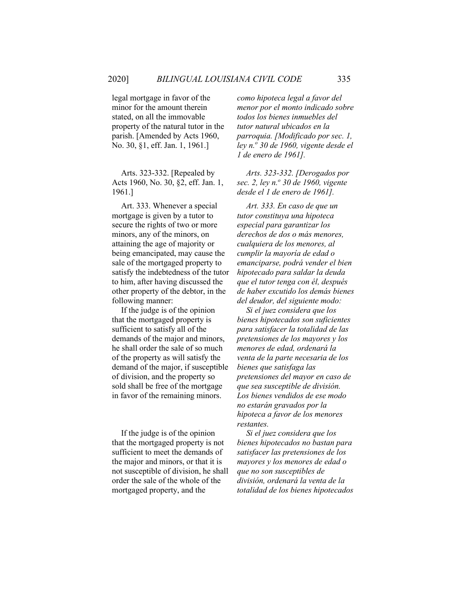legal mortgage in favor of the minor for the amount therein stated, on all the immovable property of the natural tutor in the parish. [Amended by Acts 1960, No. 30, §1, eff. Jan. 1, 1961.]

Arts. 323-332. [Repealed by Acts 1960, No. 30, §2, eff. Jan. 1, 1961.]

Art. 333. Whenever a special mortgage is given by a tutor to secure the rights of two or more minors, any of the minors, on attaining the age of majority or being emancipated, may cause the sale of the mortgaged property to satisfy the indebtedness of the tutor to him, after having discussed the other property of the debtor, in the following manner:

If the judge is of the opinion that the mortgaged property is sufficient to satisfy all of the demands of the major and minors, he shall order the sale of so much of the property as will satisfy the demand of the major, if susceptible of division, and the property so sold shall be free of the mortgage in favor of the remaining minors.

If the judge is of the opinion that the mortgaged property is not sufficient to meet the demands of the major and minors, or that it is not susceptible of division, he shall order the sale of the whole of the mortgaged property, and the

*como hipoteca legal a favor del menor por el monto indicado sobre todos los bienes inmuebles del tutor natural ubicados en la parroquia. [Modificado por sec. 1, ley n.o 30 de 1960, vigente desde el 1 de enero de 1961].*

*Arts. 323-332. [Derogados por sec. 2, ley n.<sup>o</sup> 30 de 1960, vigente desde el 1 de enero de 1961].*

*Art. 333. En caso de que un tutor constituya una hipoteca especial para garantizar los derechos de dos o más menores, cualquiera de los menores, al cumplir la mayoría de edad o emanciparse, podrá vender el bien hipotecado para saldar la deuda que el tutor tenga con él, después de haber excutido los demás bienes del deudor, del siguiente modo:*

*Si el juez considera que los bienes hipotecados son suficientes para satisfacer la totalidad de las pretensiones de los mayores y los menores de edad, ordenará la venta de la parte necesaria de los bienes que satisfaga las pretensiones del mayor en caso de que sea susceptible de división. Los bienes vendidos de ese modo no estarán gravados por la hipoteca a favor de los menores restantes.*

*Si el juez considera que los bienes hipotecados no bastan para satisfacer las pretensiones de los mayores y los menores de edad o que no son susceptibles de división, ordenará la venta de la totalidad de los bienes hipotecados*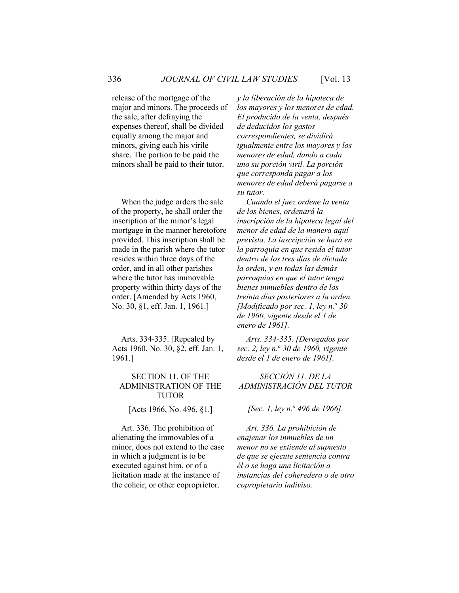release of the mortgage of the major and minors. The proceeds of the sale, after defraying the expenses thereof, shall be divided equally among the major and minors, giving each his virile share. The portion to be paid the minors shall be paid to their tutor.

When the judge orders the sale of the property, he shall order the inscription of the minor's legal mortgage in the manner heretofore provided. This inscription shall be made in the parish where the tutor resides within three days of the order, and in all other parishes where the tutor has immovable property within thirty days of the order. [Amended by Acts 1960, No. 30, §1, eff. Jan. 1, 1961.]

Arts. 334-335. [Repealed by Acts 1960, No. 30, §2, eff. Jan. 1, 1961.]

#### SECTION 11. OF THE ADMINISTRATION OF THE TUTOR

[Acts 1966, No. 496, §1.]

Art. 336. The prohibition of alienating the immovables of a minor, does not extend to the case in which a judgment is to be executed against him, or of a licitation made at the instance of the coheir, or other coproprietor.

*y la liberación de la hipoteca de los mayores y los menores de edad. El producido de la venta, después de deducidos los gastos correspondientes, se dividirá igualmente entre los mayores y los menores de edad, dando a cada uno su porción viril. La porción que corresponda pagar a los menores de edad deberá pagarse a su tutor.*

*Cuando el juez ordene la venta de los bienes, ordenará la inscripción de la hipoteca legal del menor de edad de la manera aquí prevista. La inscripción se hará en la parroquia en que resida el tutor dentro de los tres días de dictada la orden, y en todas las demás parroquias en que el tutor tenga bienes inmuebles dentro de los treinta días posteriores a la orden. [Modificado por sec. 1, ley n.º 30 de 1960, vigente desde el 1 de enero de 1961].*

*Arts. 334-335. [Derogados por sec. 2, ley n.<sup>o</sup> 30 de 1960, vigente desde el 1 de enero de 1961].*

*SECCIÓN 11. DE LA ADMINISTRACIÓN DEL TUTOR*

*[Sec. 1, ley n.<sup>o</sup> 496 de 1966].* 

*Art. 336. La prohibición de enajenar los inmuebles de un menor no se extiende al supuesto de que se ejecute sentencia contra él o se haga una licitación a instancias del coheredero o de otro copropietario indiviso.*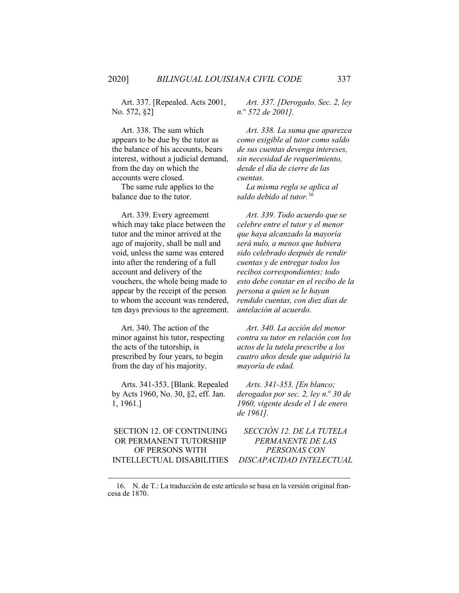Art. 337. [Repealed. Acts 2001, No. 572, §2]

Art. 338. The sum which appears to be due by the tutor as the balance of his accounts, bears interest, without a judicial demand, from the day on which the accounts were closed.

The same rule applies to the balance due to the tutor.

Art. 339. Every agreement which may take place between the tutor and the minor arrived at the age of majority, shall be null and void, unless the same was entered into after the rendering of a full account and delivery of the vouchers, the whole being made to appear by the receipt of the person to whom the account was rendered, ten days previous to the agreement.

Art. 340. The action of the minor against his tutor, respecting the acts of the tutorship, is prescribed by four years, to begin from the day of his majority.

Arts. 341-353. [Blank. Repealed by Acts 1960, No. 30, §2, eff. Jan. 1, 1961.]

## SECTION 12. OF CONTINUING OR PERMANENT TUTORSHIP OF PERSONS WITH INTELLECTUAL DISABILITIES

*Art. 337. [Derogado. Sec. 2, ley n.o 572 de 2001].*

*Art. 338. La suma que aparezca como exigible al tutor como saldo de sus cuentas devenga intereses, sin necesidad de requerimiento, desde el día de cierre de las cuentas.*

*La misma regla se aplica al saldo debido al tutor.*[16](#page-61-0)

*Art. 339. Todo acuerdo que se celebre entre el tutor y el menor que haya alcanzado la mayoría será nulo, a menos que hubiera sido celebrado después de rendir cuentas y de entregar todos los recibos correspondientes; todo esto debe constar en el recibo de la persona a quien se le hayan rendido cuentas, con diez días de antelación al acuerdo.*

*Art. 340. La acción del menor contra su tutor en relación con los actos de la tutela prescribe a los cuatro años desde que adquirió la mayoría de edad.*

*Arts. 341-353. [En blanco; derogados por sec. 2, ley n.º 30 de 1960, vigente desde el 1 de enero de 1961].*

*SECCIÓN 12. DE LA TUTELA PERMANENTE DE LAS PERSONAS CON DISCAPACIDAD INTELECTUAL*

<span id="page-61-0"></span><sup>16.</sup> N. de T.: La traducción de este artículo se basa en la versión original francesa de 1870.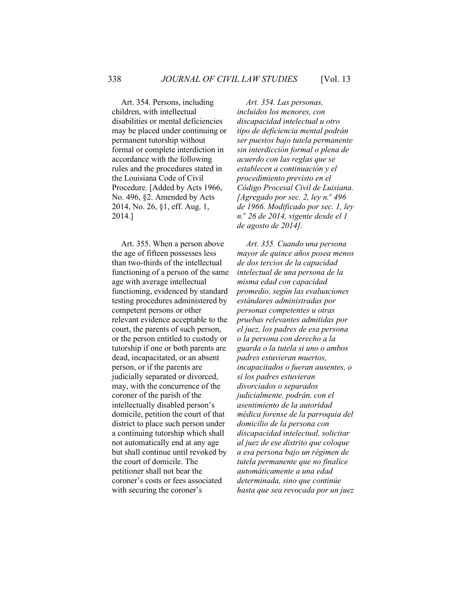Art. 354. Persons, including children, with intellectual disabilities or mental deficiencies may be placed under continuing or permanent tutorship without formal or complete interdiction in accordance with the following rules and the procedures stated in the Louisiana Code of Civil Procedure. [Added by Acts 1966, No. 496, §2. Amended by Acts 2014, No. 26, §1, eff. Aug. 1, 2014.]

Art. 355. When a person above the age of fifteen possesses less than two-thirds of the intellectual functioning of a person of the same age with average intellectual functioning, evidenced by standard testing procedures administered by competent persons or other relevant evidence acceptable to the court, the parents of such person, or the person entitled to custody or tutorship if one or both parents are dead, incapacitated, or an absent person, or if the parents are judicially separated or divorced, may, with the concurrence of the coroner of the parish of the intellectually disabled person's domicile, petition the court of that district to place such person under a continuing tutorship which shall not automatically end at any age but shall continue until revoked by the court of domicile. The petitioner shall not bear the coroner's costs or fees associated with securing the coroner's

*Art. 354. Las personas, incluidos los menores, con discapacidad intelectual u otro tipo de deficiencia mental podrán ser puestos bajo tutela permanente sin interdicción formal o plena de acuerdo con las reglas que se establecen a continuación y el procedimiento previsto en el Código Procesal Civil de Luisiana. [Agregado por sec. 2, ley n.º 496 de 1966. Modificado por sec. 1, ley n.<sup>o</sup> 26 de 2014, vigente desde el 1 de agosto de 2014].*

*Art. 355. Cuando una persona mayor de quince años posea menos de dos tercios de la capacidad intelectual de una persona de la misma edad con capacidad promedio, según las evaluaciones estándares administradas por personas competentes u otras pruebas relevantes admitidas por el juez, los padres de esa persona o la persona con derecho a la guarda o la tutela si uno o ambos padres estuvieran muertos, incapacitados o fueran ausentes, o si los padres estuvieran divorciados o separados judicialmente, podrán, con el asentimiento de la autoridad médica forense de la parroquia del domicilio de la persona con discapacidad intelectual, solicitar al juez de ese distrito que coloque a esa persona bajo un régimen de tutela permanente que no finalice automáticamente a una edad determinada, sino que continúe hasta que sea revocada por un juez*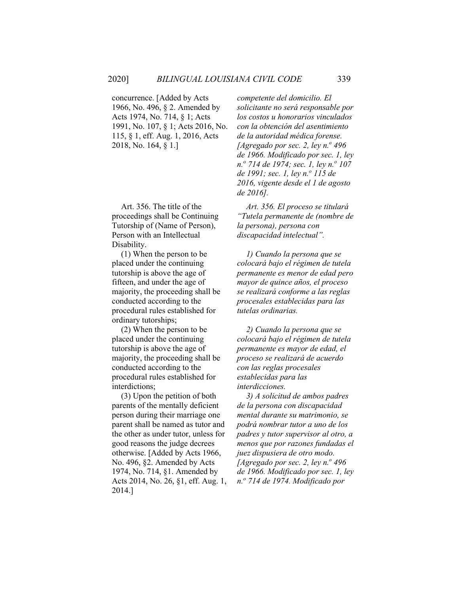concurrence. [Added by Acts 1966, No. 496, § 2. Amended by Acts 1974, No. 714, § 1; Acts 1991, No. 107, § 1; Acts 2016, No. 115, § 1, eff. Aug. 1, 2016, Acts 2018, No. 164, § 1.]

Art. 356. The title of the proceedings shall be Continuing Tutorship of (Name of Person), Person with an Intellectual Disability.

(1) When the person to be placed under the continuing tutorship is above the age of fifteen, and under the age of majority, the proceeding shall be conducted according to the procedural rules established for ordinary tutorships;

(2) When the person to be placed under the continuing tutorship is above the age of majority, the proceeding shall be conducted according to the procedural rules established for interdictions;

(3) Upon the petition of both parents of the mentally deficient person during their marriage one parent shall be named as tutor and the other as under tutor, unless for good reasons the judge decrees otherwise. [Added by Acts 1966, No. 496, §2. Amended by Acts 1974, No. 714, §1. Amended by Acts 2014, No. 26, §1, eff. Aug. 1, 2014.]

*competente del domicilio. El solicitante no será responsable por los costos u honorarios vinculados con la obtención del asentimiento de la autoridad médica forense. [Agregado por sec. 2, ley n.º 496 de 1966. Modificado por sec. 1, ley n.*<sup>*o*</sup> 714 de 1974; sec. 1, ley n.<sup>*o*</sup> 107 *de 1991; sec. 1, ley n.o 115 de 2016, vigente desde el 1 de agosto de 2016].*

*Art. 356. El proceso se titulará "Tutela permanente de (nombre de la persona), persona con discapacidad intelectual".*

*1) Cuando la persona que se colocará bajo el régimen de tutela permanente es menor de edad pero mayor de quince años, el proceso se realizará conforme a las reglas procesales establecidas para las tutelas ordinarias.*

*2) Cuando la persona que se colocará bajo el régimen de tutela permanente es mayor de edad, el proceso se realizará de acuerdo con las reglas procesales establecidas para las interdicciones.*

*3) A solicitud de ambos padres de la persona con discapacidad mental durante su matrimonio, se podrá nombrar tutor a uno de los padres y tutor supervisor al otro, a menos que por razones fundadas el juez dispusiera de otro modo. [Agregado por sec. 2, ley n.º 496 de 1966. Modificado por sec. 1, ley n.<sup>o</sup> 714 de 1974. Modificado por*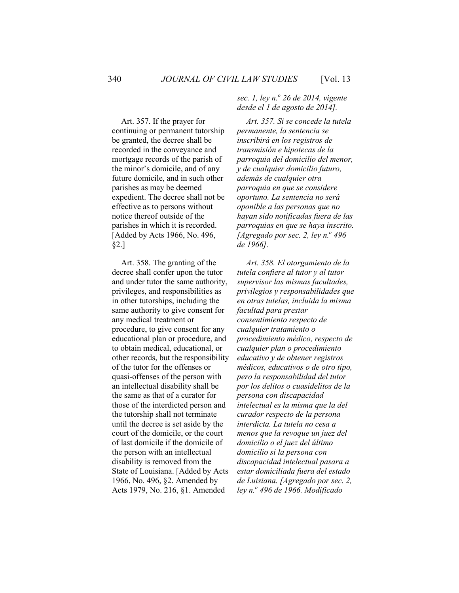Art. 357. If the prayer for continuing or permanent tutorship be granted, the decree shall be recorded in the conveyance and mortgage records of the parish of the minor's domicile, and of any future domicile, and in such other parishes as may be deemed expedient. The decree shall not be effective as to persons without notice thereof outside of the parishes in which it is recorded. [Added by Acts 1966, No. 496, §2.]

Art. 358. The granting of the decree shall confer upon the tutor and under tutor the same authority, privileges, and responsibilities as in other tutorships, including the same authority to give consent for any medical treatment or procedure, to give consent for any educational plan or procedure, and to obtain medical, educational, or other records, but the responsibility of the tutor for the offenses or quasi-offenses of the person with an intellectual disability shall be the same as that of a curator for those of the interdicted person and the tutorship shall not terminate until the decree is set aside by the court of the domicile, or the court of last domicile if the domicile of the person with an intellectual disability is removed from the State of Louisiana. [Added by Acts 1966, No. 496, §2. Amended by Acts 1979, No. 216, §1. Amended

*sec. 1, ley n.o 26 de 2014, vigente desde el 1 de agosto de 2014].*

*Art. 357. Si se concede la tutela permanente, la sentencia se inscribirá en los registros de transmisión e hipotecas de la parroquia del domicilio del menor, y de cualquier domicilio futuro, además de cualquier otra parroquia en que se considere oportuno. La sentencia no será oponible a las personas que no hayan sido notificadas fuera de las parroquias en que se haya inscrito. [Agregado por sec. 2, ley n.º 496 de 1966].*

*Art. 358. El otorgamiento de la tutela confiere al tutor y al tutor supervisor las mismas facultades, privilegios y responsabilidades que en otras tutelas, incluida la misma facultad para prestar consentimiento respecto de cualquier tratamiento o procedimiento médico, respecto de cualquier plan o procedimiento educativo y de obtener registros médicos, educativos o de otro tipo, pero la responsabilidad del tutor por los delitos o cuasidelitos de la persona con discapacidad intelectual es la misma que la del curador respecto de la persona interdicta. La tutela no cesa a menos que la revoque un juez del domicilio o el juez del último domicilio si la persona con discapacidad intelectual pasara a estar domiciliada fuera del estado de Luisiana. [Agregado por sec. 2, ley n.o 496 de 1966. Modificado*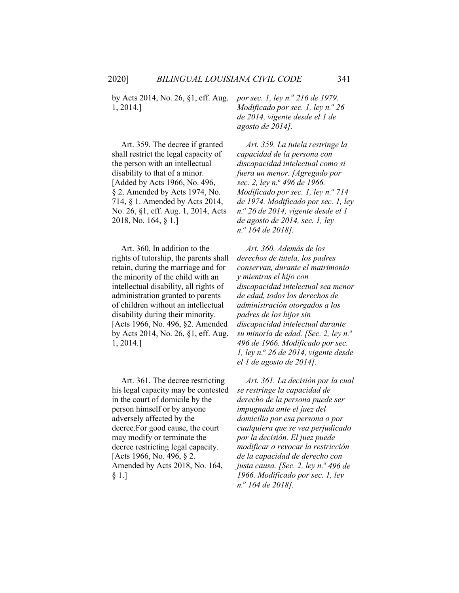by Acts 2014, No. 26, §1, eff. Aug. 1, 2014.]

Art. 359. The decree if granted shall restrict the legal capacity of the person with an intellectual disability to that of a minor. [Added by Acts 1966, No. 496, § 2. Amended by Acts 1974, No. 714, § 1. Amended by Acts 2014, No. 26, §1, eff. Aug. 1, 2014, Acts 2018, No. 164, § 1.]

Art. 360. In addition to the rights of tutorship, the parents shall retain, during the marriage and for the minority of the child with an intellectual disability, all rights of administration granted to parents of children without an intellectual disability during their minority. [Acts 1966, No. 496, §2. Amended by Acts 2014, No. 26, §1, eff. Aug. 1, 2014.]

Art. 361. The decree restricting his legal capacity may be contested in the court of domicile by the person himself or by anyone adversely affected by the decree.For good cause, the court may modify or terminate the decree restricting legal capacity. [Acts 1966, No. 496, § 2. Amended by Acts 2018, No. 164, § 1.]

*por sec. 1, ley n.<sup>o</sup> 216 de 1979. Modificado por sec. 1, ley n.º 26 de 2014, vigente desde el 1 de agosto de 2014].*

*Art. 359. La tutela restringe la capacidad de la persona con discapacidad intelectual como si fuera un menor. [Agregado por sec. 2, ley n.o 496 de 1966. Modificado por sec. 1, ley n.º 714 de 1974. Modificado por sec. 1, ley n.o 26 de 2014, vigente desde el 1 de agosto de 2014, sec. 1, ley n.o 164 de 2018].*

*Art. 360. Además de los derechos de tutela, los padres conservan, durante el matrimonio y mientras el hijo con discapacidad intelectual sea menor de edad, todos los derechos de administración otorgados a los padres de los hijos sin discapacidad intelectual durante su minoría de edad. [Sec. 2, ley n.<sup>o</sup> 496 de 1966. Modificado por sec. 1, ley n.<sup>o</sup> 26 de 2014, vigente desde el 1 de agosto de 2014].*

*Art. 361. La decisión por la cual se restringe la capacidad de derecho de la persona puede ser impugnada ante el juez del domicilio por esa persona o por cualquiera que se vea perjudicado por la decisión. El juez puede modificar o revocar la restricción de la capacidad de derecho con justa causa. [Sec. 2, ley n.<sup>o</sup> 496 de 1966. Modificado por sec. 1, ley n.<sup>o</sup> 164 de 2018].*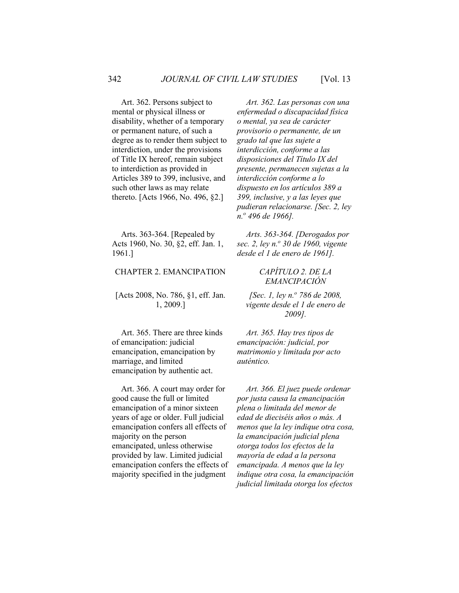Art. 362. Persons subject to mental or physical illness or disability, whether of a temporary or permanent nature, of such a degree as to render them subject to interdiction, under the provisions of Title IX hereof, remain subject to interdiction as provided in Articles 389 to 399, inclusive, and such other laws as may relate thereto. [Acts 1966, No. 496, §2.]

Arts. 363-364. [Repealed by Acts 1960, No. 30, §2, eff. Jan. 1, 1961.]

## CHAPTER 2. EMANCIPATION

[Acts 2008, No. 786, §1, eff. Jan. 1, 2009.]

Art. 365. There are three kinds of emancipation: judicial emancipation, emancipation by marriage, and limited emancipation by authentic act.

Art. 366. A court may order for good cause the full or limited emancipation of a minor sixteen years of age or older. Full judicial emancipation confers all effects of majority on the person emancipated, unless otherwise provided by law. Limited judicial emancipation confers the effects of majority specified in the judgment

*Art. 362. Las personas con una enfermedad o discapacidad física o mental, ya sea de carácter provisorio o permanente, de un grado tal que las sujete a interdicción, conforme a las disposiciones del Título IX del presente, permanecen sujetas a la interdicción conforme a lo dispuesto en los artículos 389 a 399, inclusive, y a las leyes que pudieran relacionarse. [Sec. 2, ley n.o 496 de 1966].*

*Arts. 363-364. [Derogados por sec. 2, ley n.<sup>o</sup> 30 de 1960, vigente desde el 1 de enero de 1961].*

#### *CAPÍTULO 2. DE LA EMANCIPACIÓN*

*[Sec. 1, ley n.o 786 de 2008, vigente desde el 1 de enero de 2009].*

*Art. 365. Hay tres tipos de emancipación: judicial, por matrimonio y limitada por acto auténtico.*

*Art. 366. El juez puede ordenar por justa causa la emancipación plena o limitada del menor de edad de dieciséis años o más. A menos que la ley indique otra cosa, la emancipación judicial plena otorga todos los efectos de la mayoría de edad a la persona emancipada. A menos que la ley indique otra cosa, la emancipación judicial limitada otorga los efectos*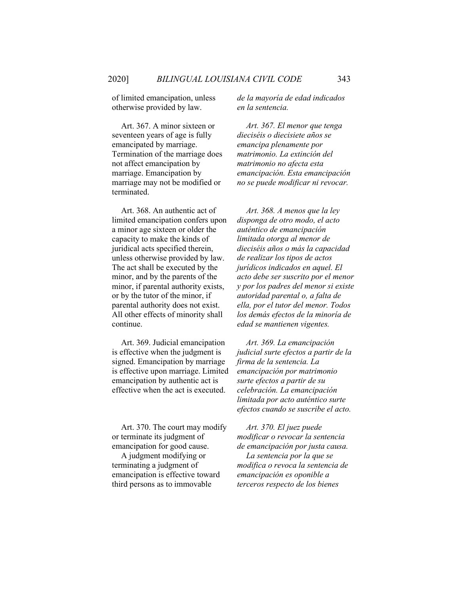of limited emancipation, unless otherwise provided by law.

Art. 367. A minor sixteen or seventeen years of age is fully emancipated by marriage. Termination of the marriage does not affect emancipation by marriage. Emancipation by marriage may not be modified or terminated.

Art. 368. An authentic act of limited emancipation confers upon a minor age sixteen or older the capacity to make the kinds of juridical acts specified therein, unless otherwise provided by law. The act shall be executed by the minor, and by the parents of the minor, if parental authority exists, or by the tutor of the minor, if parental authority does not exist. All other effects of minority shall continue.

Art. 369. Judicial emancipation is effective when the judgment is signed. Emancipation by marriage is effective upon marriage. Limited emancipation by authentic act is effective when the act is executed.

Art. 370. The court may modify or terminate its judgment of emancipation for good cause.

A judgment modifying or terminating a judgment of emancipation is effective toward third persons as to immovable

*de la mayoría de edad indicados en la sentencia.*

*Art. 367. El menor que tenga dieciséis o diecisiete años se emancipa plenamente por matrimonio. La extinción del matrimonio no afecta esta emancipación. Esta emancipación no se puede modificar ni revocar.*

*Art. 368. A menos que la ley disponga de otro modo, el acto auténtico de emancipación limitada otorga al menor de dieciséis años o más la capacidad de realizar los tipos de actos jurídicos indicados en aquel. El acto debe ser suscrito por el menor y por los padres del menor si existe autoridad parental o, a falta de ella, por el tutor del menor. Todos los demás efectos de la minoría de edad se mantienen vigentes.*

*Art. 369. La emancipación judicial surte efectos a partir de la firma de la sentencia. La emancipación por matrimonio surte efectos a partir de su celebración. La emancipación limitada por acto auténtico surte efectos cuando se suscribe el acto.*

*Art. 370. El juez puede modificar o revocar la sentencia de emancipación por justa causa. La sentencia por la que se modifica o revoca la sentencia de emancipación es oponible a terceros respecto de los bienes*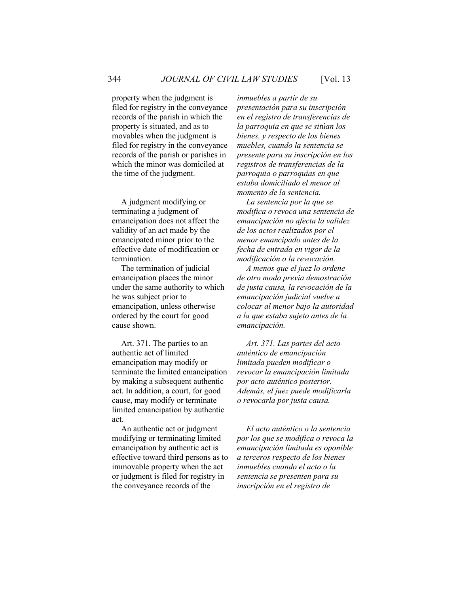property when the judgment is filed for registry in the conveyance records of the parish in which the property is situated, and as to movables when the judgment is filed for registry in the conveyance records of the parish or parishes in which the minor was domiciled at the time of the judgment.

A judgment modifying or terminating a judgment of emancipation does not affect the validity of an act made by the emancipated minor prior to the effective date of modification or termination.

The termination of judicial emancipation places the minor under the same authority to which he was subject prior to emancipation, unless otherwise ordered by the court for good cause shown.

Art. 371. The parties to an authentic act of limited emancipation may modify or terminate the limited emancipation by making a subsequent authentic act. In addition, a court, for good cause, may modify or terminate limited emancipation by authentic act.

An authentic act or judgment modifying or terminating limited emancipation by authentic act is effective toward third persons as to immovable property when the act or judgment is filed for registry in the conveyance records of the

*inmuebles a partir de su presentación para su inscripción en el registro de transferencias de la parroquia en que se sitúan los bienes, y respecto de los bienes muebles, cuando la sentencia se presente para su inscripción en los registros de transferencias de la parroquia o parroquias en que estaba domiciliado el menor al momento de la sentencia.*

*La sentencia por la que se modifica o revoca una sentencia de emancipación no afecta la validez de los actos realizados por el menor emancipado antes de la fecha de entrada en vigor de la modificación o la revocación.*

*A menos que el juez lo ordene de otro modo previa demostración de justa causa, la revocación de la emancipación judicial vuelve a colocar al menor bajo la autoridad a la que estaba sujeto antes de la emancipación.*

*Art. 371. Las partes del acto auténtico de emancipación limitada pueden modificar o revocar la emancipación limitada por acto auténtico posterior. Además, el juez puede modificarla o revocarla por justa causa.*

*El acto auténtico o la sentencia por los que se modifica o revoca la emancipación limitada es oponible a terceros respecto de los bienes inmuebles cuando el acto o la sentencia se presenten para su inscripción en el registro de*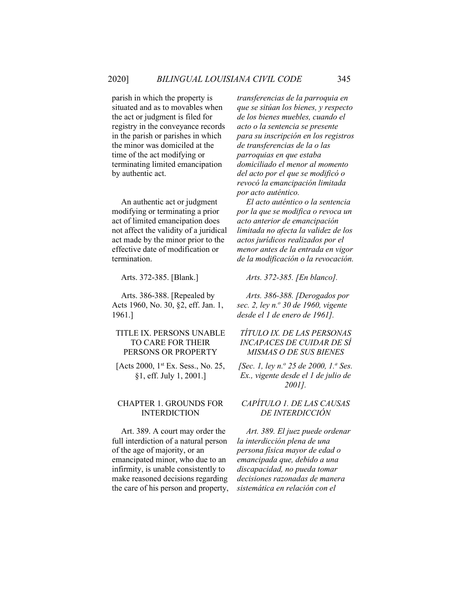parish in which the property is situated and as to movables when the act or judgment is filed for registry in the conveyance records in the parish or parishes in which the minor was domiciled at the time of the act modifying or terminating limited emancipation by authentic act.

An authentic act or judgment modifying or terminating a prior act of limited emancipation does not affect the validity of a juridical act made by the minor prior to the effective date of modification or termination.

Arts. 386-388. [Repealed by Acts 1960, No. 30, §2, eff. Jan. 1, 1961.]

## TITLE IX. PERSONS UNABLE TO CARE FOR THEIR PERSONS OR PROPERTY

[Acts 2000, 1<sup>st</sup> Ex. Sess., No. 25, §1, eff. July 1, 2001.]

#### CHAPTER 1. GROUNDS FOR INTERDICTION

Art. 389. A court may order the full interdiction of a natural person of the age of majority, or an emancipated minor, who due to an infirmity, is unable consistently to make reasoned decisions regarding the care of his person and property, *transferencias de la parroquia en que se sitúan los bienes, y respecto de los bienes muebles, cuando el acto o la sentencia se presente para su inscripción en los registros de transferencias de la o las parroquias en que estaba domiciliado el menor al momento del acto por el que se modificó o revocó la emancipación limitada por acto auténtico.*

*El acto auténtico o la sentencia por la que se modifica o revoca un acto anterior de emancipación limitada no afecta la validez de los actos jurídicos realizados por el menor antes de la entrada en vigor de la modificación o la revocación.*

Arts. 372-385. [Blank.] *Arts. 372-385. [En blanco].*

*Arts. 386-388. [Derogados por sec. 2, ley n.<sup>o</sup> 30 de 1960, vigente desde el 1 de enero de 1961].*

# *TÍTULO IX. DE LAS PERSONAS INCAPACES DE CUIDAR DE SÍ MISMAS O DE SUS BIENES*

*[Sec. 1, ley n.o 25 de 2000, 1.<sup>a</sup> Ses. Ex., vigente desde el 1 de julio de 2001].*

## *CAPÍTULO 1. DE LAS CAUSAS DE INTERDICCIÓN*

*Art. 389. El juez puede ordenar la interdicción plena de una persona física mayor de edad o emancipada que, debido a una discapacidad, no pueda tomar decisiones razonadas de manera sistemática en relación con el*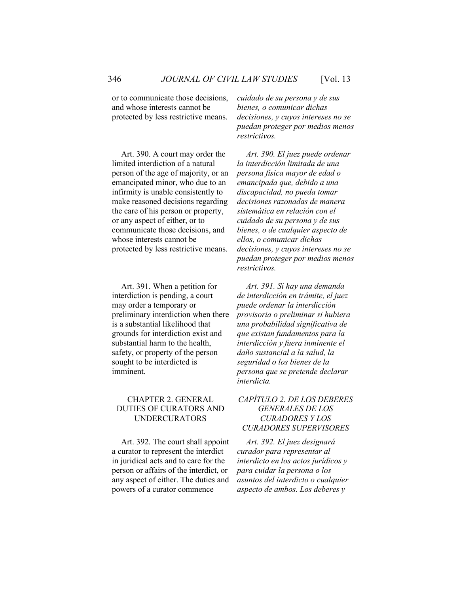or to communicate those decisions, and whose interests cannot be protected by less restrictive means.

Art. 390. A court may order the limited interdiction of a natural person of the age of majority, or an emancipated minor, who due to an infirmity is unable consistently to make reasoned decisions regarding the care of his person or property, or any aspect of either, or to communicate those decisions, and whose interests cannot be protected by less restrictive means.

Art. 391. When a petition for interdiction is pending, a court may order a temporary or preliminary interdiction when there is a substantial likelihood that grounds for interdiction exist and substantial harm to the health, safety, or property of the person sought to be interdicted is imminent.

## CHAPTER 2. GENERAL DUTIES OF CURATORS AND UNDERCURATORS

Art. 392. The court shall appoint a curator to represent the interdict in juridical acts and to care for the person or affairs of the interdict, or any aspect of either. The duties and powers of a curator commence

*cuidado de su persona y de sus bienes, o comunicar dichas decisiones, y cuyos intereses no se puedan proteger por medios menos restrictivos.* 

*Art. 390. El juez puede ordenar la interdicción limitada de una persona física mayor de edad o emancipada que, debido a una discapacidad, no pueda tomar decisiones razonadas de manera sistemática en relación con el cuidado de su persona y de sus bienes, o de cualquier aspecto de ellos, o comunicar dichas decisiones, y cuyos intereses no se puedan proteger por medios menos restrictivos.*

*Art. 391. Si hay una demanda de interdicción en trámite, el juez puede ordenar la interdicción provisoria o preliminar si hubiera una probabilidad significativa de que existan fundamentos para la interdicción y fuera inminente el daño sustancial a la salud, la seguridad o los bienes de la persona que se pretende declarar interdicta.*

# *CAPÍTULO 2. DE LOS DEBERES GENERALES DE LOS CURADORES Y LOS CURADORES SUPERVISORES*

*Art. 392. El juez designará curador para representar al interdicto en los actos jurídicos y para cuidar la persona o los asuntos del interdicto o cualquier aspecto de ambos. Los deberes y*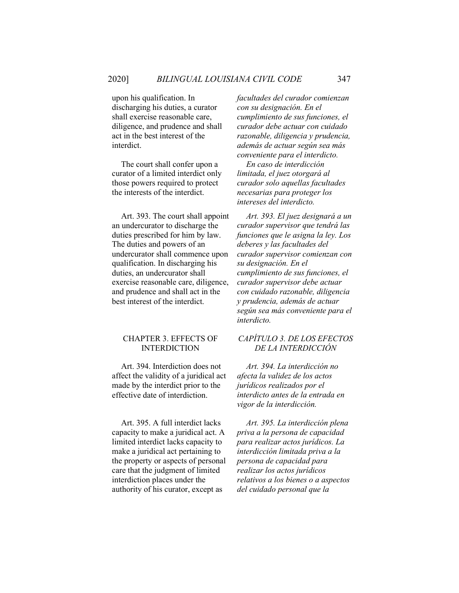upon his qualification. In discharging his duties, a curator shall exercise reasonable care, diligence, and prudence and shall act in the best interest of the interdict.

The court shall confer upon a curator of a limited interdict only those powers required to protect the interests of the interdict.

Art. 393. The court shall appoint an undercurator to discharge the duties prescribed for him by law. The duties and powers of an undercurator shall commence upon qualification. In discharging his duties, an undercurator shall exercise reasonable care, diligence, and prudence and shall act in the best interest of the interdict.

## CHAPTER 3. EFFECTS OF INTERDICTION

Art. 394. Interdiction does not affect the validity of a juridical act made by the interdict prior to the effective date of interdiction.

Art. 395. A full interdict lacks capacity to make a juridical act. A limited interdict lacks capacity to make a juridical act pertaining to the property or aspects of personal care that the judgment of limited interdiction places under the authority of his curator, except as

*facultades del curador comienzan con su designación. En el cumplimiento de sus funciones, el curador debe actuar con cuidado razonable, diligencia y prudencia, además de actuar según sea más conveniente para el interdicto.*

*En caso de interdicción limitada, el juez otorgará al curador solo aquellas facultades necesarias para proteger los intereses del interdicto.*

*Art. 393. El juez designará a un curador supervisor que tendrá las funciones que le asigna la ley. Los deberes y las facultades del curador supervisor comienzan con su designación. En el cumplimiento de sus funciones, el curador supervisor debe actuar con cuidado razonable, diligencia y prudencia, además de actuar según sea más conveniente para el interdicto.*

# *CAPÍTULO 3. DE LOS EFECTOS DE LA INTERDICCIÓN*

*Art. 394. La interdicción no afecta la validez de los actos jurídicos realizados por el interdicto antes de la entrada en vigor de la interdicción.*

*Art. 395. La interdicción plena priva a la persona de capacidad para realizar actos jurídicos. La interdicción limitada priva a la persona de capacidad para realizar los actos jurídicos relativos a los bienes o a aspectos del cuidado personal que la*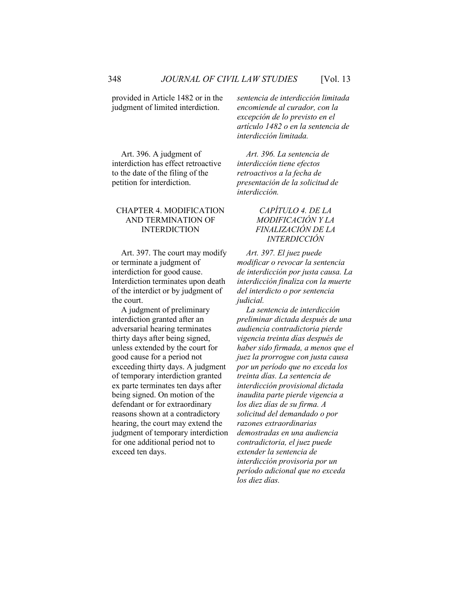provided in Article 1482 or in the judgment of limited interdiction.

Art. 396. A judgment of interdiction has effect retroactive to the date of the filing of the petition for interdiction.

### CHAPTER 4. MODIFICATION AND TERMINATION OF INTERDICTION

Art. 397. The court may modify or terminate a judgment of interdiction for good cause. Interdiction terminates upon death of the interdict or by judgment of the court.

A judgment of preliminary interdiction granted after an adversarial hearing terminates thirty days after being signed, unless extended by the court for good cause for a period not exceeding thirty days. A judgment of temporary interdiction granted ex parte terminates ten days after being signed. On motion of the defendant or for extraordinary reasons shown at a contradictory hearing, the court may extend the judgment of temporary interdiction for one additional period not to exceed ten days.

*sentencia de interdicción limitada encomiende al curador, con la excepción de lo previsto en el artículo 1482 o en la sentencia de interdicción limitada.*

*Art. 396. La sentencia de interdicción tiene efectos retroactivos a la fecha de presentación de la solicitud de interdicción.*

## *CAPÍTULO 4. DE LA MODIFICACIÓN Y LA FINALIZACIÓN DE LA INTERDICCIÓN*

*Art. 397. El juez puede modificar o revocar la sentencia de interdicción por justa causa. La interdicción finaliza con la muerte del interdicto o por sentencia judicial.*

*La sentencia de interdicción preliminar dictada después de una audiencia contradictoria pierde vigencia treinta días después de haber sido firmada, a menos que el juez la prorrogue con justa causa por un período que no exceda los treinta días. La sentencia de interdicción provisional dictada inaudita parte pierde vigencia a los diez días de su firma. A solicitud del demandado o por razones extraordinarias demostradas en una audiencia contradictoria, el juez puede extender la sentencia de interdicción provisoria por un período adicional que no exceda los diez días.*